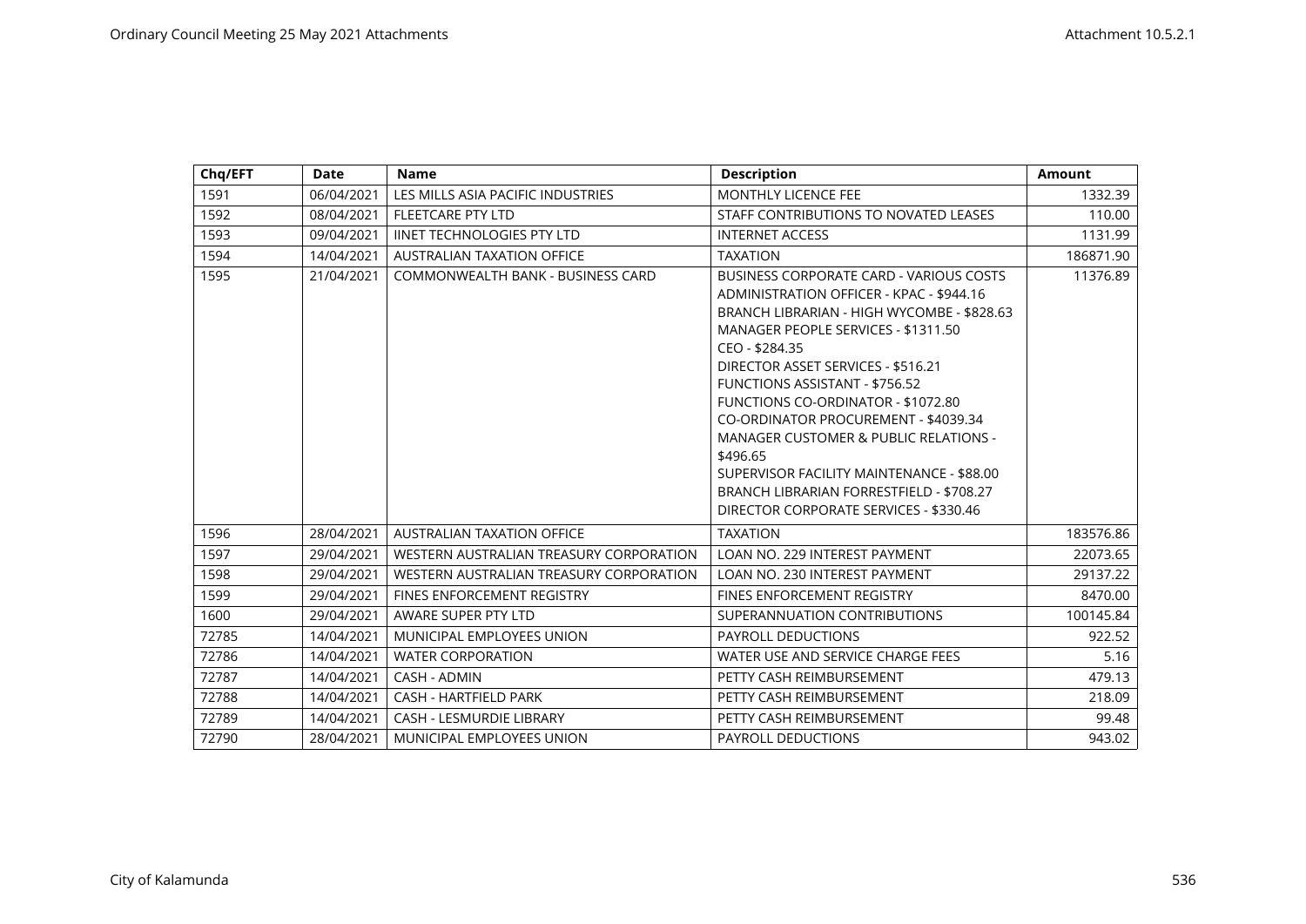| Chq/EFT | <b>Date</b> | <b>Name</b>                             | <b>Description</b>                                                                                                                                                                                                                                                                                                                                                                                                                                                                                                                                                | <b>Amount</b> |
|---------|-------------|-----------------------------------------|-------------------------------------------------------------------------------------------------------------------------------------------------------------------------------------------------------------------------------------------------------------------------------------------------------------------------------------------------------------------------------------------------------------------------------------------------------------------------------------------------------------------------------------------------------------------|---------------|
| 1591    | 06/04/2021  | LES MILLS ASIA PACIFIC INDUSTRIES       | <b>MONTHLY LICENCE FEE</b>                                                                                                                                                                                                                                                                                                                                                                                                                                                                                                                                        | 1332.39       |
| 1592    | 08/04/2021  | <b>FLEETCARE PTY LTD</b>                | STAFF CONTRIBUTIONS TO NOVATED LEASES                                                                                                                                                                                                                                                                                                                                                                                                                                                                                                                             | 110.00        |
| 1593    | 09/04/2021  | <b>IINET TECHNOLOGIES PTY LTD</b>       | <b>INTERNET ACCESS</b>                                                                                                                                                                                                                                                                                                                                                                                                                                                                                                                                            | 1131.99       |
| 1594    | 14/04/2021  | <b>AUSTRALIAN TAXATION OFFICE</b>       | <b>TAXATION</b>                                                                                                                                                                                                                                                                                                                                                                                                                                                                                                                                                   | 186871.90     |
| 1595    | 21/04/2021  | COMMONWEALTH BANK - BUSINESS CARD       | <b>BUSINESS CORPORATE CARD - VARIOUS COSTS</b><br>ADMINISTRATION OFFICER - KPAC - \$944.16<br>BRANCH LIBRARIAN - HIGH WYCOMBE - \$828.63<br>MANAGER PEOPLE SERVICES - \$1311.50<br>CEO - \$284.35<br>DIRECTOR ASSET SERVICES - \$516.21<br><b>FUNCTIONS ASSISTANT - \$756.52</b><br>FUNCTIONS CO-ORDINATOR - \$1072.80<br>CO-ORDINATOR PROCUREMENT - \$4039.34<br><b>MANAGER CUSTOMER &amp; PUBLIC RELATIONS -</b><br>\$496.65<br>SUPERVISOR FACILITY MAINTENANCE - \$88.00<br>BRANCH LIBRARIAN FORRESTFIELD - \$708.27<br>DIRECTOR CORPORATE SERVICES - \$330.46 | 11376.89      |
| 1596    | 28/04/2021  | <b>AUSTRALIAN TAXATION OFFICE</b>       | <b>TAXATION</b>                                                                                                                                                                                                                                                                                                                                                                                                                                                                                                                                                   | 183576.86     |
| 1597    | 29/04/2021  | WESTERN AUSTRALIAN TREASURY CORPORATION | LOAN NO. 229 INTEREST PAYMENT                                                                                                                                                                                                                                                                                                                                                                                                                                                                                                                                     | 22073.65      |
| 1598    | 29/04/2021  | WESTERN AUSTRALIAN TREASURY CORPORATION | LOAN NO. 230 INTEREST PAYMENT                                                                                                                                                                                                                                                                                                                                                                                                                                                                                                                                     | 29137.22      |
| 1599    | 29/04/2021  | FINES ENFORCEMENT REGISTRY              | FINES ENFORCEMENT REGISTRY                                                                                                                                                                                                                                                                                                                                                                                                                                                                                                                                        | 8470.00       |
| 1600    | 29/04/2021  | AWARE SUPER PTY LTD                     | SUPERANNUATION CONTRIBUTIONS                                                                                                                                                                                                                                                                                                                                                                                                                                                                                                                                      | 100145.84     |
| 72785   | 14/04/2021  | MUNICIPAL EMPLOYEES UNION               | <b>PAYROLL DEDUCTIONS</b>                                                                                                                                                                                                                                                                                                                                                                                                                                                                                                                                         | 922.52        |
| 72786   | 14/04/2021  | <b>WATER CORPORATION</b>                | WATER USE AND SERVICE CHARGE FEES                                                                                                                                                                                                                                                                                                                                                                                                                                                                                                                                 | 5.16          |
| 72787   | 14/04/2021  | CASH - ADMIN                            | PETTY CASH REIMBURSEMENT                                                                                                                                                                                                                                                                                                                                                                                                                                                                                                                                          | 479.13        |
| 72788   | 14/04/2021  | <b>CASH - HARTFIELD PARK</b>            | PETTY CASH REIMBURSEMENT                                                                                                                                                                                                                                                                                                                                                                                                                                                                                                                                          | 218.09        |
| 72789   | 14/04/2021  | CASH - LESMURDIE LIBRARY                | PETTY CASH REIMBURSEMENT                                                                                                                                                                                                                                                                                                                                                                                                                                                                                                                                          | 99.48         |
| 72790   | 28/04/2021  | MUNICIPAL EMPLOYEES UNION               | PAYROLL DEDUCTIONS                                                                                                                                                                                                                                                                                                                                                                                                                                                                                                                                                | 943.02        |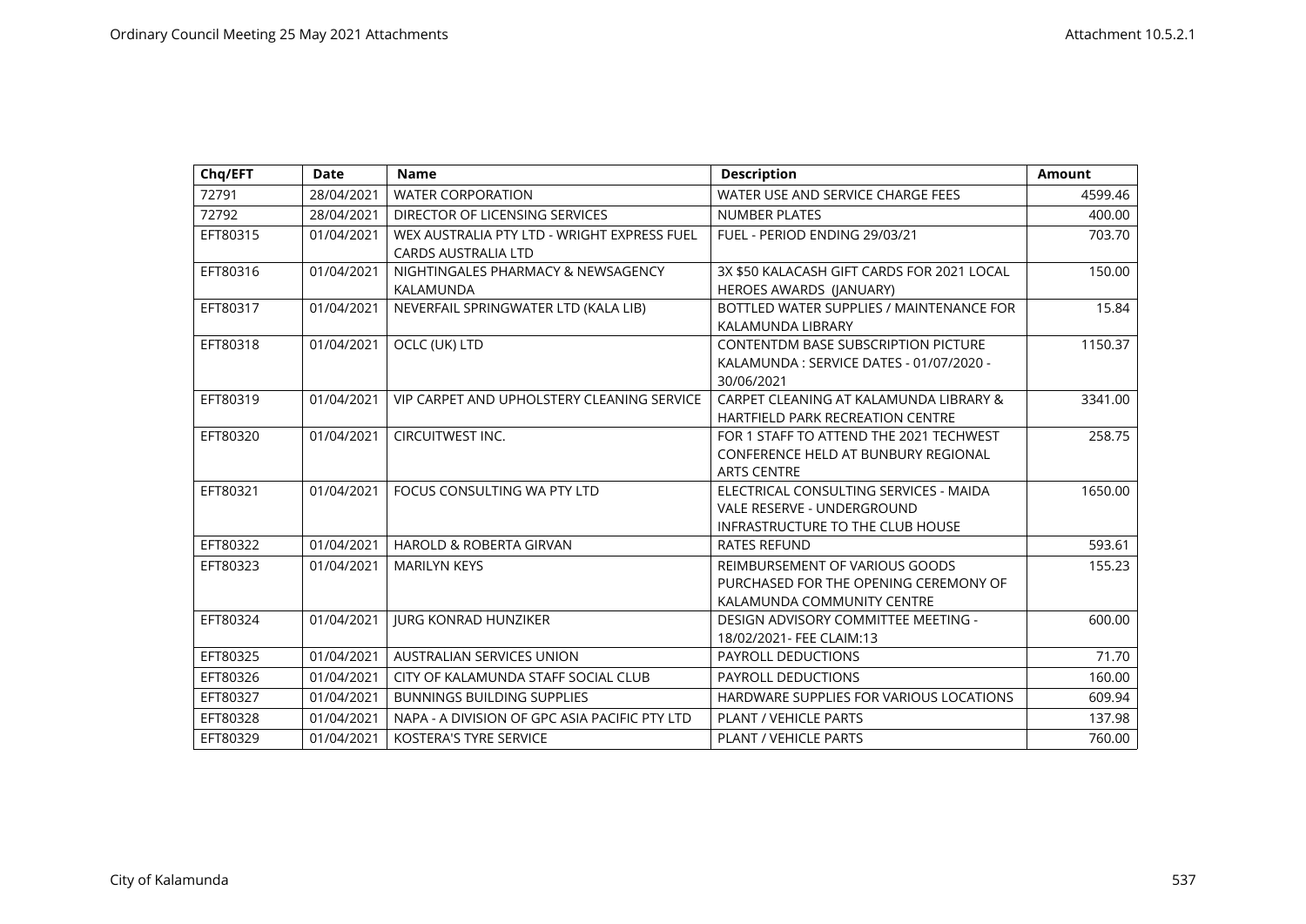| Chq/EFT  | <b>Date</b> | <b>Name</b>                                                               | <b>Description</b>                                                                                              | <b>Amount</b> |
|----------|-------------|---------------------------------------------------------------------------|-----------------------------------------------------------------------------------------------------------------|---------------|
| 72791    | 28/04/2021  | <b>WATER CORPORATION</b>                                                  | WATER USE AND SERVICE CHARGE FEES                                                                               | 4599.46       |
| 72792    | 28/04/2021  | DIRECTOR OF LICENSING SERVICES                                            | <b>NUMBER PLATES</b>                                                                                            | 400.00        |
| EFT80315 | 01/04/2021  | WEX AUSTRALIA PTY LTD - WRIGHT EXPRESS FUEL<br><b>CARDS AUSTRALIA LTD</b> | FUEL - PERIOD ENDING 29/03/21                                                                                   | 703.70        |
| EFT80316 | 01/04/2021  | NIGHTINGALES PHARMACY & NEWSAGENCY<br>KALAMUNDA                           | 3X \$50 KALACASH GIFT CARDS FOR 2021 LOCAL<br>HEROES AWARDS (JANUARY)                                           | 150.00        |
| EFT80317 | 01/04/2021  | NEVERFAIL SPRINGWATER LTD (KALA LIB)                                      | BOTTLED WATER SUPPLIES / MAINTENANCE FOR<br>KALAMUNDA LIBRARY                                                   | 15.84         |
| EFT80318 | 01/04/2021  | OCLC (UK) LTD                                                             | <b>CONTENTDM BASE SUBSCRIPTION PICTURE</b><br>KALAMUNDA: SERVICE DATES - 01/07/2020 -<br>30/06/2021             | 1150.37       |
| EFT80319 | 01/04/2021  | VIP CARPET AND UPHOLSTERY CLEANING SERVICE                                | CARPET CLEANING AT KALAMUNDA LIBRARY &<br><b>HARTFIELD PARK RECREATION CENTRE</b>                               | 3341.00       |
| EFT80320 | 01/04/2021  | CIRCUITWEST INC.                                                          | FOR 1 STAFF TO ATTEND THE 2021 TECHWEST<br>CONFERENCE HELD AT BUNBURY REGIONAL<br><b>ARTS CENTRE</b>            | 258.75        |
| EFT80321 | 01/04/2021  | FOCUS CONSULTING WA PTY LTD                                               | ELECTRICAL CONSULTING SERVICES - MAIDA<br>VALE RESERVE - UNDERGROUND<br><b>INFRASTRUCTURE TO THE CLUB HOUSE</b> | 1650.00       |
| EFT80322 | 01/04/2021  | <b>HAROLD &amp; ROBERTA GIRVAN</b>                                        | <b>RATES REFUND</b>                                                                                             | 593.61        |
| EFT80323 | 01/04/2021  | <b>MARILYN KEYS</b>                                                       | REIMBURSEMENT OF VARIOUS GOODS<br>PURCHASED FOR THE OPENING CEREMONY OF<br>KALAMUNDA COMMUNITY CENTRE           | 155.23        |
| EFT80324 | 01/04/2021  | <b>JURG KONRAD HUNZIKER</b>                                               | DESIGN ADVISORY COMMITTEE MEETING -<br>18/02/2021- FEE CLAIM:13                                                 | 600.00        |
| EFT80325 | 01/04/2021  | AUSTRALIAN SERVICES UNION                                                 | PAYROLL DEDUCTIONS                                                                                              | 71.70         |
| EFT80326 | 01/04/2021  | CITY OF KALAMUNDA STAFF SOCIAL CLUB                                       | PAYROLL DEDUCTIONS                                                                                              | 160.00        |
| EFT80327 | 01/04/2021  | <b>BUNNINGS BUILDING SUPPLIES</b>                                         | HARDWARE SUPPLIES FOR VARIOUS LOCATIONS                                                                         | 609.94        |
| EFT80328 | 01/04/2021  | NAPA - A DIVISION OF GPC ASIA PACIFIC PTY LTD                             | <b>PLANT / VEHICLE PARTS</b>                                                                                    | 137.98        |
| EFT80329 | 01/04/2021  | <b>KOSTERA'S TYRE SERVICE</b>                                             | <b>PLANT / VEHICLE PARTS</b>                                                                                    | 760.00        |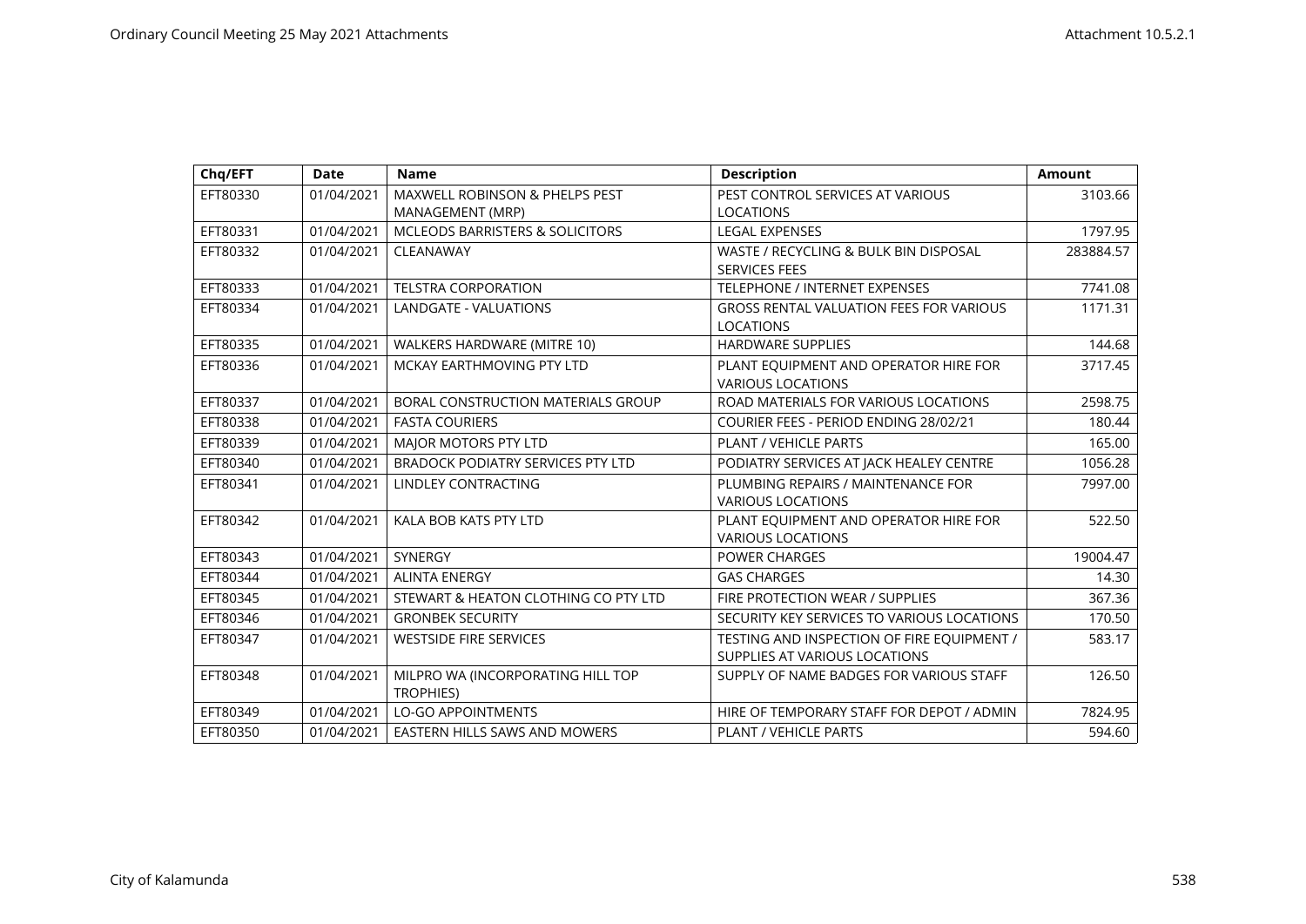| Chq/EFT  | <b>Date</b> | <b>Name</b>                                | <b>Description</b>                             | <b>Amount</b> |
|----------|-------------|--------------------------------------------|------------------------------------------------|---------------|
| EFT80330 | 01/04/2021  | MAXWELL ROBINSON & PHELPS PEST             | PEST CONTROL SERVICES AT VARIOUS               | 3103.66       |
|          |             | MANAGEMENT (MRP)                           | <b>LOCATIONS</b>                               |               |
| EFT80331 | 01/04/2021  | <b>MCLEODS BARRISTERS &amp; SOLICITORS</b> | <b>LEGAL EXPENSES</b>                          | 1797.95       |
| EFT80332 | 01/04/2021  | CLEANAWAY                                  | WASTE / RECYCLING & BULK BIN DISPOSAL          | 283884.57     |
|          |             |                                            | <b>SERVICES FEES</b>                           |               |
| EFT80333 | 01/04/2021  | <b>TELSTRA CORPORATION</b>                 | TELEPHONE / INTERNET EXPENSES                  | 7741.08       |
| EFT80334 | 01/04/2021  | <b>LANDGATE - VALUATIONS</b>               | <b>GROSS RENTAL VALUATION FEES FOR VARIOUS</b> | 1171.31       |
|          |             |                                            | <b>LOCATIONS</b>                               |               |
| EFT80335 | 01/04/2021  | WALKERS HARDWARE (MITRE 10)                | <b>HARDWARE SUPPLIES</b>                       | 144.68        |
| EFT80336 | 01/04/2021  | MCKAY EARTHMOVING PTY LTD                  | PLANT EQUIPMENT AND OPERATOR HIRE FOR          | 3717.45       |
|          |             |                                            | <b>VARIOUS LOCATIONS</b>                       |               |
| EFT80337 | 01/04/2021  | BORAL CONSTRUCTION MATERIALS GROUP         | ROAD MATERIALS FOR VARIOUS LOCATIONS           | 2598.75       |
| EFT80338 | 01/04/2021  | <b>FASTA COURIERS</b>                      | COURIER FEES - PERIOD ENDING 28/02/21          | 180.44        |
| EFT80339 | 01/04/2021  | MAJOR MOTORS PTY LTD                       | PLANT / VEHICLE PARTS                          | 165.00        |
| EFT80340 | 01/04/2021  | <b>BRADOCK PODIATRY SERVICES PTY LTD</b>   | PODIATRY SERVICES AT JACK HEALEY CENTRE        | 1056.28       |
| EFT80341 | 01/04/2021  | <b>LINDLEY CONTRACTING</b>                 | PLUMBING REPAIRS / MAINTENANCE FOR             | 7997.00       |
|          |             |                                            | <b>VARIOUS LOCATIONS</b>                       |               |
| EFT80342 | 01/04/2021  | KALA BOB KATS PTY LTD                      | PLANT EQUIPMENT AND OPERATOR HIRE FOR          | 522.50        |
|          |             |                                            | <b>VARIOUS LOCATIONS</b>                       |               |
| EFT80343 | 01/04/2021  | SYNERGY                                    | <b>POWER CHARGES</b>                           | 19004.47      |
| EFT80344 | 01/04/2021  | <b>ALINTA ENERGY</b>                       | <b>GAS CHARGES</b>                             | 14.30         |
| EFT80345 | 01/04/2021  | STEWART & HEATON CLOTHING CO PTY LTD       | FIRE PROTECTION WEAR / SUPPLIES                | 367.36        |
| EFT80346 | 01/04/2021  | <b>GRONBEK SECURITY</b>                    | SECURITY KEY SERVICES TO VARIOUS LOCATIONS     | 170.50        |
| EFT80347 | 01/04/2021  | <b>WESTSIDE FIRE SERVICES</b>              | TESTING AND INSPECTION OF FIRE EQUIPMENT /     | 583.17        |
|          |             |                                            | SUPPLIES AT VARIOUS LOCATIONS                  |               |
| EFT80348 | 01/04/2021  | MILPRO WA (INCORPORATING HILL TOP          | SUPPLY OF NAME BADGES FOR VARIOUS STAFF        | 126.50        |
|          |             | <b>TROPHIES)</b>                           |                                                |               |
| EFT80349 | 01/04/2021  | <b>LO-GO APPOINTMENTS</b>                  | HIRE OF TEMPORARY STAFF FOR DEPOT / ADMIN      | 7824.95       |
| EFT80350 | 01/04/2021  | EASTERN HILLS SAWS AND MOWERS              | <b>PLANT / VEHICLE PARTS</b>                   | 594.60        |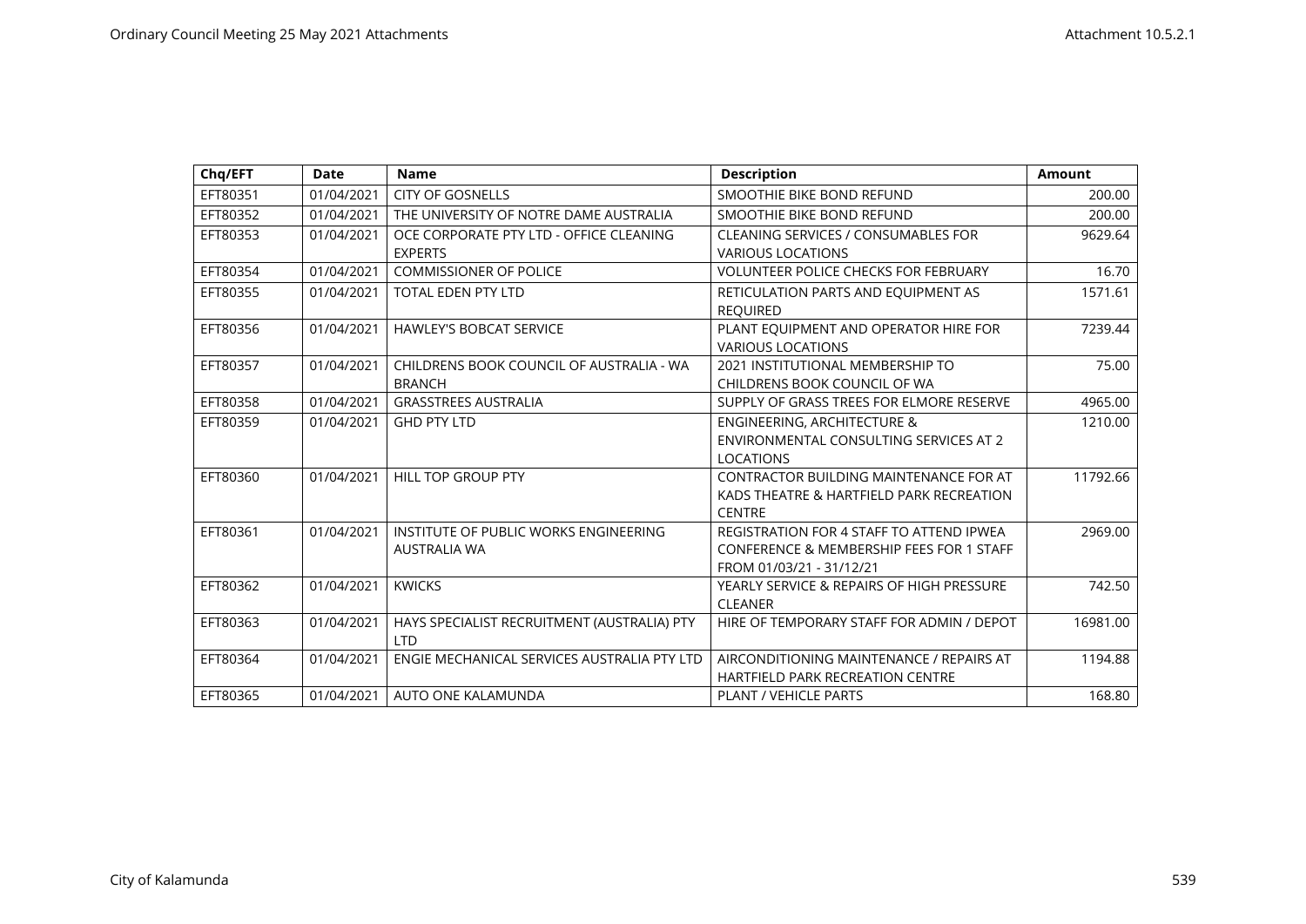| Chq/EFT  | Date       | <b>Name</b>                                 | <b>Description</b>                                  | <b>Amount</b> |
|----------|------------|---------------------------------------------|-----------------------------------------------------|---------------|
| EFT80351 | 01/04/2021 | <b>CITY OF GOSNELLS</b>                     | SMOOTHIE BIKE BOND REFUND                           | 200.00        |
| EFT80352 | 01/04/2021 | THE UNIVERSITY OF NOTRE DAME AUSTRALIA      | SMOOTHIE BIKE BOND REFUND                           | 200.00        |
| EFT80353 | 01/04/2021 | OCE CORPORATE PTY LTD - OFFICE CLEANING     | CLEANING SERVICES / CONSUMABLES FOR                 | 9629.64       |
|          |            | <b>EXPERTS</b>                              | <b>VARIOUS LOCATIONS</b>                            |               |
| EFT80354 | 01/04/2021 | <b>COMMISSIONER OF POLICE</b>               | <b>VOLUNTEER POLICE CHECKS FOR FEBRUARY</b>         | 16.70         |
| EFT80355 | 01/04/2021 | <b>TOTAL EDEN PTY LTD</b>                   | RETICULATION PARTS AND EQUIPMENT AS                 | 1571.61       |
|          |            |                                             | <b>REOUIRED</b>                                     |               |
| EFT80356 | 01/04/2021 | <b>HAWLEY'S BOBCAT SERVICE</b>              | PLANT EQUIPMENT AND OPERATOR HIRE FOR               | 7239.44       |
|          |            |                                             | <b>VARIOUS LOCATIONS</b>                            |               |
| EFT80357 | 01/04/2021 | CHILDRENS BOOK COUNCIL OF AUSTRALIA - WA    | 2021 INSTITUTIONAL MEMBERSHIP TO                    | 75.00         |
|          |            | <b>BRANCH</b>                               | CHILDRENS BOOK COUNCIL OF WA                        |               |
| EFT80358 | 01/04/2021 | <b>GRASSTREES AUSTRALIA</b>                 | SUPPLY OF GRASS TREES FOR ELMORE RESERVE            | 4965.00       |
| EFT80359 | 01/04/2021 | <b>GHD PTY LTD</b>                          | <b>ENGINEERING, ARCHITECTURE &amp;</b>              | 1210.00       |
|          |            |                                             | ENVIRONMENTAL CONSULTING SERVICES AT 2              |               |
|          |            |                                             | <b>LOCATIONS</b>                                    |               |
| EFT80360 | 01/04/2021 | HILL TOP GROUP PTY                          | CONTRACTOR BUILDING MAINTENANCE FOR AT              | 11792.66      |
|          |            |                                             | KADS THEATRE & HARTFIELD PARK RECREATION            |               |
|          |            |                                             | <b>CENTRE</b>                                       |               |
| EFT80361 | 01/04/2021 | INSTITUTE OF PUBLIC WORKS ENGINEERING       | REGISTRATION FOR 4 STAFF TO ATTEND IPWEA            | 2969.00       |
|          |            | <b>AUSTRALIA WA</b>                         | <b>CONFERENCE &amp; MEMBERSHIP FEES FOR 1 STAFF</b> |               |
|          |            |                                             | FROM 01/03/21 - 31/12/21                            |               |
| EFT80362 | 01/04/2021 | <b>KWICKS</b>                               | YEARLY SERVICE & REPAIRS OF HIGH PRESSURE           | 742.50        |
|          |            |                                             | <b>CLEANER</b>                                      |               |
| EFT80363 | 01/04/2021 | HAYS SPECIALIST RECRUITMENT (AUSTRALIA) PTY | HIRE OF TEMPORARY STAFF FOR ADMIN / DEPOT           | 16981.00      |
|          |            | I TD                                        |                                                     |               |
| EFT80364 | 01/04/2021 | ENGIE MECHANICAL SERVICES AUSTRALIA PTY LTD | AIRCONDITIONING MAINTENANCE / REPAIRS AT            | 1194.88       |
|          |            |                                             | <b>HARTFIELD PARK RECREATION CENTRE</b>             |               |
| EFT80365 | 01/04/2021 | AUTO ONE KALAMUNDA                          | <b>PLANT / VEHICLE PARTS</b>                        | 168.80        |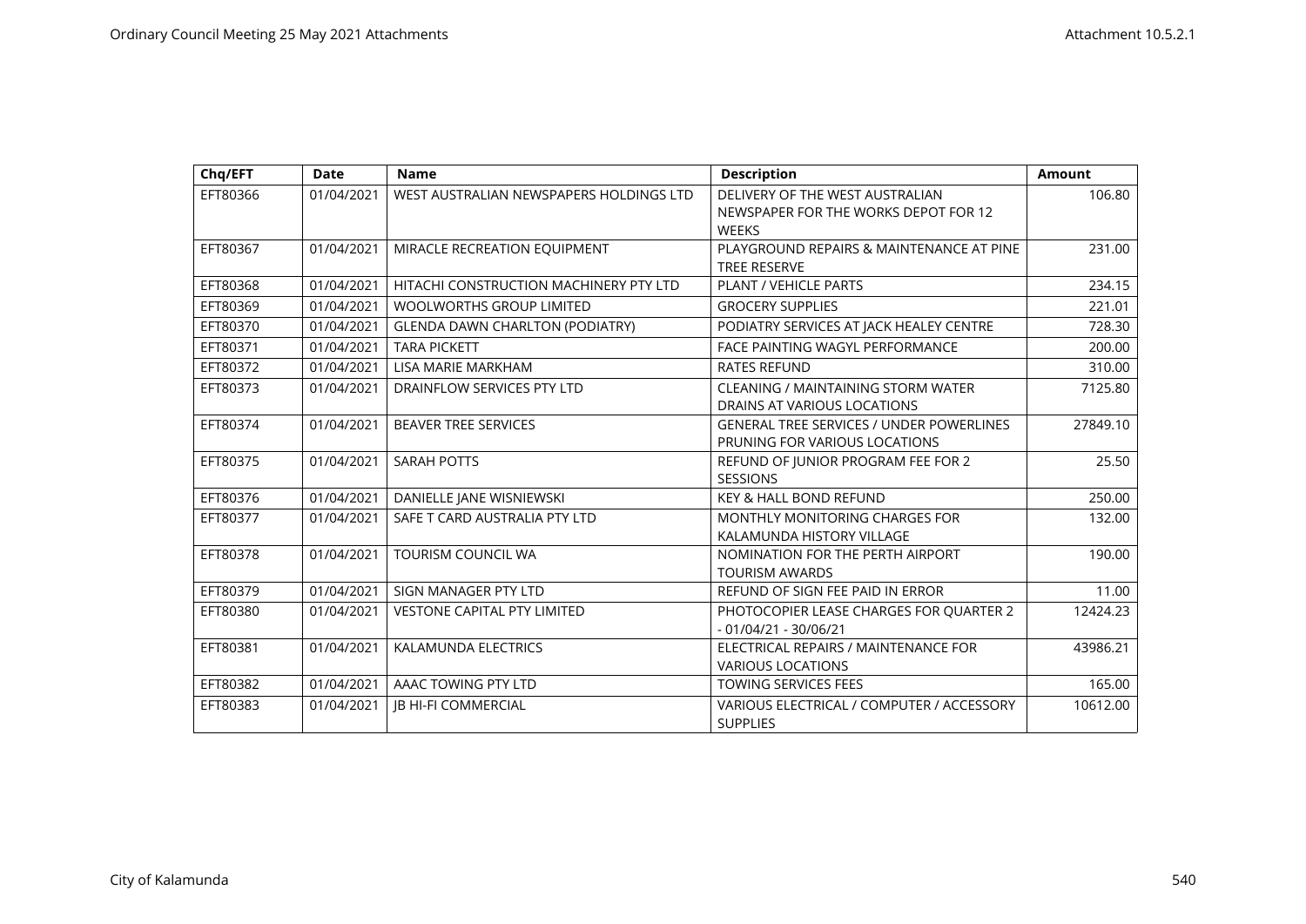| Chq/EFT  | <b>Date</b> | <b>Name</b>                             | <b>Description</b>                                                      | <b>Amount</b> |
|----------|-------------|-----------------------------------------|-------------------------------------------------------------------------|---------------|
| EFT80366 | 01/04/2021  | WEST AUSTRALIAN NEWSPAPERS HOLDINGS LTD | DELIVERY OF THE WEST AUSTRALIAN<br>NEWSPAPER FOR THE WORKS DEPOT FOR 12 | 106.80        |
|          |             |                                         | <b>WEEKS</b>                                                            |               |
| EFT80367 | 01/04/2021  | MIRACLE RECREATION EQUIPMENT            | PLAYGROUND REPAIRS & MAINTENANCE AT PINE                                | 231.00        |
|          |             |                                         | <b>TREE RESERVE</b>                                                     |               |
| EFT80368 | 01/04/2021  | HITACHI CONSTRUCTION MACHINERY PTY LTD  | <b>PLANT / VEHICLE PARTS</b>                                            | 234.15        |
| EFT80369 | 01/04/2021  | <b>WOOLWORTHS GROUP LIMITED</b>         | <b>GROCERY SUPPLIES</b>                                                 | 221.01        |
| EFT80370 | 01/04/2021  | <b>GLENDA DAWN CHARLTON (PODIATRY)</b>  | PODIATRY SERVICES AT JACK HEALEY CENTRE                                 | 728.30        |
| EFT80371 | 01/04/2021  | <b>TARA PICKETT</b>                     | <b>FACE PAINTING WAGYL PERFORMANCE</b>                                  | 200.00        |
| EFT80372 | 01/04/2021  | LISA MARIE MARKHAM                      | <b>RATES REFUND</b>                                                     | 310.00        |
| EFT80373 | 01/04/2021  | DRAINFLOW SERVICES PTY LTD              | CLEANING / MAINTAINING STORM WATER                                      | 7125.80       |
|          |             |                                         | DRAINS AT VARIOUS LOCATIONS                                             |               |
| EFT80374 | 01/04/2021  | <b>BEAVER TREE SERVICES</b>             | <b>GENERAL TREE SERVICES / UNDER POWERLINES</b>                         | 27849.10      |
|          |             |                                         | PRUNING FOR VARIOUS LOCATIONS                                           |               |
| EFT80375 | 01/04/2021  | <b>SARAH POTTS</b>                      | REFUND OF JUNIOR PROGRAM FEE FOR 2                                      | 25.50         |
|          |             |                                         | <b>SESSIONS</b>                                                         |               |
| EFT80376 | 01/04/2021  | DANIELLE JANE WISNIEWSKI                | KEY & HALL BOND REFUND                                                  | 250.00        |
| EFT80377 | 01/04/2021  | SAFE T CARD AUSTRALIA PTY LTD           | <b>MONTHLY MONITORING CHARGES FOR</b>                                   | 132.00        |
|          |             |                                         | KALAMUNDA HISTORY VILLAGE                                               |               |
| EFT80378 | 01/04/2021  | <b>TOURISM COUNCIL WA</b>               | NOMINATION FOR THE PERTH AIRPORT                                        | 190.00        |
|          |             |                                         | <b>TOURISM AWARDS</b>                                                   |               |
| EFT80379 | 01/04/2021  | SIGN MANAGER PTY LTD                    | REFUND OF SIGN FEE PAID IN ERROR                                        | 11.00         |
| EFT80380 | 01/04/2021  | <b>VESTONE CAPITAL PTY LIMITED</b>      | PHOTOCOPIER LEASE CHARGES FOR QUARTER 2                                 | 12424.23      |
|          |             |                                         | $-01/04/21 - 30/06/21$                                                  |               |
| EFT80381 | 01/04/2021  | <b>KALAMUNDA ELECTRICS</b>              | ELECTRICAL REPAIRS / MAINTENANCE FOR                                    | 43986.21      |
|          |             |                                         | <b>VARIOUS LOCATIONS</b>                                                |               |
| EFT80382 | 01/04/2021  | AAAC TOWING PTY LTD                     | TOWING SERVICES FEES                                                    | 165.00        |
| EFT80383 | 01/04/2021  | JB HI-FI COMMERCIAL                     | VARIOUS ELECTRICAL / COMPUTER / ACCESSORY                               | 10612.00      |
|          |             |                                         | <b>SUPPLIES</b>                                                         |               |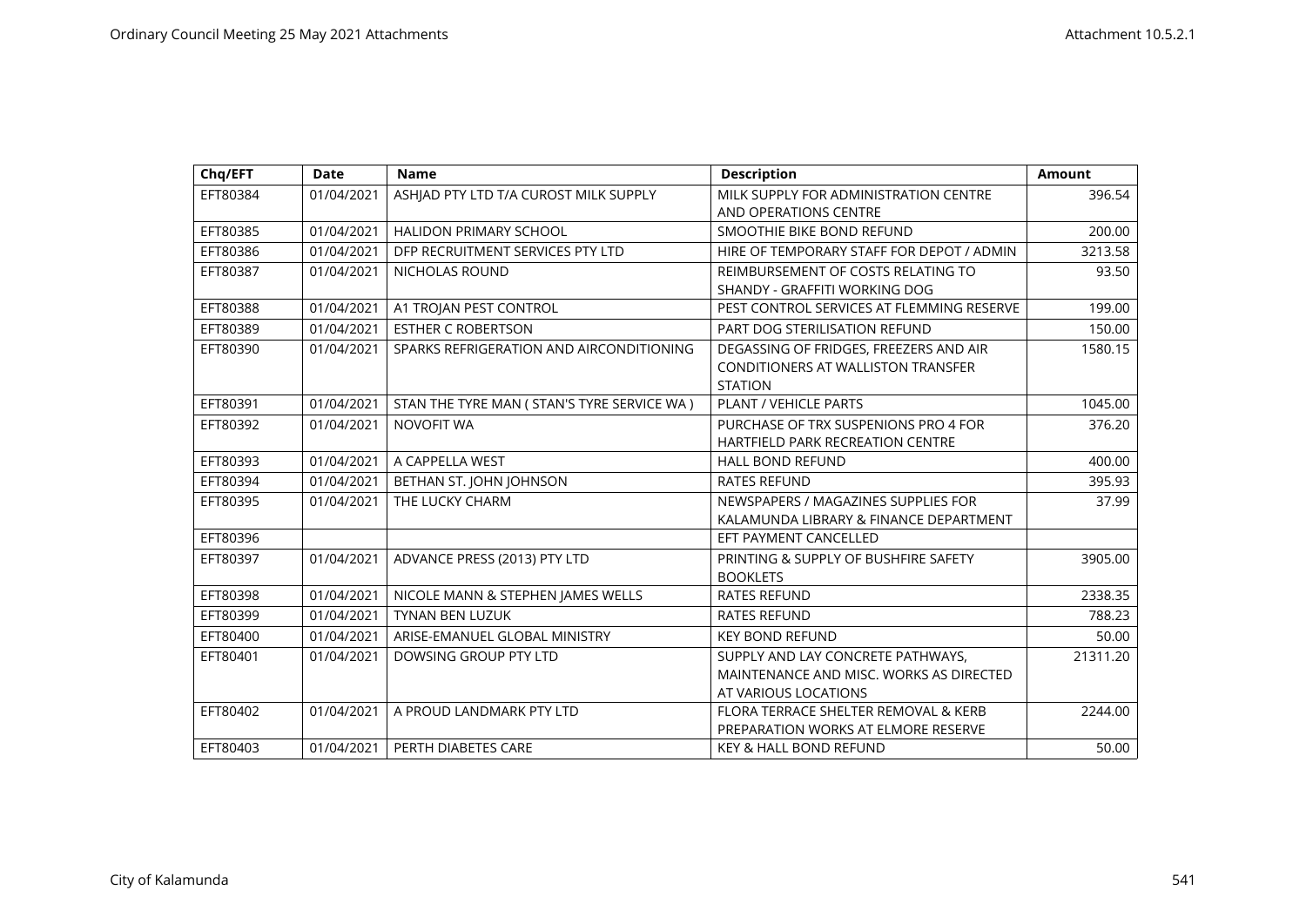| Chq/EFT  | <b>Date</b> | <b>Name</b>                                  | <b>Description</b>                                                                                   | <b>Amount</b> |
|----------|-------------|----------------------------------------------|------------------------------------------------------------------------------------------------------|---------------|
| EFT80384 | 01/04/2021  | ASHIAD PTY LTD T/A CUROST MILK SUPPLY        | MILK SUPPLY FOR ADMINISTRATION CENTRE<br>AND OPERATIONS CENTRE                                       | 396.54        |
| EFT80385 | 01/04/2021  | <b>HALIDON PRIMARY SCHOOL</b>                | SMOOTHIE BIKE BOND REFUND                                                                            | 200.00        |
| EFT80386 | 01/04/2021  | DFP RECRUITMENT SERVICES PTY LTD             | HIRE OF TEMPORARY STAFF FOR DEPOT / ADMIN                                                            | 3213.58       |
| EFT80387 | 01/04/2021  | <b>NICHOLAS ROUND</b>                        | REIMBURSEMENT OF COSTS RELATING TO<br>SHANDY - GRAFFITI WORKING DOG                                  | 93.50         |
| EFT80388 | 01/04/2021  | A1 TROJAN PEST CONTROL                       | PEST CONTROL SERVICES AT FLEMMING RESERVE                                                            | 199.00        |
| EFT80389 | 01/04/2021  | <b>ESTHER C ROBERTSON</b>                    | <b>PART DOG STERILISATION REFUND</b>                                                                 | 150.00        |
| EFT80390 | 01/04/2021  | SPARKS REFRIGERATION AND AIRCONDITIONING     | DEGASSING OF FRIDGES, FREEZERS AND AIR<br>CONDITIONERS AT WALLISTON TRANSFER<br><b>STATION</b>       | 1580.15       |
| EFT80391 | 01/04/2021  | STAN THE TYRE MAN ( STAN'S TYRE SERVICE WA ) | PLANT / VEHICLE PARTS                                                                                | 1045.00       |
| EFT80392 | 01/04/2021  | <b>NOVOFIT WA</b>                            | PURCHASE OF TRX SUSPENIONS PRO 4 FOR<br><b>HARTFIELD PARK RECREATION CENTRE</b>                      | 376.20        |
| EFT80393 | 01/04/2021  | A CAPPELLA WEST                              | <b>HALL BOND REFUND</b>                                                                              | 400.00        |
| EFT80394 | 01/04/2021  | BETHAN ST. JOHN JOHNSON                      | <b>RATES REFUND</b>                                                                                  | 395.93        |
| EFT80395 | 01/04/2021  | THE LUCKY CHARM                              | NEWSPAPERS / MAGAZINES SUPPLIES FOR<br>KALAMUNDA LIBRARY & FINANCE DEPARTMENT                        | 37.99         |
| EFT80396 |             |                                              | EFT PAYMENT CANCELLED                                                                                |               |
| EFT80397 | 01/04/2021  | ADVANCE PRESS (2013) PTY LTD                 | PRINTING & SUPPLY OF BUSHFIRE SAFETY<br><b>BOOKLETS</b>                                              | 3905.00       |
| EFT80398 | 01/04/2021  | NICOLE MANN & STEPHEN JAMES WELLS            | <b>RATES REFUND</b>                                                                                  | 2338.35       |
| EFT80399 | 01/04/2021  | <b>TYNAN BEN LUZUK</b>                       | <b>RATES REFUND</b>                                                                                  | 788.23        |
| EFT80400 | 01/04/2021  | ARISE-EMANUEL GLOBAL MINISTRY                | <b>KEY BOND REFUND</b>                                                                               | 50.00         |
| EFT80401 | 01/04/2021  | DOWSING GROUP PTY LTD                        | SUPPLY AND LAY CONCRETE PATHWAYS,<br>MAINTENANCE AND MISC. WORKS AS DIRECTED<br>AT VARIOUS LOCATIONS | 21311.20      |
| EFT80402 | 01/04/2021  | A PROUD LANDMARK PTY LTD                     | FLORA TERRACE SHELTER REMOVAL & KERB<br>PREPARATION WORKS AT ELMORE RESERVE                          | 2244.00       |
| EFT80403 | 01/04/2021  | PERTH DIABETES CARE                          | <b>KEY &amp; HALL BOND REFUND</b>                                                                    | 50.00         |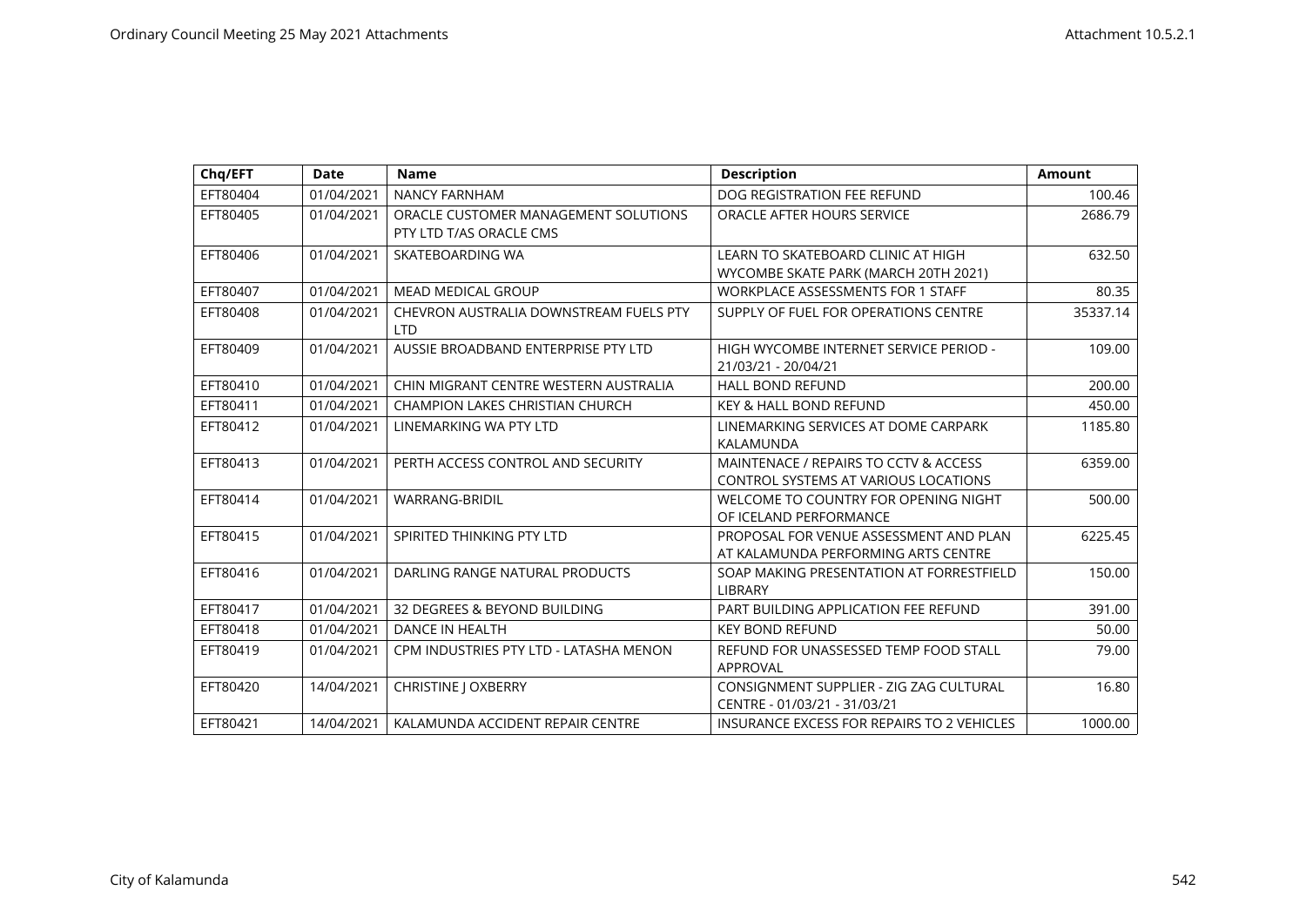| Chq/EFT  | <b>Date</b> | <b>Name</b>                                                     | <b>Description</b>                                                                   | <b>Amount</b> |
|----------|-------------|-----------------------------------------------------------------|--------------------------------------------------------------------------------------|---------------|
| EFT80404 | 01/04/2021  | <b>NANCY FARNHAM</b>                                            | DOG REGISTRATION FEE REFUND                                                          | 100.46        |
| EFT80405 | 01/04/2021  | ORACLE CUSTOMER MANAGEMENT SOLUTIONS<br>PTY LTD T/AS ORACLE CMS | ORACLE AFTER HOURS SERVICE                                                           | 2686.79       |
| EFT80406 | 01/04/2021  | SKATEBOARDING WA                                                | LEARN TO SKATEBOARD CLINIC AT HIGH<br>WYCOMBE SKATE PARK (MARCH 20TH 2021)           | 632.50        |
| EFT80407 | 01/04/2021  | <b>MEAD MEDICAL GROUP</b>                                       | <b>WORKPLACE ASSESSMENTS FOR 1 STAFF</b>                                             | 80.35         |
| EFT80408 | 01/04/2021  | CHEVRON AUSTRALIA DOWNSTREAM FUELS PTY<br><b>LTD</b>            | SUPPLY OF FUEL FOR OPERATIONS CENTRE                                                 | 35337.14      |
| EFT80409 | 01/04/2021  | AUSSIE BROADBAND ENTERPRISE PTY LTD                             | HIGH WYCOMBE INTERNET SERVICE PERIOD -<br>21/03/21 - 20/04/21                        | 109.00        |
| EFT80410 | 01/04/2021  | CHIN MIGRANT CENTRE WESTERN AUSTRALIA                           | <b>HALL BOND REFUND</b>                                                              | 200.00        |
| EFT80411 | 01/04/2021  | <b>CHAMPION LAKES CHRISTIAN CHURCH</b>                          | <b>KEY &amp; HALL BOND REFUND</b>                                                    | 450.00        |
| EFT80412 | 01/04/2021  | LINEMARKING WA PTY LTD                                          | LINEMARKING SERVICES AT DOME CARPARK<br>KALAMUNDA                                    | 1185.80       |
| EFT80413 | 01/04/2021  | PERTH ACCESS CONTROL AND SECURITY                               | MAINTENACE / REPAIRS TO CCTV & ACCESS<br><b>CONTROL SYSTEMS AT VARIOUS LOCATIONS</b> | 6359.00       |
| EFT80414 | 01/04/2021  | <b>WARRANG-BRIDIL</b>                                           | WELCOME TO COUNTRY FOR OPENING NIGHT<br>OF ICELAND PERFORMANCE                       | 500.00        |
| EFT80415 | 01/04/2021  | SPIRITED THINKING PTY LTD                                       | PROPOSAL FOR VENUE ASSESSMENT AND PLAN<br>AT KALAMUNDA PERFORMING ARTS CENTRE        | 6225.45       |
| EFT80416 | 01/04/2021  | DARLING RANGE NATURAL PRODUCTS                                  | SOAP MAKING PRESENTATION AT FORRESTFIELD<br>LIBRARY                                  | 150.00        |
| EFT80417 | 01/04/2021  | 32 DEGREES & BEYOND BUILDING                                    | PART BUILDING APPLICATION FEE REFUND                                                 | 391.00        |
| EFT80418 | 01/04/2021  | <b>DANCE IN HEALTH</b>                                          | <b>KEY BOND REFUND</b>                                                               | 50.00         |
| EFT80419 | 01/04/2021  | CPM INDUSTRIES PTY LTD - LATASHA MENON                          | REFUND FOR UNASSESSED TEMP FOOD STALL<br><b>APPROVAL</b>                             | 79.00         |
| EFT80420 | 14/04/2021  | <b>CHRISTINE   OXBERRY</b>                                      | CONSIGNMENT SUPPLIER - ZIG ZAG CULTURAL<br>CENTRE - 01/03/21 - 31/03/21              | 16.80         |
| EFT80421 | 14/04/2021  | KALAMUNDA ACCIDENT REPAIR CENTRE                                | INSURANCE EXCESS FOR REPAIRS TO 2 VEHICLES                                           | 1000.00       |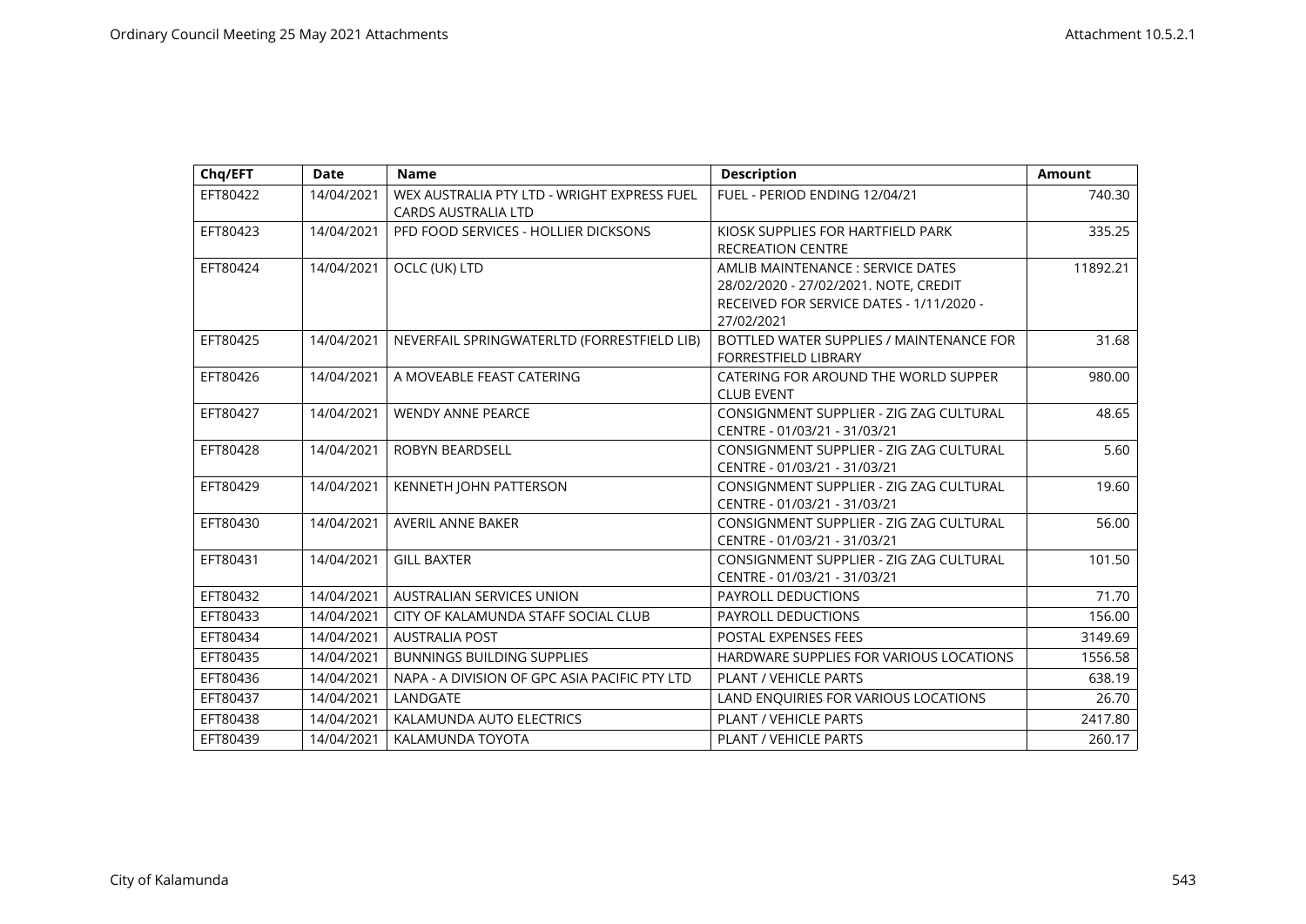| Chq/EFT  | <b>Date</b> | <b>Name</b>                                                               | <b>Description</b>                                                                                                                   | <b>Amount</b> |
|----------|-------------|---------------------------------------------------------------------------|--------------------------------------------------------------------------------------------------------------------------------------|---------------|
| EFT80422 | 14/04/2021  | WEX AUSTRALIA PTY LTD - WRIGHT EXPRESS FUEL<br><b>CARDS AUSTRALIA LTD</b> | FUEL - PERIOD ENDING 12/04/21                                                                                                        | 740.30        |
| EFT80423 | 14/04/2021  | PFD FOOD SERVICES - HOLLIER DICKSONS                                      | KIOSK SUPPLIES FOR HARTFIELD PARK<br><b>RECREATION CENTRE</b>                                                                        | 335.25        |
| EFT80424 | 14/04/2021  | OCLC (UK) LTD                                                             | AMLIB MAINTENANCE : SERVICE DATES<br>28/02/2020 - 27/02/2021. NOTE, CREDIT<br>RECEIVED FOR SERVICE DATES - 1/11/2020 -<br>27/02/2021 | 11892.21      |
| EFT80425 | 14/04/2021  | NEVERFAIL SPRINGWATERLTD (FORRESTFIELD LIB)                               | BOTTLED WATER SUPPLIES / MAINTENANCE FOR<br><b>FORRESTFIELD LIBRARY</b>                                                              | 31.68         |
| EFT80426 | 14/04/2021  | A MOVEABLE FEAST CATERING                                                 | CATERING FOR AROUND THE WORLD SUPPER<br><b>CLUB EVENT</b>                                                                            | 980.00        |
| EFT80427 | 14/04/2021  | <b>WENDY ANNE PEARCE</b>                                                  | CONSIGNMENT SUPPLIER - ZIG ZAG CULTURAL<br>CENTRE - 01/03/21 - 31/03/21                                                              | 48.65         |
| EFT80428 | 14/04/2021  | ROBYN BEARDSELL                                                           | CONSIGNMENT SUPPLIER - ZIG ZAG CULTURAL<br>CENTRE - 01/03/21 - 31/03/21                                                              | 5.60          |
| EFT80429 | 14/04/2021  | KENNETH JOHN PATTERSON                                                    | CONSIGNMENT SUPPLIER - ZIG ZAG CULTURAL<br>CENTRE - 01/03/21 - 31/03/21                                                              | 19.60         |
| EFT80430 | 14/04/2021  | <b>AVERIL ANNE BAKER</b>                                                  | CONSIGNMENT SUPPLIER - ZIG ZAG CULTURAL<br>CENTRE - 01/03/21 - 31/03/21                                                              | 56.00         |
| EFT80431 | 14/04/2021  | <b>GILL BAXTER</b>                                                        | CONSIGNMENT SUPPLIER - ZIG ZAG CULTURAL<br>CENTRE - 01/03/21 - 31/03/21                                                              | 101.50        |
| EFT80432 | 14/04/2021  | <b>AUSTRALIAN SERVICES UNION</b>                                          | PAYROLL DEDUCTIONS                                                                                                                   | 71.70         |
| EFT80433 | 14/04/2021  | CITY OF KALAMUNDA STAFF SOCIAL CLUB                                       | PAYROLL DEDUCTIONS                                                                                                                   | 156.00        |
| EFT80434 | 14/04/2021  | <b>AUSTRALIA POST</b>                                                     | <b>POSTAL EXPENSES FEES</b>                                                                                                          | 3149.69       |
| EFT80435 | 14/04/2021  | <b>BUNNINGS BUILDING SUPPLIES</b>                                         | HARDWARE SUPPLIES FOR VARIOUS LOCATIONS                                                                                              | 1556.58       |
| EFT80436 | 14/04/2021  | NAPA - A DIVISION OF GPC ASIA PACIFIC PTY LTD                             | <b>PLANT / VEHICLE PARTS</b>                                                                                                         | 638.19        |
| EFT80437 | 14/04/2021  | LANDGATE                                                                  | LAND ENQUIRIES FOR VARIOUS LOCATIONS                                                                                                 | 26.70         |
| EFT80438 | 14/04/2021  | KALAMUNDA AUTO ELECTRICS                                                  | <b>PLANT / VEHICLE PARTS</b>                                                                                                         | 2417.80       |
| EFT80439 | 14/04/2021  | KALAMUNDA TOYOTA                                                          | <b>PLANT / VEHICLE PARTS</b>                                                                                                         | 260.17        |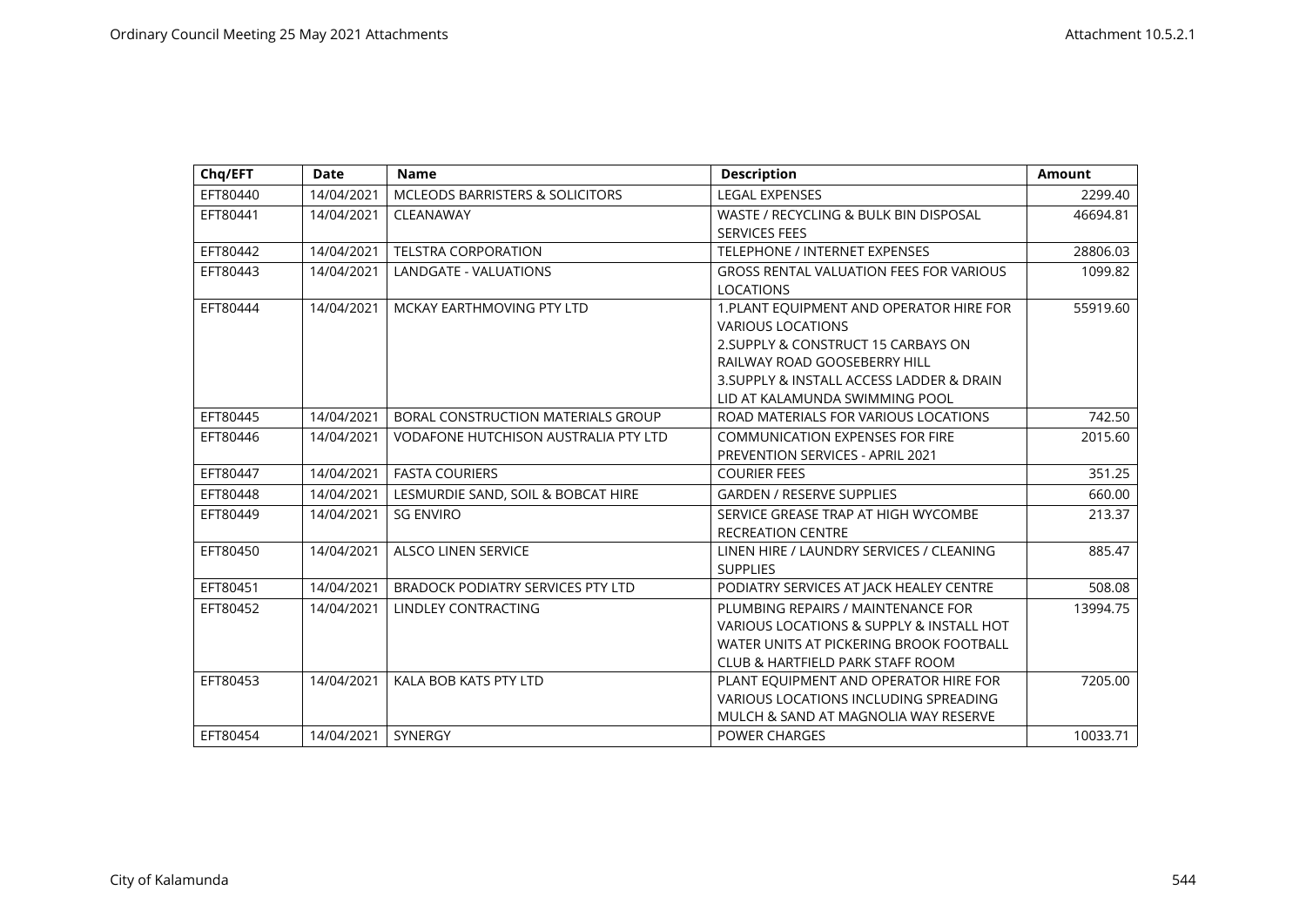| EFT80440<br>14/04/2021<br><b>MCLEODS BARRISTERS &amp; SOLICITORS</b><br>EFT80441<br>14/04/2021<br>CLEANAWAY<br><b>TELSTRA CORPORATION</b><br>EFT80442<br>14/04/2021 | <b>LEGAL EXPENSES</b><br>WASTE / RECYCLING & BULK BIN DISPOSAL<br><b>SERVICES FEES</b><br>TELEPHONE / INTERNET EXPENSES<br><b>GROSS RENTAL VALUATION FEES FOR VARIOUS</b><br><b>LOCATIONS</b><br>1. PLANT EQUIPMENT AND OPERATOR HIRE FOR | 2299.40<br>46694.81<br>28806.03<br>1099.82 |
|---------------------------------------------------------------------------------------------------------------------------------------------------------------------|-------------------------------------------------------------------------------------------------------------------------------------------------------------------------------------------------------------------------------------------|--------------------------------------------|
|                                                                                                                                                                     |                                                                                                                                                                                                                                           |                                            |
|                                                                                                                                                                     |                                                                                                                                                                                                                                           |                                            |
|                                                                                                                                                                     |                                                                                                                                                                                                                                           |                                            |
| EFT80443<br>14/04/2021<br><b>LANDGATE - VALUATIONS</b>                                                                                                              |                                                                                                                                                                                                                                           |                                            |
| EFT80444<br>14/04/2021<br>MCKAY EARTHMOVING PTY LTD                                                                                                                 | <b>VARIOUS LOCATIONS</b><br>2. SUPPLY & CONSTRUCT 15 CARBAYS ON<br>RAILWAY ROAD GOOSEBERRY HILL<br>3. SUPPLY & INSTALL ACCESS LADDER & DRAIN<br>LID AT KALAMUNDA SWIMMING POOL                                                            | 55919.60                                   |
| BORAL CONSTRUCTION MATERIALS GROUP<br>EFT80445<br>14/04/2021                                                                                                        | ROAD MATERIALS FOR VARIOUS LOCATIONS                                                                                                                                                                                                      | 742.50                                     |
| EFT80446<br>14/04/2021<br><b>VODAFONE HUTCHISON AUSTRALIA PTY LTD</b>                                                                                               | <b>COMMUNICATION EXPENSES FOR FIRE</b><br><b>PREVENTION SERVICES - APRIL 2021</b>                                                                                                                                                         | 2015.60                                    |
| EFT80447<br>14/04/2021<br><b>FASTA COURIERS</b>                                                                                                                     | <b>COURIER FEES</b>                                                                                                                                                                                                                       | 351.25                                     |
| EFT80448<br>14/04/2021<br>LESMURDIE SAND, SOIL & BOBCAT HIRE                                                                                                        | <b>GARDEN / RESERVE SUPPLIES</b>                                                                                                                                                                                                          | 660.00                                     |
| <b>SG ENVIRO</b><br>EFT80449<br>14/04/2021                                                                                                                          | SERVICE GREASE TRAP AT HIGH WYCOMBE<br><b>RECREATION CENTRE</b>                                                                                                                                                                           | 213.37                                     |
| EFT80450<br>14/04/2021<br><b>ALSCO LINEN SERVICE</b>                                                                                                                | LINEN HIRE / LAUNDRY SERVICES / CLEANING<br><b>SUPPLIES</b>                                                                                                                                                                               | 885.47                                     |
| EFT80451<br>14/04/2021<br><b>BRADOCK PODIATRY SERVICES PTY LTD</b>                                                                                                  | PODIATRY SERVICES AT JACK HEALEY CENTRE                                                                                                                                                                                                   | 508.08                                     |
| EFT80452<br>14/04/2021<br>LINDLEY CONTRACTING                                                                                                                       | PLUMBING REPAIRS / MAINTENANCE FOR<br>VARIOUS LOCATIONS & SUPPLY & INSTALL HOT<br>WATER UNITS AT PICKERING BROOK FOOTBALL<br>CLUB & HARTFIELD PARK STAFF ROOM                                                                             | 13994.75                                   |
| EFT80453<br>14/04/2021<br>KALA BOB KATS PTY LTD<br>EFT80454<br>14/04/2021<br><b>SYNERGY</b>                                                                         | PLANT EQUIPMENT AND OPERATOR HIRE FOR<br>VARIOUS LOCATIONS INCLUDING SPREADING<br>MULCH & SAND AT MAGNOLIA WAY RESERVE<br><b>POWER CHARGES</b>                                                                                            | 7205.00<br>10033.71                        |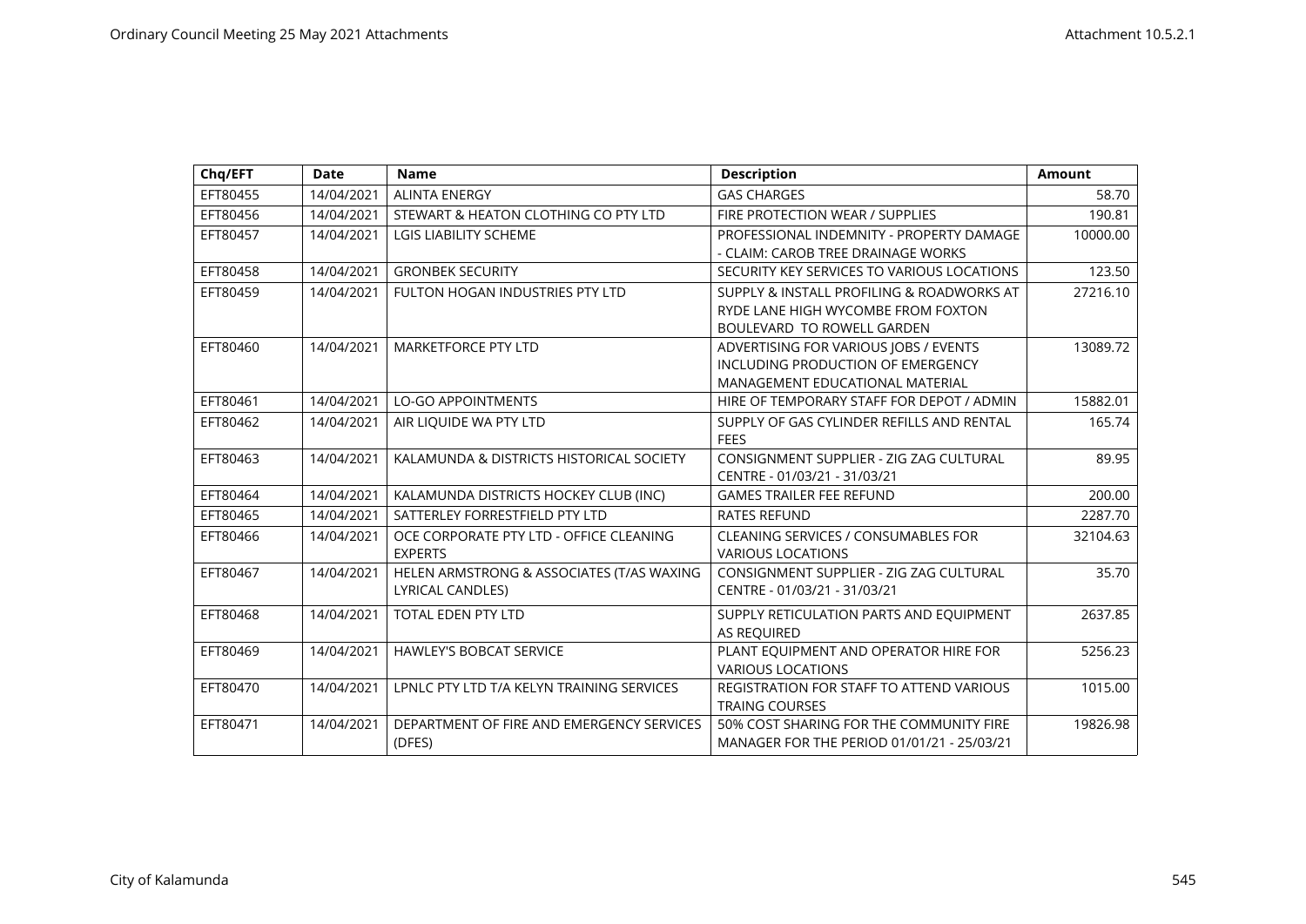| Chq/EFT  | <b>Date</b> | <b>Name</b>                               | <b>Description</b>                         | <b>Amount</b> |
|----------|-------------|-------------------------------------------|--------------------------------------------|---------------|
| EFT80455 | 14/04/2021  | <b>ALINTA ENERGY</b>                      | <b>GAS CHARGES</b>                         | 58.70         |
| EFT80456 | 14/04/2021  | STEWART & HEATON CLOTHING CO PTY LTD      | FIRE PROTECTION WEAR / SUPPLIES            | 190.81        |
| EFT80457 | 14/04/2021  | <b>LGIS LIABILITY SCHEME</b>              | PROFESSIONAL INDEMNITY - PROPERTY DAMAGE   | 10000.00      |
|          |             |                                           | - CLAIM: CAROB TREE DRAINAGE WORKS         |               |
| EFT80458 | 14/04/2021  | <b>GRONBEK SECURITY</b>                   | SECURITY KEY SERVICES TO VARIOUS LOCATIONS | 123.50        |
| EFT80459 | 14/04/2021  | FULTON HOGAN INDUSTRIES PTY LTD           | SUPPLY & INSTALL PROFILING & ROADWORKS AT  | 27216.10      |
|          |             |                                           | RYDE LANE HIGH WYCOMBE FROM FOXTON         |               |
|          |             |                                           | <b>BOULEVARD TO ROWELL GARDEN</b>          |               |
| EFT80460 | 14/04/2021  | <b>MARKETFORCE PTY LTD</b>                | ADVERTISING FOR VARIOUS JOBS / EVENTS      | 13089.72      |
|          |             |                                           | INCLUDING PRODUCTION OF EMERGENCY          |               |
|          |             |                                           | MANAGEMENT EDUCATIONAL MATERIAL            |               |
| EFT80461 | 14/04/2021  | <b>LO-GO APPOINTMENTS</b>                 | HIRE OF TEMPORARY STAFF FOR DEPOT / ADMIN  | 15882.01      |
| EFT80462 | 14/04/2021  | AIR LIQUIDE WA PTY LTD                    | SUPPLY OF GAS CYLINDER REFILLS AND RENTAL  | 165.74        |
|          |             |                                           | <b>FEES</b>                                |               |
| EFT80463 | 14/04/2021  | KALAMUNDA & DISTRICTS HISTORICAL SOCIETY  | CONSIGNMENT SUPPLIER - ZIG ZAG CULTURAL    | 89.95         |
|          |             |                                           | CENTRE - 01/03/21 - 31/03/21               |               |
| EFT80464 | 14/04/2021  | KALAMUNDA DISTRICTS HOCKEY CLUB (INC)     | <b>GAMES TRAILER FEE REFUND</b>            | 200.00        |
| EFT80465 | 14/04/2021  | SATTERLEY FORRESTFIELD PTY LTD            | <b>RATES REFUND</b>                        | 2287.70       |
| EFT80466 | 14/04/2021  | OCE CORPORATE PTY LTD - OFFICE CLEANING   | <b>CLEANING SERVICES / CONSUMABLES FOR</b> | 32104.63      |
|          |             | <b>EXPERTS</b>                            | <b>VARIOUS LOCATIONS</b>                   |               |
| EFT80467 | 14/04/2021  | HELEN ARMSTRONG & ASSOCIATES (T/AS WAXING | CONSIGNMENT SUPPLIER - ZIG ZAG CULTURAL    | 35.70         |
|          |             | LYRICAL CANDLES)                          | CENTRE - 01/03/21 - 31/03/21               |               |
| EFT80468 | 14/04/2021  | <b>TOTAL EDEN PTY LTD</b>                 | SUPPLY RETICULATION PARTS AND EQUIPMENT    | 2637.85       |
|          |             |                                           | <b>AS REQUIRED</b>                         |               |
| EFT80469 | 14/04/2021  | <b>HAWLEY'S BOBCAT SERVICE</b>            | PLANT EQUIPMENT AND OPERATOR HIRE FOR      | 5256.23       |
|          |             |                                           | <b>VARIOUS LOCATIONS</b>                   |               |
| EFT80470 | 14/04/2021  | LPNLC PTY LTD T/A KELYN TRAINING SERVICES | REGISTRATION FOR STAFF TO ATTEND VARIOUS   | 1015.00       |
|          |             |                                           | <b>TRAING COURSES</b>                      |               |
| EFT80471 | 14/04/2021  | DEPARTMENT OF FIRE AND EMERGENCY SERVICES | 50% COST SHARING FOR THE COMMUNITY FIRE    | 19826.98      |
|          |             | (DFES)                                    | MANAGER FOR THE PERIOD 01/01/21 - 25/03/21 |               |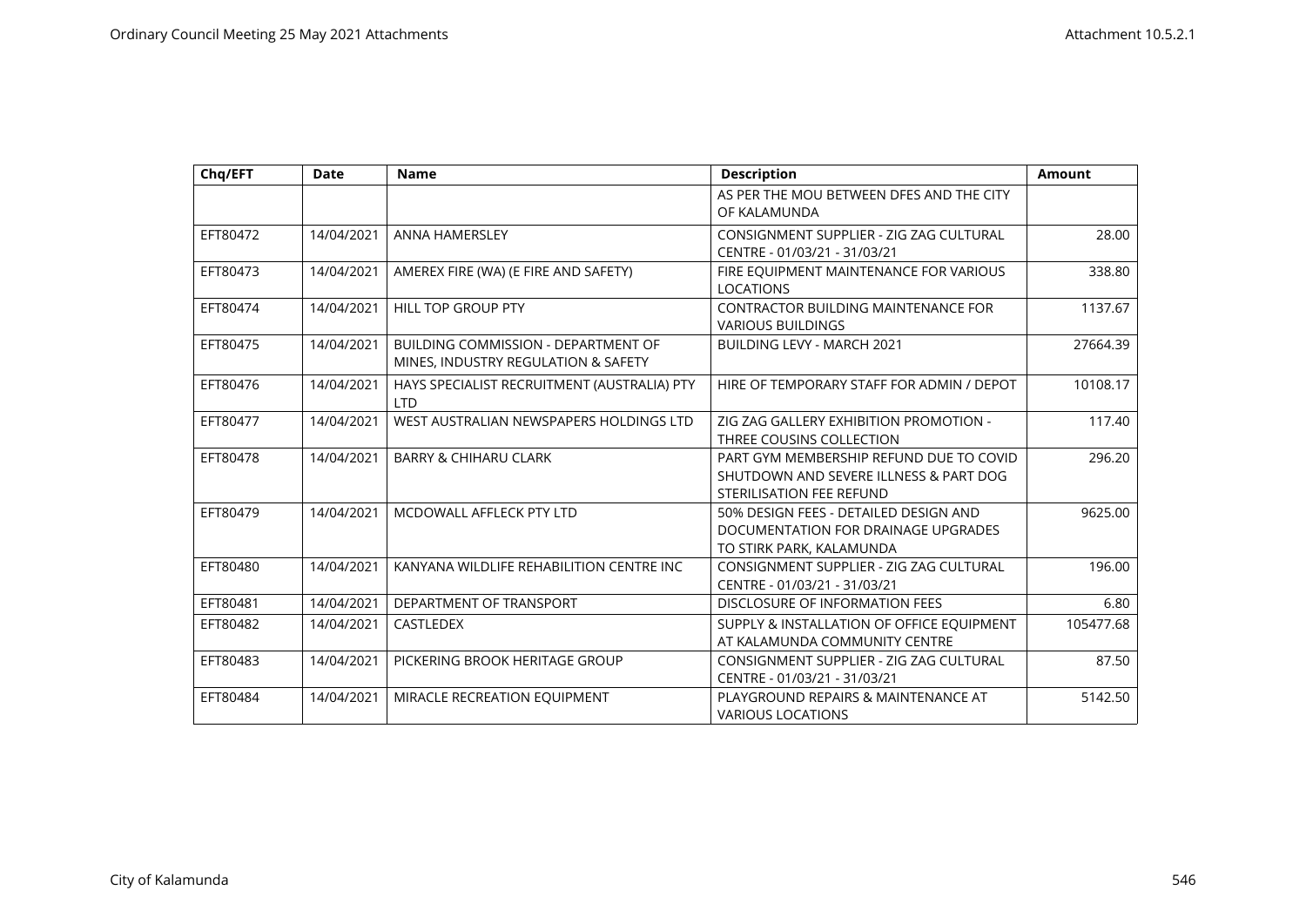| Chq/EFT  | <b>Date</b> | <b>Name</b>                                                                | <b>Description</b>                                                                                            | <b>Amount</b> |
|----------|-------------|----------------------------------------------------------------------------|---------------------------------------------------------------------------------------------------------------|---------------|
|          |             |                                                                            | AS PER THE MOU BETWEEN DFES AND THE CITY<br>OF KALAMUNDA                                                      |               |
| EFT80472 | 14/04/2021  | <b>ANNA HAMERSLEY</b>                                                      | CONSIGNMENT SUPPLIER - ZIG ZAG CULTURAL<br>CENTRE - 01/03/21 - 31/03/21                                       | 28.00         |
| EFT80473 | 14/04/2021  | AMEREX FIRE (WA) (E FIRE AND SAFETY)                                       | FIRE EQUIPMENT MAINTENANCE FOR VARIOUS<br><b>LOCATIONS</b>                                                    | 338.80        |
| EFT80474 | 14/04/2021  | <b>HILL TOP GROUP PTY</b>                                                  | <b>CONTRACTOR BUILDING MAINTENANCE FOR</b><br><b>VARIOUS BUILDINGS</b>                                        | 1137.67       |
| EFT80475 | 14/04/2021  | BUILDING COMMISSION - DEPARTMENT OF<br>MINES, INDUSTRY REGULATION & SAFETY | BUILDING LEVY - MARCH 2021                                                                                    | 27664.39      |
| EFT80476 | 14/04/2021  | HAYS SPECIALIST RECRUITMENT (AUSTRALIA) PTY<br><b>LTD</b>                  | HIRE OF TEMPORARY STAFF FOR ADMIN / DEPOT                                                                     | 10108.17      |
| EFT80477 | 14/04/2021  | WEST AUSTRALIAN NEWSPAPERS HOLDINGS LTD                                    | ZIG ZAG GALLERY EXHIBITION PROMOTION -<br>THREE COUSINS COLLECTION                                            | 117.40        |
| EFT80478 | 14/04/2021  | <b>BARRY &amp; CHIHARU CLARK</b>                                           | PART GYM MEMBERSHIP REFUND DUE TO COVID<br>SHUTDOWN AND SEVERE ILLNESS & PART DOG<br>STERILISATION FEE REFUND | 296.20        |
| EFT80479 | 14/04/2021  | MCDOWALL AFFLECK PTY LTD                                                   | 50% DESIGN FEES - DETAILED DESIGN AND<br>DOCUMENTATION FOR DRAINAGE UPGRADES<br>TO STIRK PARK, KALAMUNDA      | 9625.00       |
| EFT80480 | 14/04/2021  | KANYANA WILDLIFE REHABILITION CENTRE INC                                   | CONSIGNMENT SUPPLIER - ZIG ZAG CULTURAL<br>CENTRE - 01/03/21 - 31/03/21                                       | 196.00        |
| EFT80481 | 14/04/2021  | DEPARTMENT OF TRANSPORT                                                    | DISCLOSURE OF INFORMATION FEES                                                                                | 6.80          |
| EFT80482 | 14/04/2021  | <b>CASTLEDEX</b>                                                           | SUPPLY & INSTALLATION OF OFFICE EQUIPMENT<br>AT KALAMUNDA COMMUNITY CENTRE                                    | 105477.68     |
| EFT80483 | 14/04/2021  | PICKERING BROOK HERITAGE GROUP                                             | CONSIGNMENT SUPPLIER - ZIG ZAG CULTURAL<br>CENTRE - 01/03/21 - 31/03/21                                       | 87.50         |
| EFT80484 | 14/04/2021  | MIRACLE RECREATION EQUIPMENT                                               | PLAYGROUND REPAIRS & MAINTENANCE AT<br><b>VARIOUS LOCATIONS</b>                                               | 5142.50       |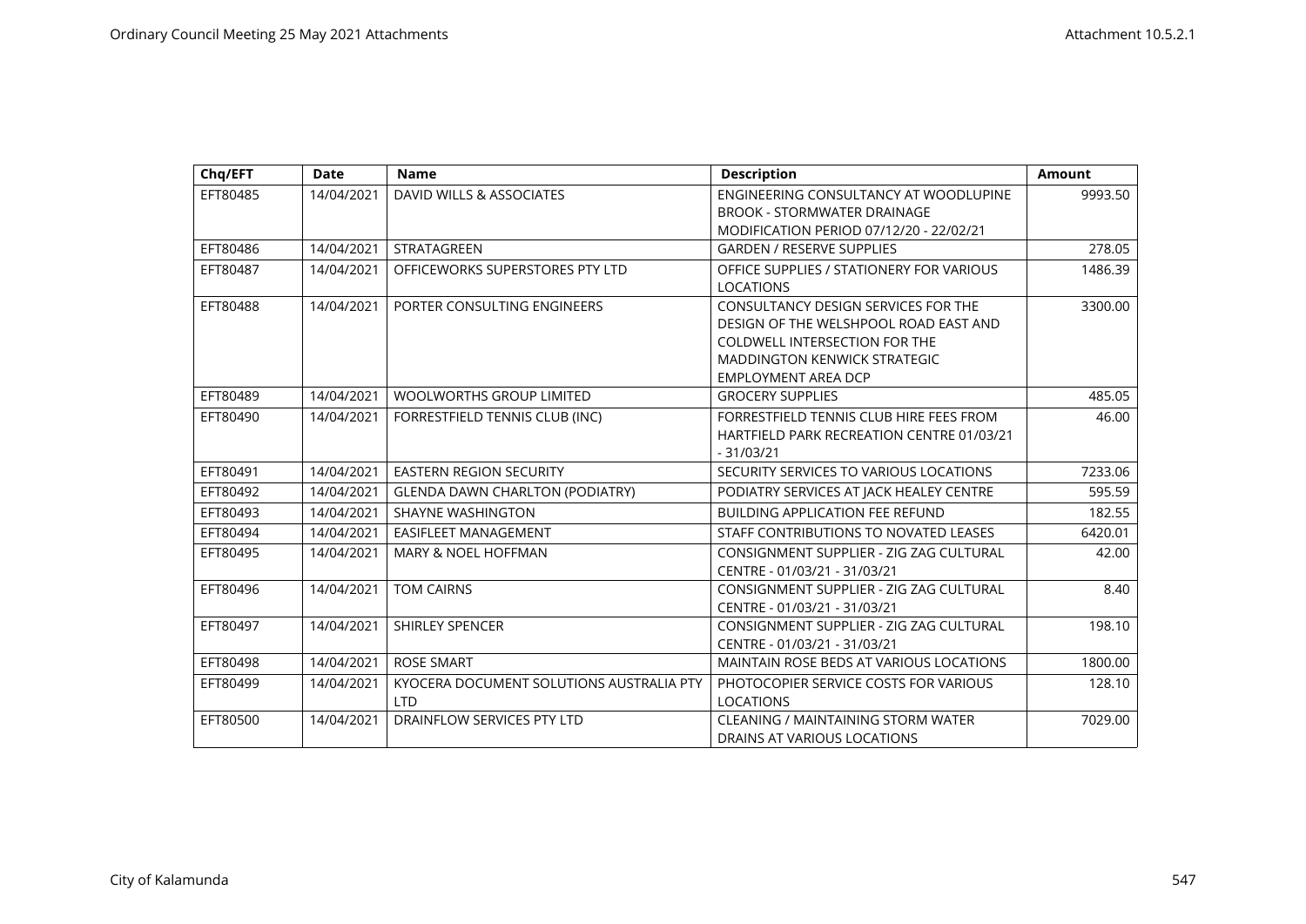| Chq/EFT  | <b>Date</b> | <b>Name</b>                              | <b>Description</b>                               | <b>Amount</b> |
|----------|-------------|------------------------------------------|--------------------------------------------------|---------------|
| EFT80485 | 14/04/2021  | DAVID WILLS & ASSOCIATES                 | ENGINEERING CONSULTANCY AT WOODLUPINE            | 9993.50       |
|          |             |                                          | <b>BROOK - STORMWATER DRAINAGE</b>               |               |
|          |             |                                          | MODIFICATION PERIOD 07/12/20 - 22/02/21          |               |
| EFT80486 | 14/04/2021  | STRATAGREEN                              | <b>GARDEN / RESERVE SUPPLIES</b>                 | 278.05        |
| EFT80487 | 14/04/2021  | OFFICEWORKS SUPERSTORES PTY LTD          | OFFICE SUPPLIES / STATIONERY FOR VARIOUS         | 1486.39       |
|          |             |                                          | <b>LOCATIONS</b>                                 |               |
| EFT80488 | 14/04/2021  | PORTER CONSULTING ENGINEERS              | CONSULTANCY DESIGN SERVICES FOR THE              | 3300.00       |
|          |             |                                          | DESIGN OF THE WELSHPOOL ROAD EAST AND            |               |
|          |             |                                          | <b>COLDWELL INTERSECTION FOR THE</b>             |               |
|          |             |                                          | <b>MADDINGTON KENWICK STRATEGIC</b>              |               |
|          |             |                                          | <b>EMPLOYMENT AREA DCP</b>                       |               |
| EFT80489 | 14/04/2021  | <b>WOOLWORTHS GROUP LIMITED</b>          | <b>GROCERY SUPPLIES</b>                          | 485.05        |
| EFT80490 | 14/04/2021  | FORRESTFIELD TENNIS CLUB (INC)           | FORRESTFIELD TENNIS CLUB HIRE FEES FROM          | 46.00         |
|          |             |                                          | <b>HARTFIELD PARK RECREATION CENTRE 01/03/21</b> |               |
|          |             |                                          | $-31/03/21$                                      |               |
| EFT80491 | 14/04/2021  | EASTERN REGION SECURITY                  | SECURITY SERVICES TO VARIOUS LOCATIONS           | 7233.06       |
| EFT80492 | 14/04/2021  | <b>GLENDA DAWN CHARLTON (PODIATRY)</b>   | PODIATRY SERVICES AT JACK HEALEY CENTRE          | 595.59        |
| EFT80493 | 14/04/2021  | <b>SHAYNE WASHINGTON</b>                 | <b>BUILDING APPLICATION FEE REFUND</b>           | 182.55        |
| EFT80494 | 14/04/2021  | <b>EASIFLEET MANAGEMENT</b>              | STAFF CONTRIBUTIONS TO NOVATED LEASES            | 6420.01       |
| EFT80495 | 14/04/2021  | <b>MARY &amp; NOEL HOFFMAN</b>           | CONSIGNMENT SUPPLIER - ZIG ZAG CULTURAL          | 42.00         |
|          |             |                                          | CENTRE - 01/03/21 - 31/03/21                     |               |
| EFT80496 | 14/04/2021  | <b>TOM CAIRNS</b>                        | CONSIGNMENT SUPPLIER - ZIG ZAG CULTURAL          | 8.40          |
|          |             |                                          | CENTRE - 01/03/21 - 31/03/21                     |               |
| EFT80497 | 14/04/2021  | <b>SHIRLEY SPENCER</b>                   | CONSIGNMENT SUPPLIER - ZIG ZAG CULTURAL          | 198.10        |
|          |             |                                          | CENTRE - 01/03/21 - 31/03/21                     |               |
| EFT80498 | 14/04/2021  | <b>ROSE SMART</b>                        | MAINTAIN ROSE BEDS AT VARIOUS LOCATIONS          | 1800.00       |
| EFT80499 | 14/04/2021  | KYOCERA DOCUMENT SOLUTIONS AUSTRALIA PTY | PHOTOCOPIER SERVICE COSTS FOR VARIOUS            | 128.10        |
|          |             | <b>LTD</b>                               | <b>LOCATIONS</b>                                 |               |
| EFT80500 | 14/04/2021  | DRAINFLOW SERVICES PTY LTD               | <b>CLEANING / MAINTAINING STORM WATER</b>        | 7029.00       |
|          |             |                                          | DRAINS AT VARIOUS LOCATIONS                      |               |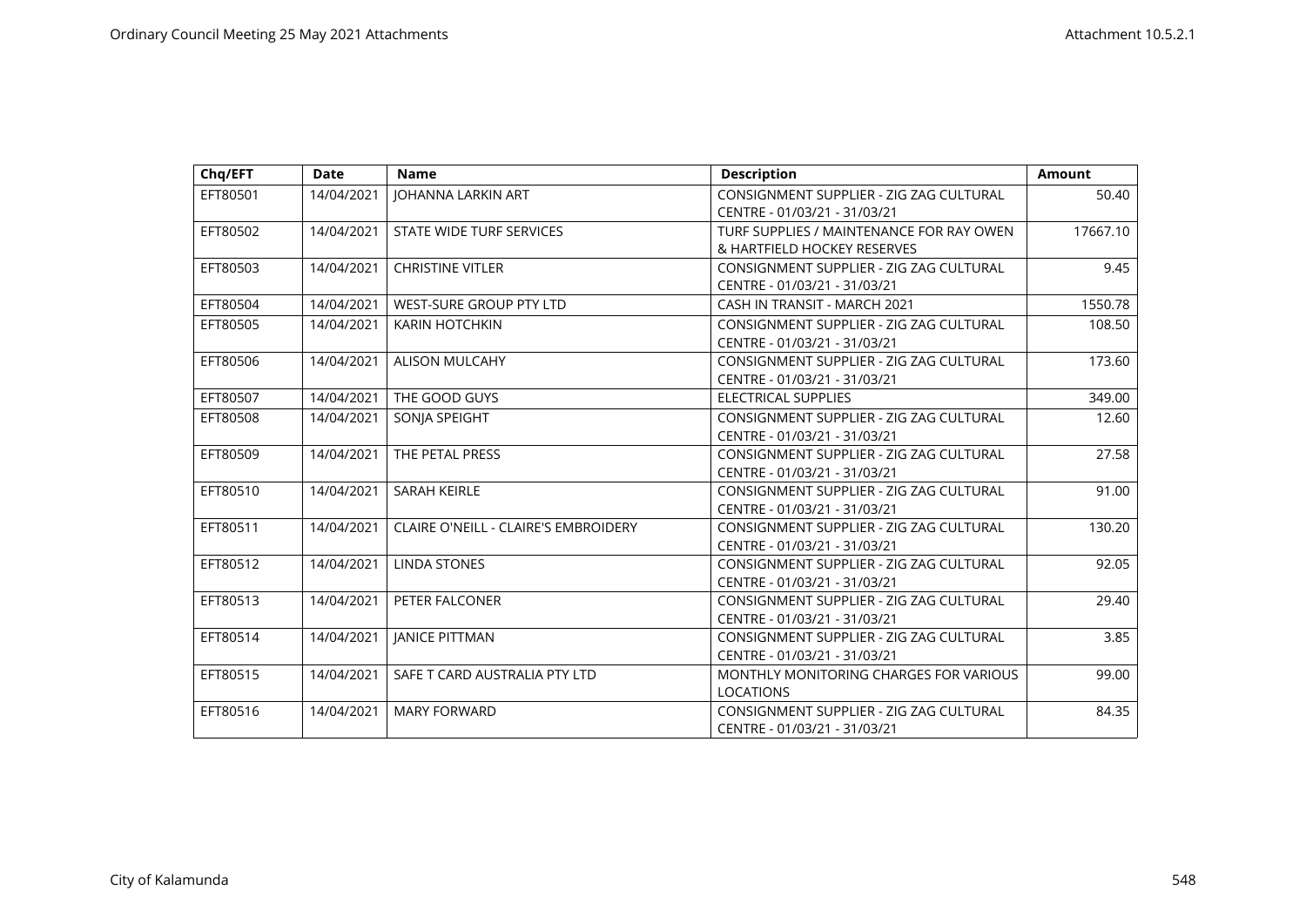| Chq/EFT  | <b>Date</b> | <b>Name</b>                                 | <b>Description</b>                                                      | <b>Amount</b> |
|----------|-------------|---------------------------------------------|-------------------------------------------------------------------------|---------------|
| EFT80501 | 14/04/2021  | <b>JOHANNA LARKIN ART</b>                   | CONSIGNMENT SUPPLIER - ZIG ZAG CULTURAL<br>CENTRE - 01/03/21 - 31/03/21 | 50.40         |
| EFT80502 | 14/04/2021  | STATE WIDE TURF SERVICES                    | TURF SUPPLIES / MAINTENANCE FOR RAY OWEN<br>& HARTFIELD HOCKEY RESERVES | 17667.10      |
| EFT80503 | 14/04/2021  | <b>CHRISTINE VITLER</b>                     | CONSIGNMENT SUPPLIER - ZIG ZAG CULTURAL<br>CENTRE - 01/03/21 - 31/03/21 | 9.45          |
| EFT80504 | 14/04/2021  | <b>WEST-SURE GROUP PTY LTD</b>              | CASH IN TRANSIT - MARCH 2021                                            | 1550.78       |
| EFT80505 | 14/04/2021  | <b>KARIN HOTCHKIN</b>                       | CONSIGNMENT SUPPLIER - ZIG ZAG CULTURAL<br>CENTRE - 01/03/21 - 31/03/21 | 108.50        |
| EFT80506 | 14/04/2021  | <b>ALISON MULCAHY</b>                       | CONSIGNMENT SUPPLIER - ZIG ZAG CULTURAL<br>CENTRE - 01/03/21 - 31/03/21 | 173.60        |
| EFT80507 | 14/04/2021  | THE GOOD GUYS                               | ELECTRICAL SUPPLIES                                                     | 349.00        |
| EFT80508 | 14/04/2021  | SONJA SPEIGHT                               | CONSIGNMENT SUPPLIER - ZIG ZAG CULTURAL<br>CENTRE - 01/03/21 - 31/03/21 | 12.60         |
| EFT80509 | 14/04/2021  | THE PETAL PRESS                             | CONSIGNMENT SUPPLIER - ZIG ZAG CULTURAL<br>CENTRE - 01/03/21 - 31/03/21 | 27.58         |
| EFT80510 | 14/04/2021  | <b>SARAH KEIRLE</b>                         | CONSIGNMENT SUPPLIER - ZIG ZAG CULTURAL<br>CENTRE - 01/03/21 - 31/03/21 | 91.00         |
| EFT80511 | 14/04/2021  | <b>CLAIRE O'NEILL - CLAIRE'S EMBROIDERY</b> | CONSIGNMENT SUPPLIER - ZIG ZAG CULTURAL<br>CENTRE - 01/03/21 - 31/03/21 | 130.20        |
| EFT80512 | 14/04/2021  | <b>LINDA STONES</b>                         | CONSIGNMENT SUPPLIER - ZIG ZAG CULTURAL<br>CENTRE - 01/03/21 - 31/03/21 | 92.05         |
| EFT80513 | 14/04/2021  | PETER FALCONER                              | CONSIGNMENT SUPPLIER - ZIG ZAG CULTURAL<br>CENTRE - 01/03/21 - 31/03/21 | 29.40         |
| EFT80514 | 14/04/2021  | <b>JANICE PITTMAN</b>                       | CONSIGNMENT SUPPLIER - ZIG ZAG CULTURAL<br>CENTRE - 01/03/21 - 31/03/21 | 3.85          |
| EFT80515 | 14/04/2021  | SAFE T CARD AUSTRALIA PTY LTD               | MONTHLY MONITORING CHARGES FOR VARIOUS<br><b>LOCATIONS</b>              | 99.00         |
| EFT80516 | 14/04/2021  | <b>MARY FORWARD</b>                         | CONSIGNMENT SUPPLIER - ZIG ZAG CULTURAL<br>CENTRE - 01/03/21 - 31/03/21 | 84.35         |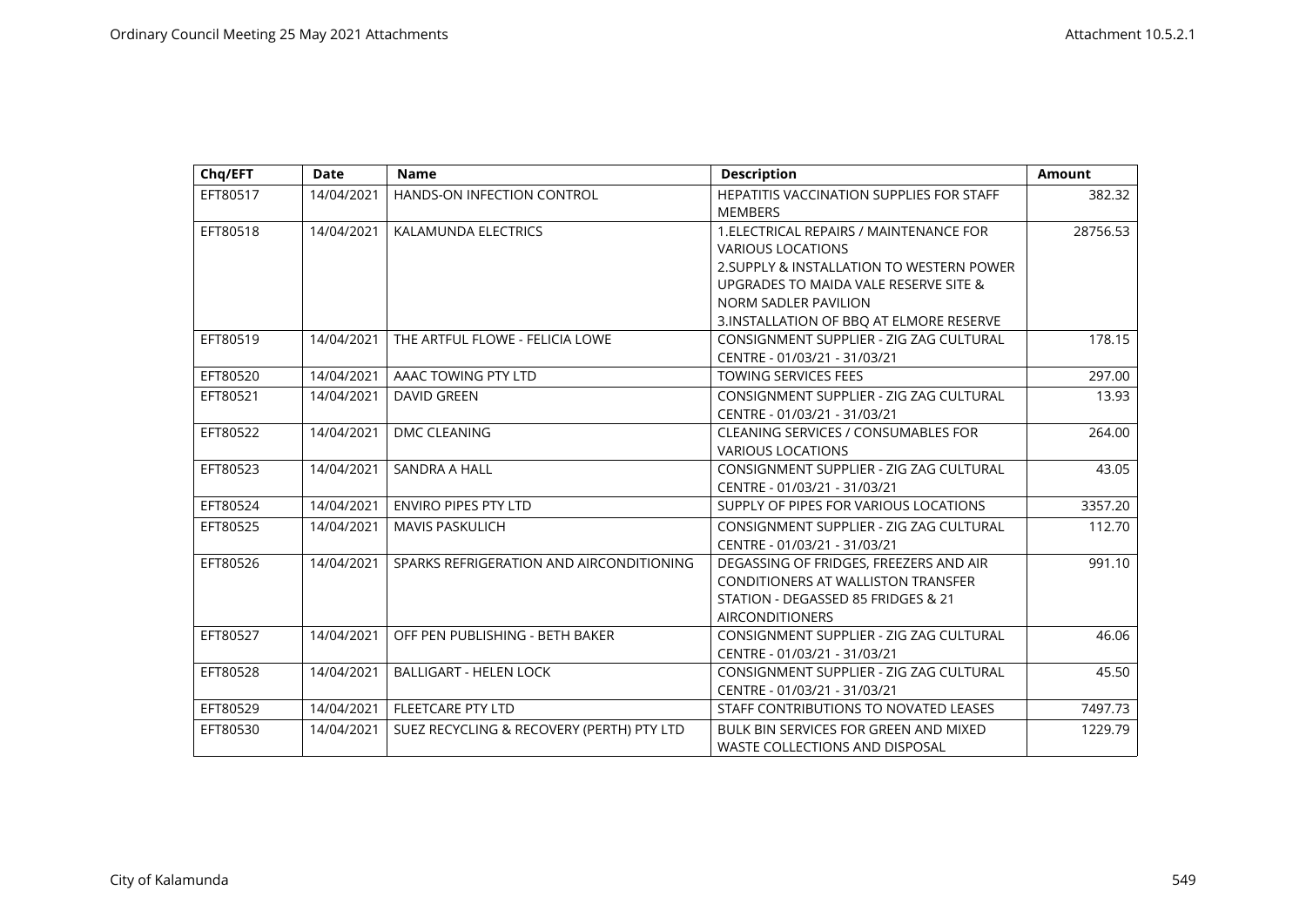| Chq/EFT  | <b>Date</b> | <b>Name</b>                               | <b>Description</b>                                                                                                                                                                                                           | <b>Amount</b> |
|----------|-------------|-------------------------------------------|------------------------------------------------------------------------------------------------------------------------------------------------------------------------------------------------------------------------------|---------------|
| EFT80517 | 14/04/2021  | HANDS-ON INFECTION CONTROL                | HEPATITIS VACCINATION SUPPLIES FOR STAFF<br><b>MEMBERS</b>                                                                                                                                                                   | 382.32        |
| EFT80518 | 14/04/2021  | KALAMUNDA ELECTRICS                       | 1. ELECTRICAL REPAIRS / MAINTENANCE FOR<br><b>VARIOUS LOCATIONS</b><br>2. SUPPLY & INSTALLATION TO WESTERN POWER<br>UPGRADES TO MAIDA VALE RESERVE SITE &<br>NORM SADLER PAVILION<br>3.INSTALLATION OF BBQ AT ELMORE RESERVE | 28756.53      |
| EFT80519 | 14/04/2021  | THE ARTFUL FLOWE - FELICIA LOWE           | CONSIGNMENT SUPPLIER - ZIG ZAG CULTURAL<br>CENTRE - 01/03/21 - 31/03/21                                                                                                                                                      | 178.15        |
| EFT80520 | 14/04/2021  | AAAC TOWING PTY LTD                       | <b>TOWING SERVICES FEES</b>                                                                                                                                                                                                  | 297.00        |
| EFT80521 | 14/04/2021  | <b>DAVID GREEN</b>                        | CONSIGNMENT SUPPLIER - ZIG ZAG CULTURAL<br>CENTRE - 01/03/21 - 31/03/21                                                                                                                                                      | 13.93         |
| EFT80522 | 14/04/2021  | <b>DMC CLEANING</b>                       | <b>CLEANING SERVICES / CONSUMABLES FOR</b><br><b>VARIOUS LOCATIONS</b>                                                                                                                                                       | 264.00        |
| EFT80523 | 14/04/2021  | <b>SANDRA A HALL</b>                      | CONSIGNMENT SUPPLIER - ZIG ZAG CULTURAL<br>CENTRE - 01/03/21 - 31/03/21                                                                                                                                                      | 43.05         |
| EFT80524 | 14/04/2021  | <b>ENVIRO PIPES PTY LTD</b>               | SUPPLY OF PIPES FOR VARIOUS LOCATIONS                                                                                                                                                                                        | 3357.20       |
| EFT80525 | 14/04/2021  | <b>MAVIS PASKULICH</b>                    | CONSIGNMENT SUPPLIER - ZIG ZAG CULTURAL<br>CENTRE - 01/03/21 - 31/03/21                                                                                                                                                      | 112.70        |
| EFT80526 | 14/04/2021  | SPARKS REFRIGERATION AND AIRCONDITIONING  | DEGASSING OF FRIDGES, FREEZERS AND AIR<br><b>CONDITIONERS AT WALLISTON TRANSFER</b><br>STATION - DEGASSED 85 FRIDGES & 21<br><b>AIRCONDITIONERS</b>                                                                          | 991.10        |
| EFT80527 | 14/04/2021  | OFF PEN PUBLISHING - BETH BAKER           | CONSIGNMENT SUPPLIER - ZIG ZAG CULTURAL<br>CENTRE - 01/03/21 - 31/03/21                                                                                                                                                      | 46.06         |
| EFT80528 | 14/04/2021  | <b>BALLIGART - HELEN LOCK</b>             | CONSIGNMENT SUPPLIER - ZIG ZAG CULTURAL<br>CENTRE - 01/03/21 - 31/03/21                                                                                                                                                      | 45.50         |
| EFT80529 | 14/04/2021  | <b>FLEETCARE PTY LTD</b>                  | STAFF CONTRIBUTIONS TO NOVATED LEASES                                                                                                                                                                                        | 7497.73       |
| EFT80530 | 14/04/2021  | SUEZ RECYCLING & RECOVERY (PERTH) PTY LTD | BULK BIN SERVICES FOR GREEN AND MIXED<br><b>WASTE COLLECTIONS AND DISPOSAL</b>                                                                                                                                               | 1229.79       |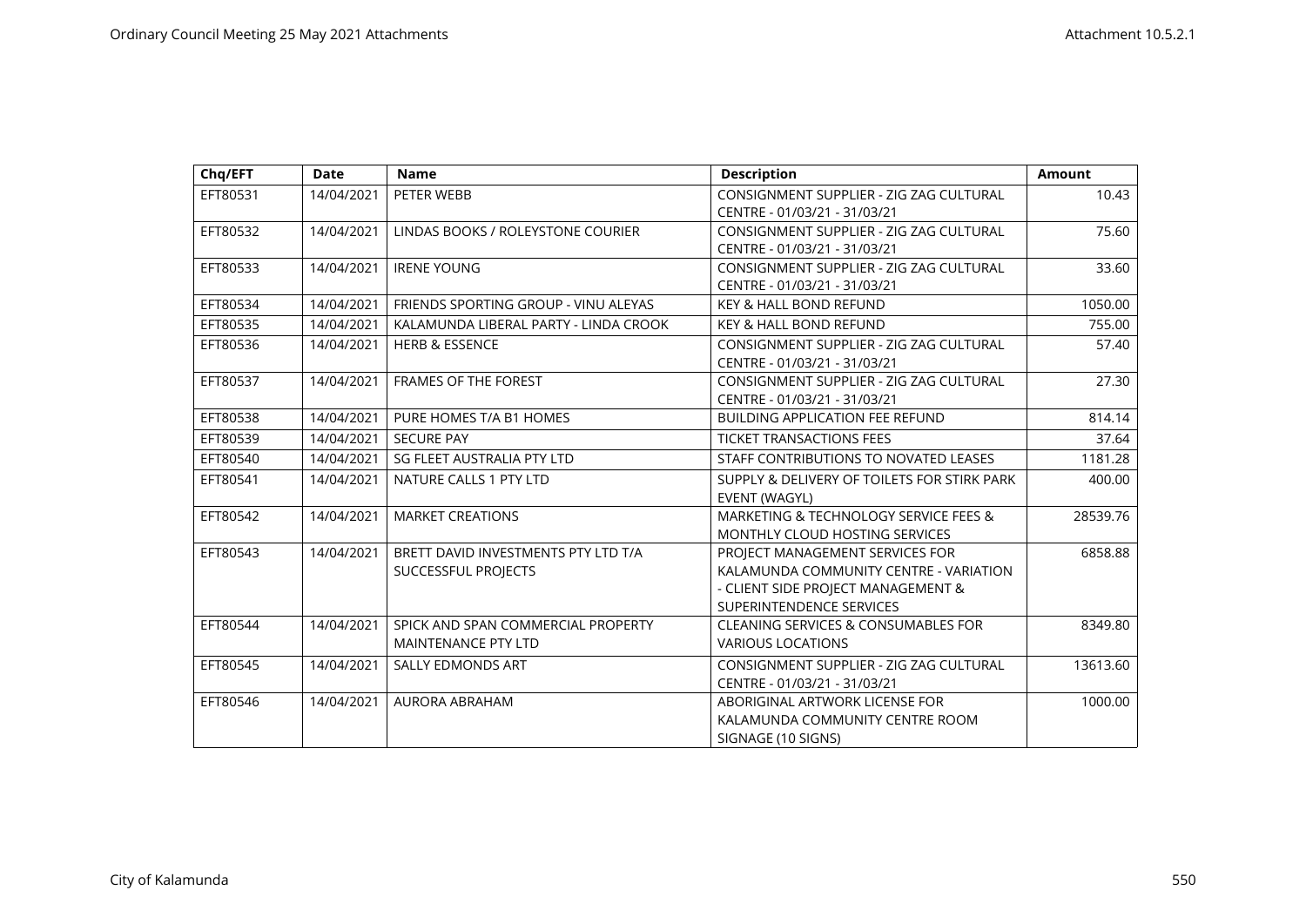| Chq/EFT  | <b>Date</b> | <b>Name</b>                           | <b>Description</b>                          | <b>Amount</b> |
|----------|-------------|---------------------------------------|---------------------------------------------|---------------|
| EFT80531 | 14/04/2021  | PETER WEBB                            | CONSIGNMENT SUPPLIER - ZIG ZAG CULTURAL     | 10.43         |
|          |             |                                       | CENTRE - 01/03/21 - 31/03/21                |               |
| EFT80532 | 14/04/2021  | LINDAS BOOKS / ROLEYSTONE COURIER     | CONSIGNMENT SUPPLIER - ZIG ZAG CULTURAL     | 75.60         |
|          |             |                                       | CENTRE - 01/03/21 - 31/03/21                |               |
| EFT80533 | 14/04/2021  | <b>IRENE YOUNG</b>                    | CONSIGNMENT SUPPLIER - ZIG ZAG CULTURAL     | 33.60         |
|          |             |                                       | CENTRE - 01/03/21 - 31/03/21                |               |
| EFT80534 | 14/04/2021  | FRIENDS SPORTING GROUP - VINU ALEYAS  | <b>KEY &amp; HALL BOND REFUND</b>           | 1050.00       |
| EFT80535 | 14/04/2021  | KALAMUNDA LIBERAL PARTY - LINDA CROOK | <b>KEY &amp; HALL BOND REFUND</b>           | 755.00        |
| EFT80536 | 14/04/2021  | <b>HERB &amp; ESSENCE</b>             | CONSIGNMENT SUPPLIER - ZIG ZAG CULTURAL     | 57.40         |
|          |             |                                       | CENTRE - 01/03/21 - 31/03/21                |               |
| EFT80537 | 14/04/2021  | <b>FRAMES OF THE FOREST</b>           | CONSIGNMENT SUPPLIER - ZIG ZAG CULTURAL     | 27.30         |
|          |             |                                       | CENTRE - 01/03/21 - 31/03/21                |               |
| EFT80538 | 14/04/2021  | PURE HOMES T/A B1 HOMES               | <b>BUILDING APPLICATION FEE REFUND</b>      | 814.14        |
| EFT80539 | 14/04/2021  | <b>SECURE PAY</b>                     | <b>TICKET TRANSACTIONS FEES</b>             | 37.64         |
| EFT80540 | 14/04/2021  | SG FLEET AUSTRALIA PTY LTD            | STAFF CONTRIBUTIONS TO NOVATED LEASES       | 1181.28       |
| EFT80541 | 14/04/2021  | NATURE CALLS 1 PTY LTD                | SUPPLY & DELIVERY OF TOILETS FOR STIRK PARK | 400.00        |
|          |             |                                       | EVENT (WAGYL)                               |               |
| EFT80542 | 14/04/2021  | <b>MARKET CREATIONS</b>               | MARKETING & TECHNOLOGY SERVICE FEES &       | 28539.76      |
|          |             |                                       | MONTHLY CLOUD HOSTING SERVICES              |               |
| EFT80543 | 14/04/2021  | BRETT DAVID INVESTMENTS PTY LTD T/A   | PROJECT MANAGEMENT SERVICES FOR             | 6858.88       |
|          |             | <b>SUCCESSFUL PROJECTS</b>            | KALAMUNDA COMMUNITY CENTRE - VARIATION      |               |
|          |             |                                       | - CLIENT SIDE PROJECT MANAGEMENT &          |               |
|          |             |                                       | SUPERINTENDENCE SERVICES                    |               |
| EFT80544 | 14/04/2021  | SPICK AND SPAN COMMERCIAL PROPERTY    | CLEANING SERVICES & CONSUMABLES FOR         | 8349.80       |
|          |             | <b>MAINTENANCE PTY LTD</b>            | <b>VARIOUS LOCATIONS</b>                    |               |
| EFT80545 | 14/04/2021  | <b>SALLY EDMONDS ART</b>              | CONSIGNMENT SUPPLIER - ZIG ZAG CULTURAL     | 13613.60      |
|          |             |                                       | CENTRE - 01/03/21 - 31/03/21                |               |
| EFT80546 | 14/04/2021  | AURORA ABRAHAM                        | ABORIGINAL ARTWORK LICENSE FOR              | 1000.00       |
|          |             |                                       | KALAMUNDA COMMUNITY CENTRE ROOM             |               |
|          |             |                                       | SIGNAGE (10 SIGNS)                          |               |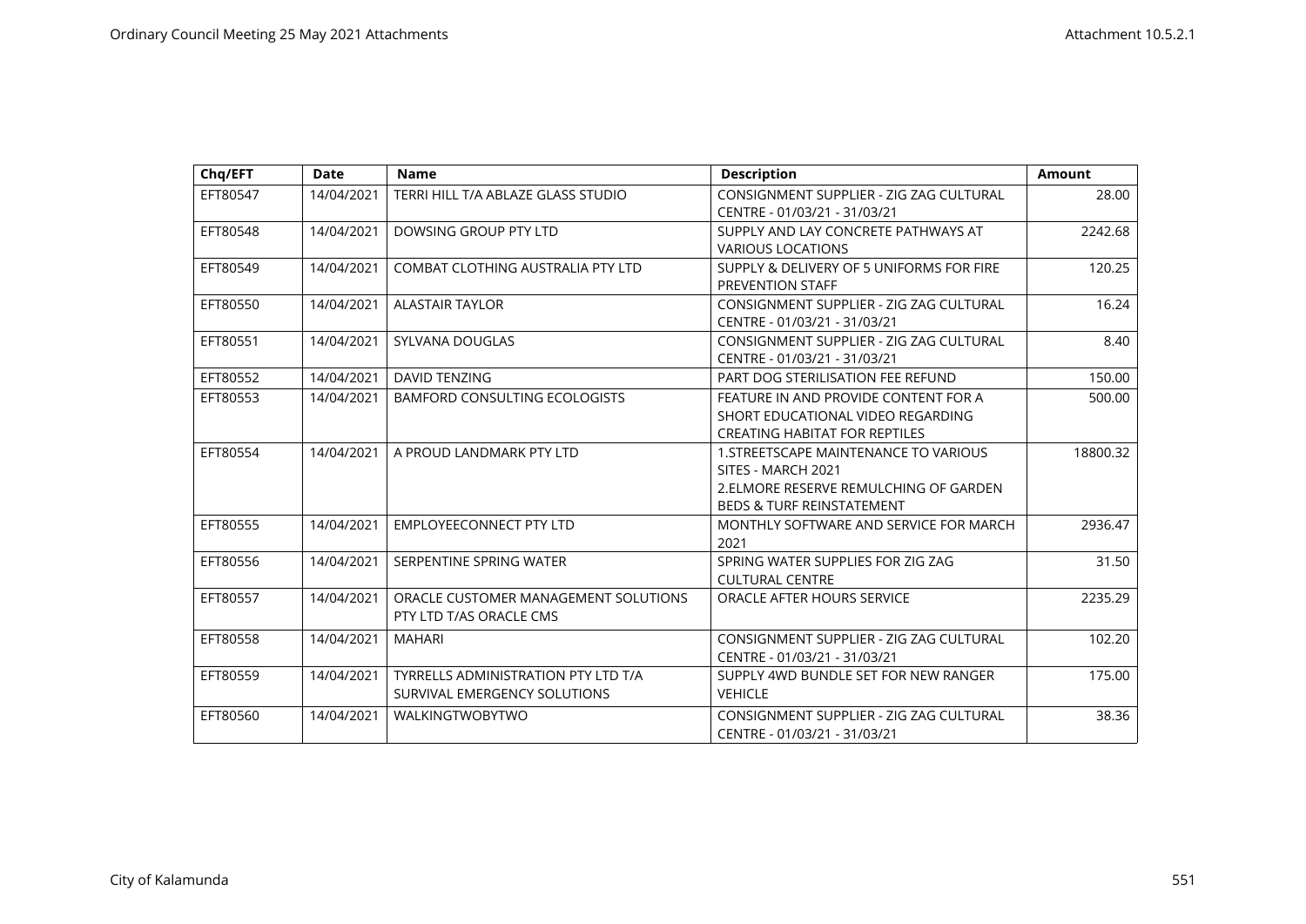| Chq/EFT  | <b>Date</b> | <b>Name</b>                                                                | <b>Description</b>                                                                                                                           | <b>Amount</b> |
|----------|-------------|----------------------------------------------------------------------------|----------------------------------------------------------------------------------------------------------------------------------------------|---------------|
| EFT80547 | 14/04/2021  | TERRI HILL T/A ABLAZE GLASS STUDIO                                         | CONSIGNMENT SUPPLIER - ZIG ZAG CULTURAL<br>CENTRE - 01/03/21 - 31/03/21                                                                      | 28.00         |
| EFT80548 | 14/04/2021  | DOWSING GROUP PTY LTD                                                      | SUPPLY AND LAY CONCRETE PATHWAYS AT<br><b>VARIOUS LOCATIONS</b>                                                                              | 2242.68       |
| EFT80549 | 14/04/2021  | COMBAT CLOTHING AUSTRALIA PTY LTD                                          | SUPPLY & DELIVERY OF 5 UNIFORMS FOR FIRE<br>PREVENTION STAFF                                                                                 | 120.25        |
| EFT80550 | 14/04/2021  | <b>ALASTAIR TAYLOR</b>                                                     | CONSIGNMENT SUPPLIER - ZIG ZAG CULTURAL<br>CENTRE - 01/03/21 - 31/03/21                                                                      | 16.24         |
| EFT80551 | 14/04/2021  | SYLVANA DOUGLAS                                                            | CONSIGNMENT SUPPLIER - ZIG ZAG CULTURAL<br>CENTRE - 01/03/21 - 31/03/21                                                                      | 8.40          |
| EFT80552 | 14/04/2021  | DAVID TENZING                                                              | PART DOG STERILISATION FEE REFUND                                                                                                            | 150.00        |
| EFT80553 | 14/04/2021  | <b>BAMFORD CONSULTING ECOLOGISTS</b>                                       | FEATURE IN AND PROVIDE CONTENT FOR A<br>SHORT EDUCATIONAL VIDEO REGARDING<br><b>CREATING HABITAT FOR REPTILES</b>                            | 500.00        |
| EFT80554 | 14/04/2021  | A PROUD LANDMARK PTY LTD                                                   | 1. STREETSCAPE MAINTENANCE TO VARIOUS<br>SITES - MARCH 2021<br>2.ELMORE RESERVE REMULCHING OF GARDEN<br><b>BEDS &amp; TURF REINSTATEMENT</b> | 18800.32      |
| EFT80555 | 14/04/2021  | <b>EMPLOYEECONNECT PTY LTD</b>                                             | MONTHLY SOFTWARE AND SERVICE FOR MARCH<br>2021                                                                                               | 2936.47       |
| EFT80556 | 14/04/2021  | SERPENTINE SPRING WATER                                                    | SPRING WATER SUPPLIES FOR ZIG ZAG<br><b>CULTURAL CENTRE</b>                                                                                  | 31.50         |
| EFT80557 | 14/04/2021  | ORACLE CUSTOMER MANAGEMENT SOLUTIONS<br>PTY LTD T/AS ORACLE CMS            | ORACLE AFTER HOURS SERVICE                                                                                                                   | 2235.29       |
| EFT80558 | 14/04/2021  | <b>MAHARI</b>                                                              | CONSIGNMENT SUPPLIER - ZIG ZAG CULTURAL<br>CENTRE - 01/03/21 - 31/03/21                                                                      | 102.20        |
| EFT80559 | 14/04/2021  | <b>TYRRELLS ADMINISTRATION PTY LTD T/A</b><br>SURVIVAL EMERGENCY SOLUTIONS | SUPPLY 4WD BUNDLE SET FOR NEW RANGER<br><b>VEHICLE</b>                                                                                       | 175.00        |
| EFT80560 | 14/04/2021  | <b>WALKINGTWOBYTWO</b>                                                     | CONSIGNMENT SUPPLIER - ZIG ZAG CULTURAL<br>CENTRE - 01/03/21 - 31/03/21                                                                      | 38.36         |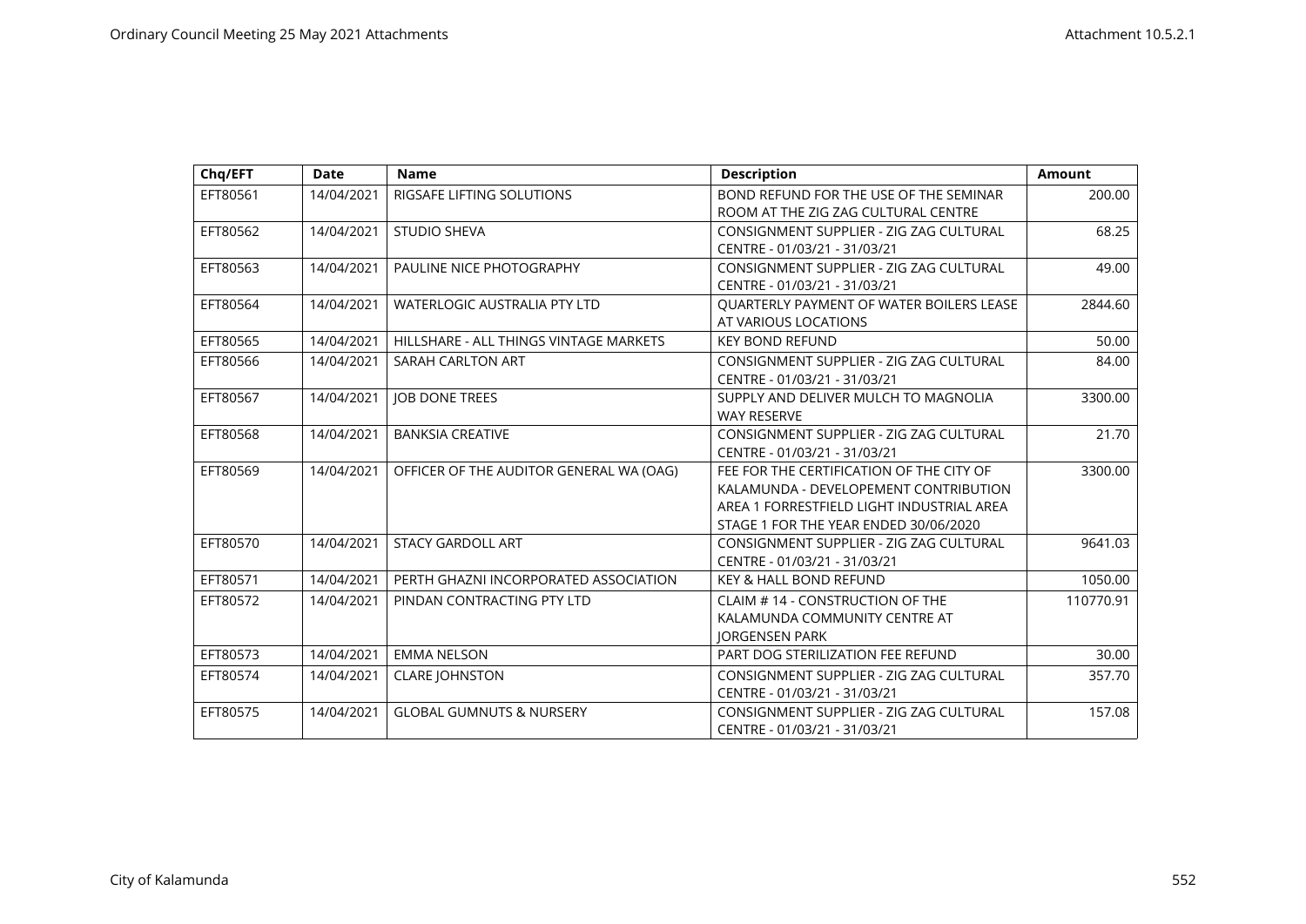| Chq/EFT  | <b>Date</b> | <b>Name</b>                             | <b>Description</b>                              | <b>Amount</b> |
|----------|-------------|-----------------------------------------|-------------------------------------------------|---------------|
| EFT80561 | 14/04/2021  | RIGSAFE LIFTING SOLUTIONS               | BOND REFUND FOR THE USE OF THE SEMINAR          | 200.00        |
|          |             |                                         | ROOM AT THE ZIG ZAG CULTURAL CENTRE             |               |
| EFT80562 | 14/04/2021  | <b>STUDIO SHEVA</b>                     | CONSIGNMENT SUPPLIER - ZIG ZAG CULTURAL         | 68.25         |
|          |             |                                         | CENTRE - 01/03/21 - 31/03/21                    |               |
| EFT80563 | 14/04/2021  | PAULINE NICE PHOTOGRAPHY                | CONSIGNMENT SUPPLIER - ZIG ZAG CULTURAL         | 49.00         |
|          |             |                                         | CENTRE - 01/03/21 - 31/03/21                    |               |
| EFT80564 | 14/04/2021  | <b>WATERLOGIC AUSTRALIA PTY LTD</b>     | <b>OUARTERLY PAYMENT OF WATER BOILERS LEASE</b> | 2844.60       |
|          |             |                                         | AT VARIOUS LOCATIONS                            |               |
| EFT80565 | 14/04/2021  | HILLSHARE - ALL THINGS VINTAGE MARKETS  | <b>KEY BOND REFUND</b>                          | 50.00         |
| EFT80566 | 14/04/2021  | SARAH CARLTON ART                       | CONSIGNMENT SUPPLIER - ZIG ZAG CULTURAL         | 84.00         |
|          |             |                                         | CENTRE - 01/03/21 - 31/03/21                    |               |
| EFT80567 | 14/04/2021  | <b>JOB DONE TREES</b>                   | SUPPLY AND DELIVER MULCH TO MAGNOLIA            | 3300.00       |
|          |             |                                         | <b>WAY RESERVE</b>                              |               |
| EFT80568 | 14/04/2021  | <b>BANKSIA CREATIVE</b>                 | CONSIGNMENT SUPPLIER - ZIG ZAG CULTURAL         | 21.70         |
|          |             |                                         | CENTRE - 01/03/21 - 31/03/21                    |               |
| EFT80569 | 14/04/2021  | OFFICER OF THE AUDITOR GENERAL WA (OAG) | FEE FOR THE CERTIFICATION OF THE CITY OF        | 3300.00       |
|          |             |                                         | KALAMUNDA - DEVELOPEMENT CONTRIBUTION           |               |
|          |             |                                         | AREA 1 FORRESTFIELD LIGHT INDUSTRIAL AREA       |               |
|          |             |                                         | STAGE 1 FOR THE YEAR ENDED 30/06/2020           |               |
| EFT80570 | 14/04/2021  | <b>STACY GARDOLL ART</b>                | CONSIGNMENT SUPPLIER - ZIG ZAG CULTURAL         | 9641.03       |
|          |             |                                         | CENTRE - 01/03/21 - 31/03/21                    |               |
| EFT80571 | 14/04/2021  | PERTH GHAZNI INCORPORATED ASSOCIATION   | <b>KEY &amp; HALL BOND REFUND</b>               | 1050.00       |
| EFT80572 | 14/04/2021  | PINDAN CONTRACTING PTY LTD              | CLAIM # 14 - CONSTRUCTION OF THE                | 110770.91     |
|          |             |                                         | KALAMUNDA COMMUNITY CENTRE AT                   |               |
|          |             |                                         | <b>JORGENSEN PARK</b>                           |               |
| EFT80573 | 14/04/2021  | <b>EMMA NELSON</b>                      | PART DOG STERILIZATION FEE REFUND               | 30.00         |
| EFT80574 | 14/04/2021  | <b>CLARE JOHNSTON</b>                   | CONSIGNMENT SUPPLIER - ZIG ZAG CULTURAL         | 357.70        |
|          |             |                                         | CENTRE - 01/03/21 - 31/03/21                    |               |
| EFT80575 | 14/04/2021  | <b>GLOBAL GUMNUTS &amp; NURSERY</b>     | CONSIGNMENT SUPPLIER - ZIG ZAG CULTURAL         | 157.08        |
|          |             |                                         | CENTRE - 01/03/21 - 31/03/21                    |               |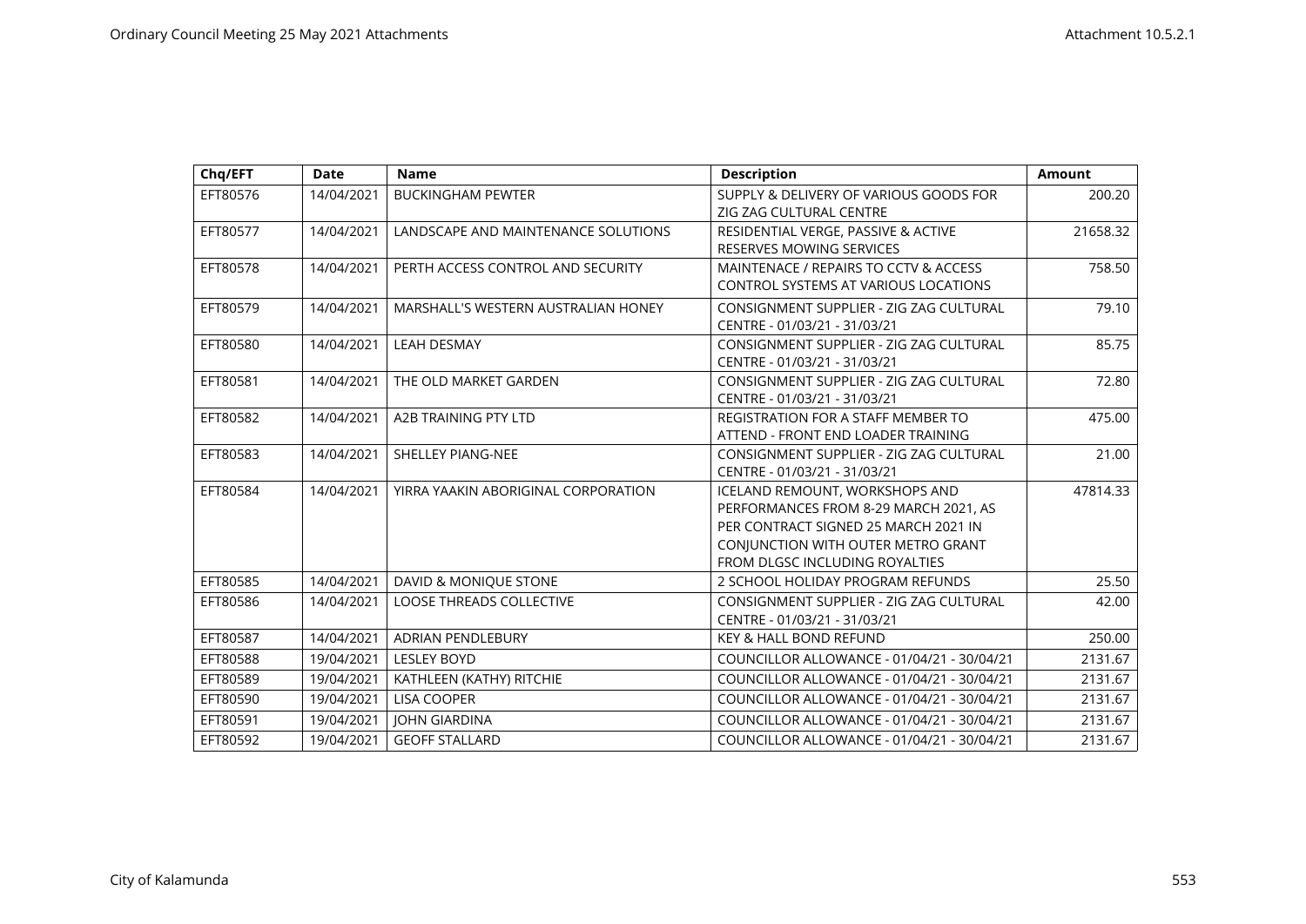| Chq/EFT  | <b>Date</b> | <b>Name</b>                         | <b>Description</b>                          | <b>Amount</b> |
|----------|-------------|-------------------------------------|---------------------------------------------|---------------|
| EFT80576 | 14/04/2021  | <b>BUCKINGHAM PEWTER</b>            | SUPPLY & DELIVERY OF VARIOUS GOODS FOR      | 200.20        |
|          |             |                                     | ZIG ZAG CULTURAL CENTRE                     |               |
| EFT80577 | 14/04/2021  | LANDSCAPE AND MAINTENANCE SOLUTIONS | RESIDENTIAL VERGE, PASSIVE & ACTIVE         | 21658.32      |
|          |             |                                     | <b>RESERVES MOWING SERVICES</b>             |               |
| EFT80578 | 14/04/2021  | PERTH ACCESS CONTROL AND SECURITY   | MAINTENACE / REPAIRS TO CCTV & ACCESS       | 758.50        |
|          |             |                                     | <b>CONTROL SYSTEMS AT VARIOUS LOCATIONS</b> |               |
| EFT80579 | 14/04/2021  | MARSHALL'S WESTERN AUSTRALIAN HONEY | CONSIGNMENT SUPPLIER - ZIG ZAG CULTURAL     | 79.10         |
|          |             |                                     | CENTRE - 01/03/21 - 31/03/21                |               |
| EFT80580 | 14/04/2021  | <b>LEAH DESMAY</b>                  | CONSIGNMENT SUPPLIER - ZIG ZAG CULTURAL     | 85.75         |
|          |             |                                     | CENTRE - 01/03/21 - 31/03/21                |               |
| EFT80581 | 14/04/2021  | THE OLD MARKET GARDEN               | CONSIGNMENT SUPPLIER - ZIG ZAG CULTURAL     | 72.80         |
|          |             |                                     | CENTRE - 01/03/21 - 31/03/21                |               |
| EFT80582 | 14/04/2021  | <b>A2B TRAINING PTY LTD</b>         | <b>REGISTRATION FOR A STAFF MEMBER TO</b>   | 475.00        |
|          |             |                                     | ATTEND - FRONT END LOADER TRAINING          |               |
| EFT80583 | 14/04/2021  | SHELLEY PIANG-NEE                   | CONSIGNMENT SUPPLIER - ZIG ZAG CULTURAL     | 21.00         |
|          |             |                                     | CENTRE - 01/03/21 - 31/03/21                |               |
| EFT80584 | 14/04/2021  | YIRRA YAAKIN ABORIGINAL CORPORATION | ICELAND REMOUNT, WORKSHOPS AND              | 47814.33      |
|          |             |                                     | PERFORMANCES FROM 8-29 MARCH 2021, AS       |               |
|          |             |                                     | PER CONTRACT SIGNED 25 MARCH 2021 IN        |               |
|          |             |                                     | CONJUNCTION WITH OUTER METRO GRANT          |               |
|          |             |                                     | FROM DLGSC INCLUDING ROYALTIES              |               |
| EFT80585 | 14/04/2021  | DAVID & MONIQUE STONE               | 2 SCHOOL HOLIDAY PROGRAM REFUNDS            | 25.50         |
| EFT80586 | 14/04/2021  | <b>LOOSE THREADS COLLECTIVE</b>     | CONSIGNMENT SUPPLIER - ZIG ZAG CULTURAL     | 42.00         |
|          |             |                                     | CENTRE - 01/03/21 - 31/03/21                |               |
| EFT80587 | 14/04/2021  | <b>ADRIAN PENDLEBURY</b>            | <b>KEY &amp; HALL BOND REFUND</b>           | 250.00        |
| EFT80588 | 19/04/2021  | <b>LESLEY BOYD</b>                  | COUNCILLOR ALLOWANCE - 01/04/21 - 30/04/21  | 2131.67       |
| EFT80589 | 19/04/2021  | KATHLEEN (KATHY) RITCHIE            | COUNCILLOR ALLOWANCE - 01/04/21 - 30/04/21  | 2131.67       |
| EFT80590 | 19/04/2021  | <b>LISA COOPER</b>                  | COUNCILLOR ALLOWANCE - 01/04/21 - 30/04/21  | 2131.67       |
| EFT80591 | 19/04/2021  | <b>JOHN GIARDINA</b>                | COUNCILLOR ALLOWANCE - 01/04/21 - 30/04/21  | 2131.67       |
| EFT80592 | 19/04/2021  | <b>GEOFF STALLARD</b>               | COUNCILLOR ALLOWANCE - 01/04/21 - 30/04/21  | 2131.67       |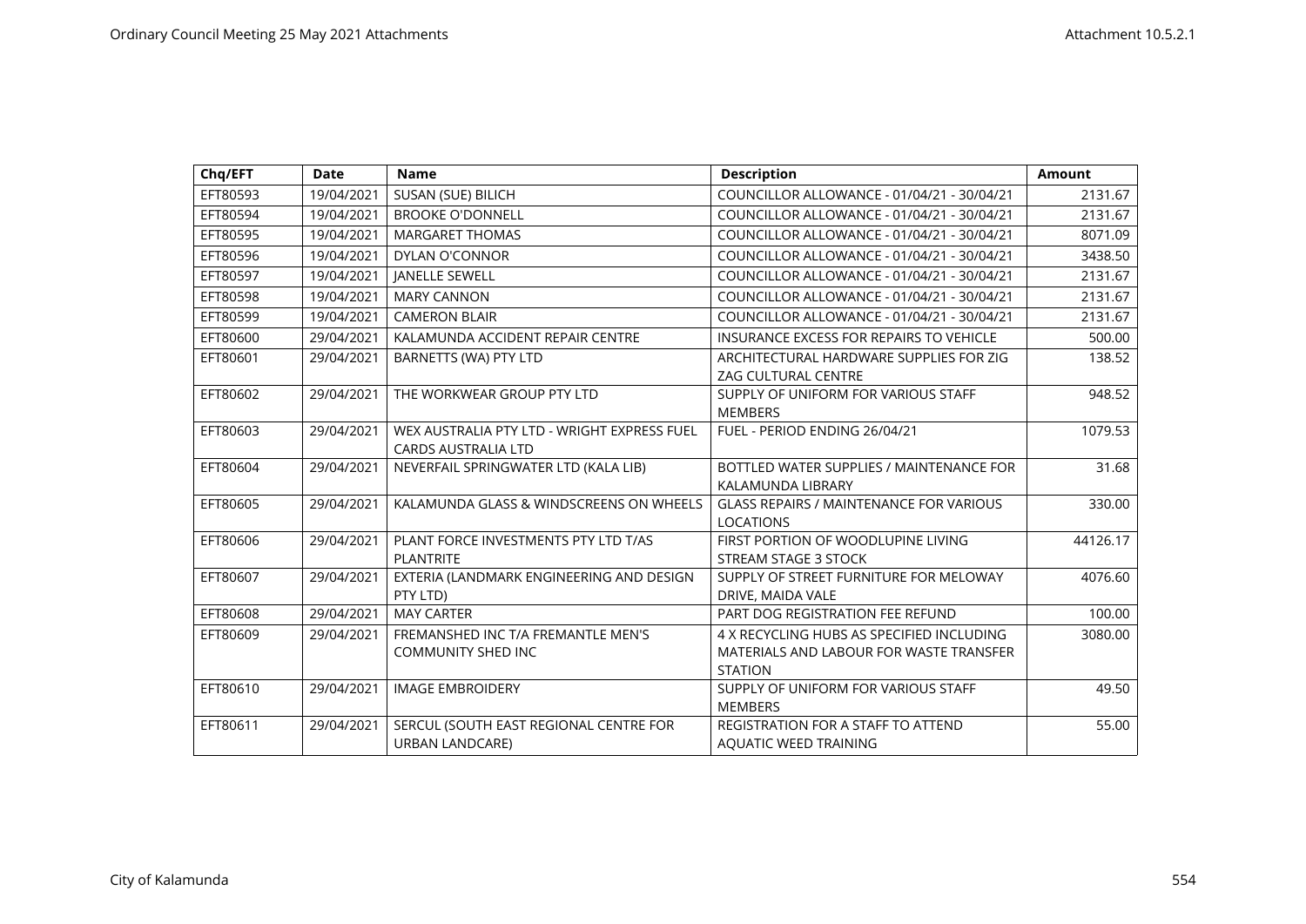| Chq/EFT  | <b>Date</b> | <b>Name</b>                                 | <b>Description</b>                             | Amount   |
|----------|-------------|---------------------------------------------|------------------------------------------------|----------|
| EFT80593 | 19/04/2021  | SUSAN (SUE) BILICH                          | COUNCILLOR ALLOWANCE - 01/04/21 - 30/04/21     | 2131.67  |
| EFT80594 | 19/04/2021  | <b>BROOKE O'DONNELL</b>                     | COUNCILLOR ALLOWANCE - 01/04/21 - 30/04/21     | 2131.67  |
| EFT80595 | 19/04/2021  | <b>MARGARET THOMAS</b>                      | COUNCILLOR ALLOWANCE - 01/04/21 - 30/04/21     | 8071.09  |
| EFT80596 | 19/04/2021  | <b>DYLAN O'CONNOR</b>                       | COUNCILLOR ALLOWANCE - 01/04/21 - 30/04/21     | 3438.50  |
| EFT80597 | 19/04/2021  | <b>JANELLE SEWELL</b>                       | COUNCILLOR ALLOWANCE - 01/04/21 - 30/04/21     | 2131.67  |
| EFT80598 | 19/04/2021  | <b>MARY CANNON</b>                          | COUNCILLOR ALLOWANCE - 01/04/21 - 30/04/21     | 2131.67  |
| EFT80599 | 19/04/2021  | <b>CAMERON BLAIR</b>                        | COUNCILLOR ALLOWANCE - 01/04/21 - 30/04/21     | 2131.67  |
| EFT80600 | 29/04/2021  | KALAMUNDA ACCIDENT REPAIR CENTRE            | <b>INSURANCE EXCESS FOR REPAIRS TO VEHICLE</b> | 500.00   |
| EFT80601 | 29/04/2021  | BARNETTS (WA) PTY LTD                       | ARCHITECTURAL HARDWARE SUPPLIES FOR ZIG        | 138.52   |
|          |             |                                             | <b>ZAG CULTURAL CENTRE</b>                     |          |
| EFT80602 | 29/04/2021  | THE WORKWEAR GROUP PTY LTD                  | SUPPLY OF UNIFORM FOR VARIOUS STAFF            | 948.52   |
|          |             |                                             | <b>MEMBERS</b>                                 |          |
| EFT80603 | 29/04/2021  | WEX AUSTRALIA PTY LTD - WRIGHT EXPRESS FUEL | FUEL - PERIOD ENDING 26/04/21                  | 1079.53  |
|          |             | <b>CARDS AUSTRALIA LTD</b>                  |                                                |          |
| EFT80604 | 29/04/2021  | NEVERFAIL SPRINGWATER LTD (KALA LIB)        | BOTTLED WATER SUPPLIES / MAINTENANCE FOR       | 31.68    |
|          |             |                                             | KALAMUNDA LIBRARY                              |          |
| EFT80605 | 29/04/2021  | KALAMUNDA GLASS & WINDSCREENS ON WHEELS     | <b>GLASS REPAIRS / MAINTENANCE FOR VARIOUS</b> | 330.00   |
|          |             |                                             | <b>LOCATIONS</b>                               |          |
| EFT80606 | 29/04/2021  | PLANT FORCE INVESTMENTS PTY LTD T/AS        | FIRST PORTION OF WOODLUPINE LIVING             | 44126.17 |
|          |             | <b>PLANTRITE</b>                            | STREAM STAGE 3 STOCK                           |          |
| EFT80607 | 29/04/2021  | EXTERIA (LANDMARK ENGINEERING AND DESIGN    | SUPPLY OF STREET FURNITURE FOR MELOWAY         | 4076.60  |
|          |             | PTY LTD)                                    | DRIVE, MAIDA VALE                              |          |
| EFT80608 | 29/04/2021  | <b>MAY CARTER</b>                           | PART DOG REGISTRATION FEE REFUND               | 100.00   |
| EFT80609 | 29/04/2021  | FREMANSHED INC T/A FREMANTLE MEN'S          | 4 X RECYCLING HUBS AS SPECIFIED INCLUDING      | 3080.00  |
|          |             | <b>COMMUNITY SHED INC</b>                   | MATERIALS AND LABOUR FOR WASTE TRANSFER        |          |
|          |             |                                             | <b>STATION</b>                                 |          |
| EFT80610 | 29/04/2021  | <b>IMAGE EMBROIDERY</b>                     | SUPPLY OF UNIFORM FOR VARIOUS STAFF            | 49.50    |
|          |             |                                             | <b>MEMBERS</b>                                 |          |
| EFT80611 | 29/04/2021  | SERCUL (SOUTH EAST REGIONAL CENTRE FOR      | <b>REGISTRATION FOR A STAFF TO ATTEND</b>      | 55.00    |
|          |             | <b>URBAN LANDCARE)</b>                      | AQUATIC WEED TRAINING                          |          |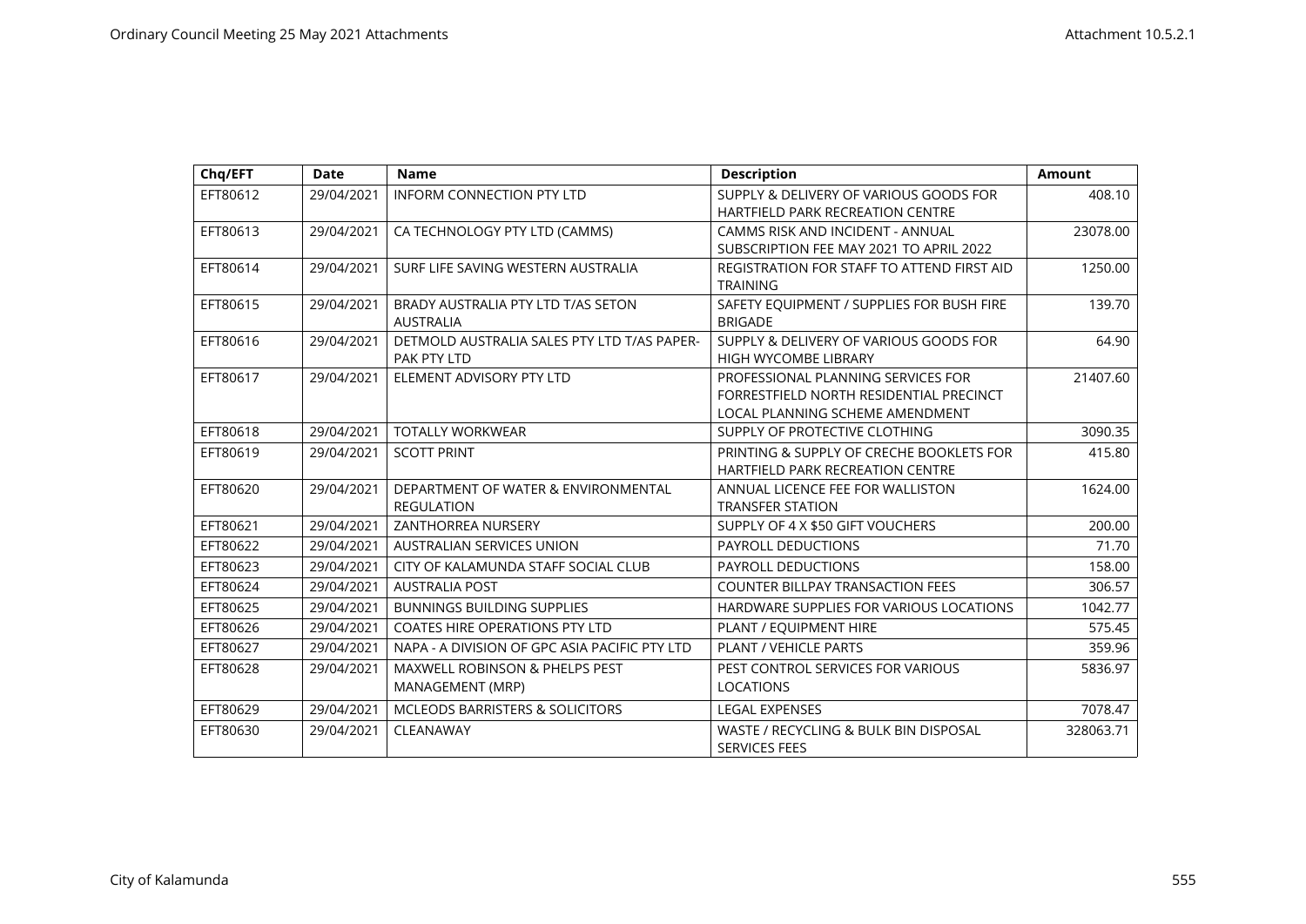| Chq/EFT  | <b>Date</b> | <b>Name</b>                                   | <b>Description</b>                                            | <b>Amount</b> |
|----------|-------------|-----------------------------------------------|---------------------------------------------------------------|---------------|
| EFT80612 | 29/04/2021  | <b>INFORM CONNECTION PTY LTD</b>              | SUPPLY & DELIVERY OF VARIOUS GOODS FOR                        | 408.10        |
|          |             |                                               | <b>HARTFIELD PARK RECREATION CENTRE</b>                       |               |
| EFT80613 | 29/04/2021  | CA TECHNOLOGY PTY LTD (CAMMS)                 | CAMMS RISK AND INCIDENT - ANNUAL                              | 23078.00      |
|          |             |                                               | SUBSCRIPTION FEE MAY 2021 TO APRIL 2022                       |               |
| EFT80614 | 29/04/2021  | SURF LIFE SAVING WESTERN AUSTRALIA            | REGISTRATION FOR STAFF TO ATTEND FIRST AID<br><b>TRAINING</b> | 1250.00       |
| EFT80615 | 29/04/2021  | BRADY AUSTRALIA PTY LTD T/AS SETON            | SAFETY EQUIPMENT / SUPPLIES FOR BUSH FIRE                     | 139.70        |
|          |             | <b>AUSTRALIA</b>                              | <b>BRIGADE</b>                                                |               |
| EFT80616 | 29/04/2021  | DETMOLD AUSTRALIA SALES PTY LTD T/AS PAPER-   | SUPPLY & DELIVERY OF VARIOUS GOODS FOR                        | 64.90         |
|          |             | PAK PTY LTD                                   | <b>HIGH WYCOMBE LIBRARY</b>                                   |               |
| EFT80617 | 29/04/2021  | ELEMENT ADVISORY PTY LTD                      | PROFESSIONAL PLANNING SERVICES FOR                            | 21407.60      |
|          |             |                                               | FORRESTFIELD NORTH RESIDENTIAL PRECINCT                       |               |
|          |             |                                               | LOCAL PLANNING SCHEME AMENDMENT                               |               |
| EFT80618 | 29/04/2021  | <b>TOTALLY WORKWEAR</b>                       | SUPPLY OF PROTECTIVE CLOTHING                                 | 3090.35       |
| EFT80619 | 29/04/2021  | <b>SCOTT PRINT</b>                            | PRINTING & SUPPLY OF CRECHE BOOKLETS FOR                      | 415.80        |
|          |             |                                               | <b>HARTFIELD PARK RECREATION CENTRE</b>                       |               |
| EFT80620 | 29/04/2021  | DEPARTMENT OF WATER & ENVIRONMENTAL           | ANNUAL LICENCE FEE FOR WALLISTON                              | 1624.00       |
|          |             | <b>REGULATION</b>                             | <b>TRANSFER STATION</b>                                       |               |
| EFT80621 | 29/04/2021  | <b>ZANTHORREA NURSERY</b>                     | SUPPLY OF 4 X \$50 GIFT VOUCHERS                              | 200.00        |
| EFT80622 | 29/04/2021  | <b>AUSTRALIAN SERVICES UNION</b>              | <b>PAYROLL DEDUCTIONS</b>                                     | 71.70         |
| EFT80623 | 29/04/2021  | CITY OF KALAMUNDA STAFF SOCIAL CLUB           | PAYROLL DEDUCTIONS                                            | 158.00        |
| EFT80624 | 29/04/2021  | <b>AUSTRALIA POST</b>                         | <b>COUNTER BILLPAY TRANSACTION FEES</b>                       | 306.57        |
| EFT80625 | 29/04/2021  | <b>BUNNINGS BUILDING SUPPLIES</b>             | HARDWARE SUPPLIES FOR VARIOUS LOCATIONS                       | 1042.77       |
| EFT80626 | 29/04/2021  | <b>COATES HIRE OPERATIONS PTY LTD</b>         | PLANT / EQUIPMENT HIRE                                        | 575.45        |
| EFT80627 | 29/04/2021  | NAPA - A DIVISION OF GPC ASIA PACIFIC PTY LTD | PLANT / VEHICLE PARTS                                         | 359.96        |
| EFT80628 | 29/04/2021  | <b>MAXWELL ROBINSON &amp; PHELPS PEST</b>     | PEST CONTROL SERVICES FOR VARIOUS                             | 5836.97       |
|          |             | MANAGEMENT (MRP)                              | <b>LOCATIONS</b>                                              |               |
| EFT80629 | 29/04/2021  | MCLEODS BARRISTERS & SOLICITORS               | <b>LEGAL EXPENSES</b>                                         | 7078.47       |
| EFT80630 | 29/04/2021  | CLEANAWAY                                     | WASTE / RECYCLING & BULK BIN DISPOSAL                         | 328063.71     |
|          |             |                                               | <b>SERVICES FEES</b>                                          |               |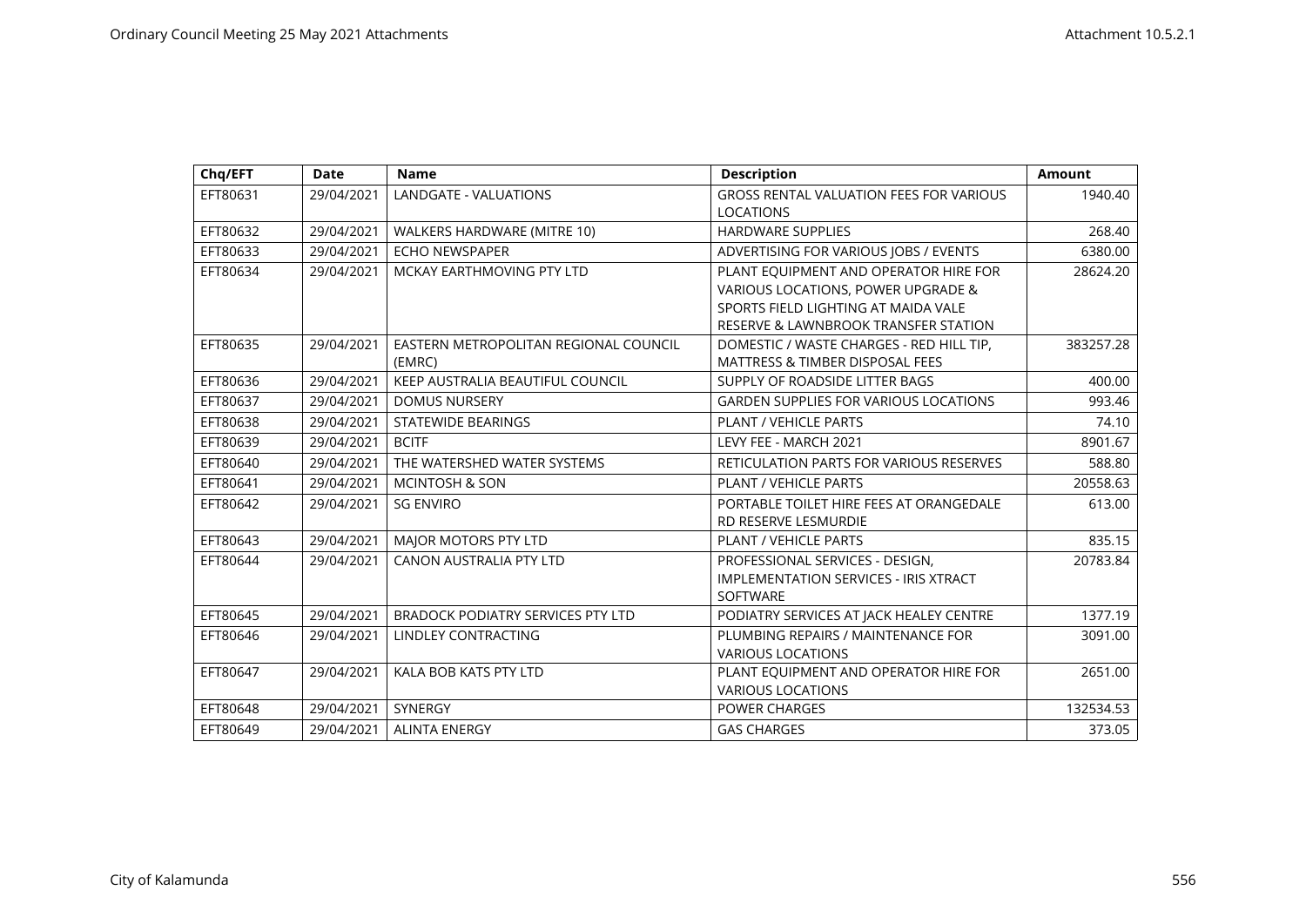| Chq/EFT  | <b>Date</b> | <b>Name</b>                              | <b>Description</b>                                                     | <b>Amount</b> |
|----------|-------------|------------------------------------------|------------------------------------------------------------------------|---------------|
| EFT80631 | 29/04/2021  | LANDGATE - VALUATIONS                    | <b>GROSS RENTAL VALUATION FEES FOR VARIOUS</b><br><b>LOCATIONS</b>     | 1940.40       |
| EFT80632 | 29/04/2021  | WALKERS HARDWARE (MITRE 10)              | <b>HARDWARE SUPPLIES</b>                                               | 268.40        |
| EFT80633 | 29/04/2021  | <b>ECHO NEWSPAPER</b>                    | ADVERTISING FOR VARIOUS JOBS / EVENTS                                  | 6380.00       |
| EFT80634 | 29/04/2021  | MCKAY EARTHMOVING PTY LTD                | PLANT EQUIPMENT AND OPERATOR HIRE FOR                                  | 28624.20      |
|          |             |                                          | VARIOUS LOCATIONS, POWER UPGRADE &                                     |               |
|          |             |                                          | SPORTS FIELD LIGHTING AT MAIDA VALE                                    |               |
|          |             |                                          | RESERVE & LAWNBROOK TRANSFER STATION                                   |               |
| EFT80635 | 29/04/2021  | EASTERN METROPOLITAN REGIONAL COUNCIL    | DOMESTIC / WASTE CHARGES - RED HILL TIP.                               | 383257.28     |
|          |             | (EMRC)                                   | <b>MATTRESS &amp; TIMBER DISPOSAL FEES</b>                             |               |
| EFT80636 | 29/04/2021  | KEEP AUSTRALIA BEAUTIFUL COUNCIL         | SUPPLY OF ROADSIDE LITTER BAGS                                         | 400.00        |
| EFT80637 | 29/04/2021  | <b>DOMUS NURSERY</b>                     | <b>GARDEN SUPPLIES FOR VARIOUS LOCATIONS</b>                           | 993.46        |
| EFT80638 | 29/04/2021  | <b>STATEWIDE BEARINGS</b>                | <b>PLANT / VEHICLE PARTS</b>                                           | 74.10         |
| EFT80639 | 29/04/2021  | <b>BCITF</b>                             | LEVY FEE - MARCH 2021                                                  | 8901.67       |
| EFT80640 | 29/04/2021  | THE WATERSHED WATER SYSTEMS              | RETICULATION PARTS FOR VARIOUS RESERVES                                | 588.80        |
| EFT80641 | 29/04/2021  | <b>MCINTOSH &amp; SON</b>                | PLANT / VEHICLE PARTS                                                  | 20558.63      |
| EFT80642 | 29/04/2021  | <b>SG ENVIRO</b>                         | PORTABLE TOILET HIRE FEES AT ORANGEDALE<br><b>RD RESERVE LESMURDIE</b> | 613.00        |
| EFT80643 | 29/04/2021  | MAJOR MOTORS PTY LTD                     | PLANT / VEHICLE PARTS                                                  | 835.15        |
| EFT80644 | 29/04/2021  | <b>CANON AUSTRALIA PTY LTD</b>           | PROFESSIONAL SERVICES - DESIGN,                                        | 20783.84      |
|          |             |                                          | <b>IMPLEMENTATION SERVICES - IRIS XTRACT</b>                           |               |
|          |             |                                          | <b>SOFTWARE</b>                                                        |               |
| EFT80645 | 29/04/2021  | <b>BRADOCK PODIATRY SERVICES PTY LTD</b> | PODIATRY SERVICES AT JACK HEALEY CENTRE                                | 1377.19       |
| EFT80646 | 29/04/2021  | LINDLEY CONTRACTING                      | PLUMBING REPAIRS / MAINTENANCE FOR                                     | 3091.00       |
|          |             |                                          | <b>VARIOUS LOCATIONS</b>                                               |               |
| EFT80647 | 29/04/2021  | KALA BOB KATS PTY LTD                    | PLANT EQUIPMENT AND OPERATOR HIRE FOR                                  | 2651.00       |
|          |             |                                          | <b>VARIOUS LOCATIONS</b>                                               |               |
| EFT80648 | 29/04/2021  | SYNERGY                                  | <b>POWER CHARGES</b>                                                   | 132534.53     |
| EFT80649 | 29/04/2021  | <b>ALINTA ENERGY</b>                     | <b>GAS CHARGES</b>                                                     | 373.05        |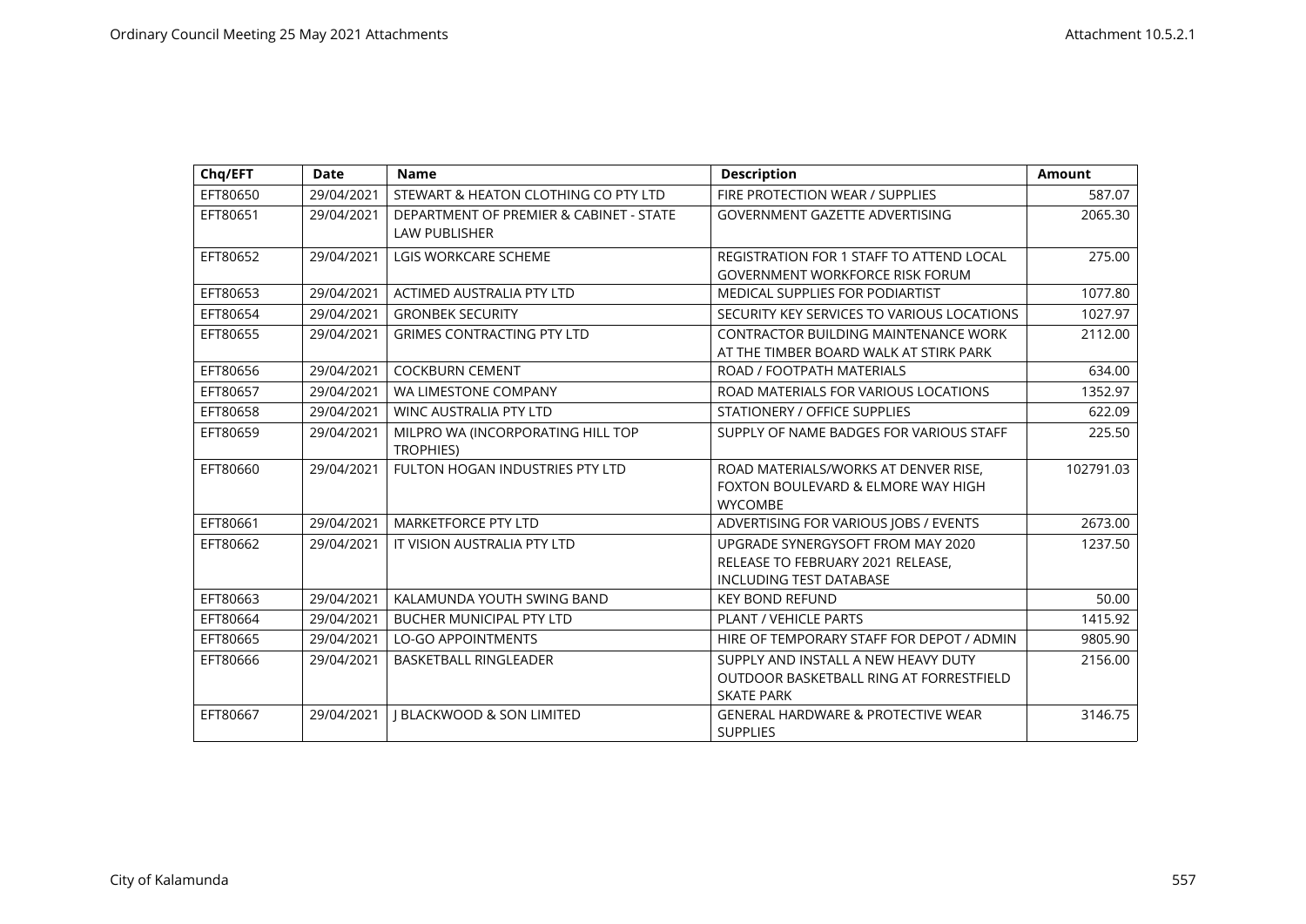| Chq/EFT  | <b>Date</b> | <b>Name</b>                                                     | <b>Description</b>                                                                                       | <b>Amount</b> |
|----------|-------------|-----------------------------------------------------------------|----------------------------------------------------------------------------------------------------------|---------------|
| EFT80650 | 29/04/2021  | STEWART & HEATON CLOTHING CO PTY LTD                            | FIRE PROTECTION WEAR / SUPPLIES                                                                          | 587.07        |
| EFT80651 | 29/04/2021  | DEPARTMENT OF PREMIER & CABINET - STATE<br><b>LAW PUBLISHER</b> | <b>GOVERNMENT GAZETTE ADVERTISING</b>                                                                    | 2065.30       |
| EFT80652 | 29/04/2021  | <b>LGIS WORKCARE SCHEME</b>                                     | REGISTRATION FOR 1 STAFF TO ATTEND LOCAL<br><b>GOVERNMENT WORKFORCE RISK FORUM</b>                       | 275.00        |
| EFT80653 | 29/04/2021  | <b>ACTIMED AUSTRALIA PTY LTD</b>                                | MEDICAL SUPPLIES FOR PODIARTIST                                                                          | 1077.80       |
| EFT80654 | 29/04/2021  | <b>GRONBEK SECURITY</b>                                         | SECURITY KEY SERVICES TO VARIOUS LOCATIONS                                                               | 1027.97       |
| EFT80655 | 29/04/2021  | <b>GRIMES CONTRACTING PTY LTD</b>                               | <b>CONTRACTOR BUILDING MAINTENANCE WORK</b><br>AT THE TIMBER BOARD WALK AT STIRK PARK                    | 2112.00       |
| EFT80656 | 29/04/2021  | <b>COCKBURN CEMENT</b>                                          | ROAD / FOOTPATH MATERIALS                                                                                | 634.00        |
| EFT80657 | 29/04/2021  | WA LIMESTONE COMPANY                                            | ROAD MATERIALS FOR VARIOUS LOCATIONS                                                                     | 1352.97       |
| EFT80658 | 29/04/2021  | <b>WINC AUSTRALIA PTY LTD</b>                                   | STATIONERY / OFFICE SUPPLIES                                                                             | 622.09        |
| EFT80659 | 29/04/2021  | MILPRO WA (INCORPORATING HILL TOP<br><b>TROPHIES)</b>           | SUPPLY OF NAME BADGES FOR VARIOUS STAFF                                                                  | 225.50        |
| EFT80660 | 29/04/2021  | FULTON HOGAN INDUSTRIES PTY LTD                                 | ROAD MATERIALS/WORKS AT DENVER RISE,<br>FOXTON BOULEVARD & ELMORE WAY HIGH<br><b>WYCOMBE</b>             | 102791.03     |
| EFT80661 | 29/04/2021  | <b>MARKETFORCE PTY LTD</b>                                      | ADVERTISING FOR VARIOUS JOBS / EVENTS                                                                    | 2673.00       |
| EFT80662 | 29/04/2021  | IT VISION AUSTRALIA PTY LTD                                     | UPGRADE SYNERGYSOFT FROM MAY 2020<br>RELEASE TO FEBRUARY 2021 RELEASE,<br><b>INCLUDING TEST DATABASE</b> | 1237.50       |
| EFT80663 | 29/04/2021  | KALAMUNDA YOUTH SWING BAND                                      | <b>KEY BOND REFUND</b>                                                                                   | 50.00         |
| EFT80664 | 29/04/2021  | <b>BUCHER MUNICIPAL PTY LTD</b>                                 | <b>PLANT / VEHICLE PARTS</b>                                                                             | 1415.92       |
| EFT80665 | 29/04/2021  | <b>LO-GO APPOINTMENTS</b>                                       | HIRE OF TEMPORARY STAFF FOR DEPOT / ADMIN                                                                | 9805.90       |
| EFT80666 | 29/04/2021  | <b>BASKETBALL RINGLEADER</b>                                    | SUPPLY AND INSTALL A NEW HEAVY DUTY<br>OUTDOOR BASKETBALL RING AT FORRESTFIELD<br><b>SKATE PARK</b>      | 2156.00       |
| EFT80667 | 29/04/2021  | <b>I BLACKWOOD &amp; SON LIMITED</b>                            | <b>GENERAL HARDWARE &amp; PROTECTIVE WEAR</b><br><b>SUPPLIES</b>                                         | 3146.75       |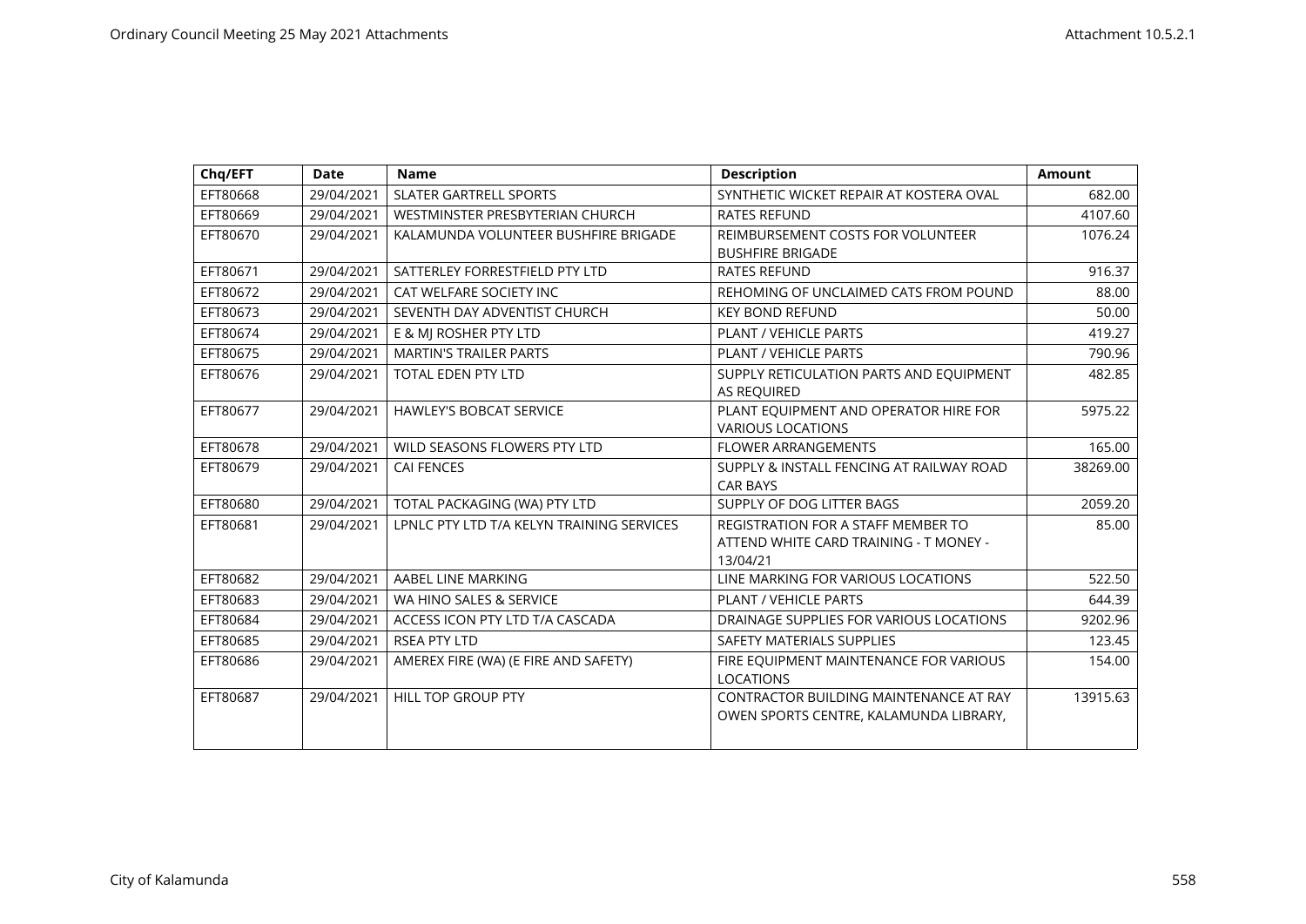| Chq/EFT  | <b>Date</b> | <b>Name</b>                               | <b>Description</b>                                                                              | Amount   |
|----------|-------------|-------------------------------------------|-------------------------------------------------------------------------------------------------|----------|
| EFT80668 | 29/04/2021  | <b>SLATER GARTRELL SPORTS</b>             | SYNTHETIC WICKET REPAIR AT KOSTERA OVAL                                                         | 682.00   |
| EFT80669 | 29/04/2021  | WESTMINSTER PRESBYTERIAN CHURCH           | <b>RATES REFUND</b>                                                                             | 4107.60  |
| EFT80670 | 29/04/2021  | KALAMUNDA VOLUNTEER BUSHFIRE BRIGADE      | REIMBURSEMENT COSTS FOR VOLUNTEER<br><b>BUSHFIRE BRIGADE</b>                                    | 1076.24  |
| EFT80671 | 29/04/2021  | SATTERLEY FORRESTFIELD PTY LTD            | <b>RATES REFUND</b>                                                                             | 916.37   |
| EFT80672 | 29/04/2021  | CAT WELFARE SOCIETY INC                   | REHOMING OF UNCLAIMED CATS FROM POUND                                                           | 88.00    |
| EFT80673 | 29/04/2021  | SEVENTH DAY ADVENTIST CHURCH              | <b>KEY BOND REFUND</b>                                                                          | 50.00    |
| EFT80674 | 29/04/2021  | E & MJ ROSHER PTY LTD                     | <b>PLANT / VEHICLE PARTS</b>                                                                    | 419.27   |
| EFT80675 | 29/04/2021  | <b>MARTIN'S TRAILER PARTS</b>             | <b>PLANT / VEHICLE PARTS</b>                                                                    | 790.96   |
| EFT80676 | 29/04/2021  | <b>TOTAL EDEN PTY LTD</b>                 | SUPPLY RETICULATION PARTS AND EQUIPMENT<br>AS REQUIRED                                          | 482.85   |
| EFT80677 | 29/04/2021  | <b>HAWLEY'S BOBCAT SERVICE</b>            | PLANT EQUIPMENT AND OPERATOR HIRE FOR<br><b>VARIOUS LOCATIONS</b>                               | 5975.22  |
| EFT80678 | 29/04/2021  | WILD SEASONS FLOWERS PTY LTD              | <b>FLOWER ARRANGEMENTS</b>                                                                      | 165.00   |
| EFT80679 | 29/04/2021  | <b>CAI FENCES</b>                         | SUPPLY & INSTALL FENCING AT RAILWAY ROAD<br><b>CAR BAYS</b>                                     | 38269.00 |
| EFT80680 | 29/04/2021  | TOTAL PACKAGING (WA) PTY LTD              | SUPPLY OF DOG LITTER BAGS                                                                       | 2059.20  |
| EFT80681 | 29/04/2021  | LPNLC PTY LTD T/A KELYN TRAINING SERVICES | <b>REGISTRATION FOR A STAFF MEMBER TO</b><br>ATTEND WHITE CARD TRAINING - T MONEY -<br>13/04/21 | 85.00    |
| EFT80682 | 29/04/2021  | AABEL LINE MARKING                        | LINE MARKING FOR VARIOUS LOCATIONS                                                              | 522.50   |
| EFT80683 | 29/04/2021  | WA HINO SALES & SERVICE                   | <b>PLANT / VEHICLE PARTS</b>                                                                    | 644.39   |
| EFT80684 | 29/04/2021  | ACCESS ICON PTY LTD T/A CASCADA           | DRAINAGE SUPPLIES FOR VARIOUS LOCATIONS                                                         | 9202.96  |
| EFT80685 | 29/04/2021  | <b>RSEA PTY LTD</b>                       | SAFETY MATERIALS SUPPLIES                                                                       | 123.45   |
| EFT80686 | 29/04/2021  | AMEREX FIRE (WA) (E FIRE AND SAFETY)      | FIRE EQUIPMENT MAINTENANCE FOR VARIOUS<br><b>LOCATIONS</b>                                      | 154.00   |
| EFT80687 | 29/04/2021  | HILL TOP GROUP PTY                        | CONTRACTOR BUILDING MAINTENANCE AT RAY<br>OWEN SPORTS CENTRE, KALAMUNDA LIBRARY,                | 13915.63 |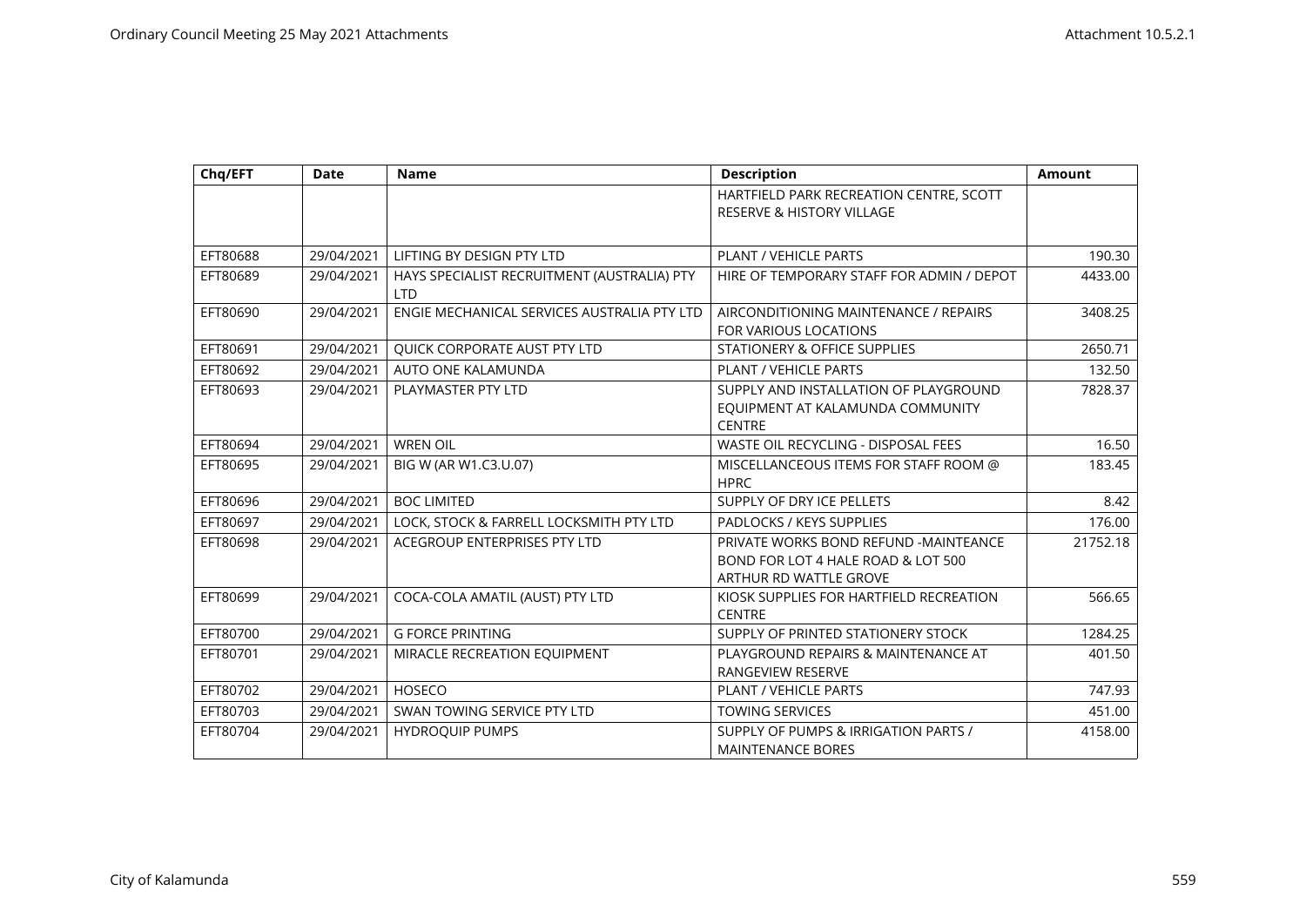| Chq/EFT  | <b>Date</b> | <b>Name</b>                                               | <b>Description</b>                                                                                    | <b>Amount</b> |
|----------|-------------|-----------------------------------------------------------|-------------------------------------------------------------------------------------------------------|---------------|
|          |             |                                                           | HARTFIELD PARK RECREATION CENTRE, SCOTT<br><b>RESERVE &amp; HISTORY VILLAGE</b>                       |               |
| EFT80688 | 29/04/2021  | LIFTING BY DESIGN PTY LTD                                 | <b>PLANT / VEHICLE PARTS</b>                                                                          | 190.30        |
| EFT80689 | 29/04/2021  | HAYS SPECIALIST RECRUITMENT (AUSTRALIA) PTY<br><b>LTD</b> | HIRE OF TEMPORARY STAFF FOR ADMIN / DEPOT                                                             | 4433.00       |
| EFT80690 | 29/04/2021  | ENGIE MECHANICAL SERVICES AUSTRALIA PTY LTD               | AIRCONDITIONING MAINTENANCE / REPAIRS<br>FOR VARIOUS LOCATIONS                                        | 3408.25       |
| EFT80691 | 29/04/2021  | QUICK CORPORATE AUST PTY LTD                              | STATIONERY & OFFICE SUPPLIES                                                                          | 2650.71       |
| EFT80692 | 29/04/2021  | AUTO ONE KALAMUNDA                                        | <b>PLANT / VEHICLE PARTS</b>                                                                          | 132.50        |
| EFT80693 | 29/04/2021  | PLAYMASTER PTY LTD                                        | SUPPLY AND INSTALLATION OF PLAYGROUND<br>EQUIPMENT AT KALAMUNDA COMMUNITY<br><b>CENTRE</b>            | 7828.37       |
| EFT80694 | 29/04/2021  | <b>WREN OIL</b>                                           | <b>WASTE OIL RECYCLING - DISPOSAL FEES</b>                                                            | 16.50         |
| EFT80695 | 29/04/2021  | BIG W (AR W1.C3.U.07)                                     | MISCELLANCEOUS ITEMS FOR STAFF ROOM @<br><b>HPRC</b>                                                  | 183.45        |
| EFT80696 | 29/04/2021  | <b>BOC LIMITED</b>                                        | SUPPLY OF DRY ICE PELLETS                                                                             | 8.42          |
| EFT80697 | 29/04/2021  | LOCK, STOCK & FARRELL LOCKSMITH PTY LTD                   | PADLOCKS / KEYS SUPPLIES                                                                              | 176.00        |
| EFT80698 | 29/04/2021  | ACEGROUP ENTERPRISES PTY LTD                              | PRIVATE WORKS BOND REFUND -MAINTEANCE<br>BOND FOR LOT 4 HALE ROAD & LOT 500<br>ARTHUR RD WATTLE GROVE | 21752.18      |
| EFT80699 | 29/04/2021  | COCA-COLA AMATIL (AUST) PTY LTD                           | KIOSK SUPPLIES FOR HARTFIELD RECREATION<br><b>CENTRE</b>                                              | 566.65        |
| EFT80700 | 29/04/2021  | <b>G FORCE PRINTING</b>                                   | SUPPLY OF PRINTED STATIONERY STOCK                                                                    | 1284.25       |
| EFT80701 | 29/04/2021  | MIRACLE RECREATION EQUIPMENT                              | PLAYGROUND REPAIRS & MAINTENANCE AT<br>RANGEVIEW RESERVE                                              | 401.50        |
| EFT80702 | 29/04/2021  | <b>HOSECO</b>                                             | <b>PLANT / VEHICLE PARTS</b>                                                                          | 747.93        |
| EFT80703 | 29/04/2021  | SWAN TOWING SERVICE PTY LTD                               | <b>TOWING SERVICES</b>                                                                                | 451.00        |
| EFT80704 | 29/04/2021  | <b>HYDROQUIP PUMPS</b>                                    | SUPPLY OF PUMPS & IRRIGATION PARTS /<br><b>MAINTENANCE BORES</b>                                      | 4158.00       |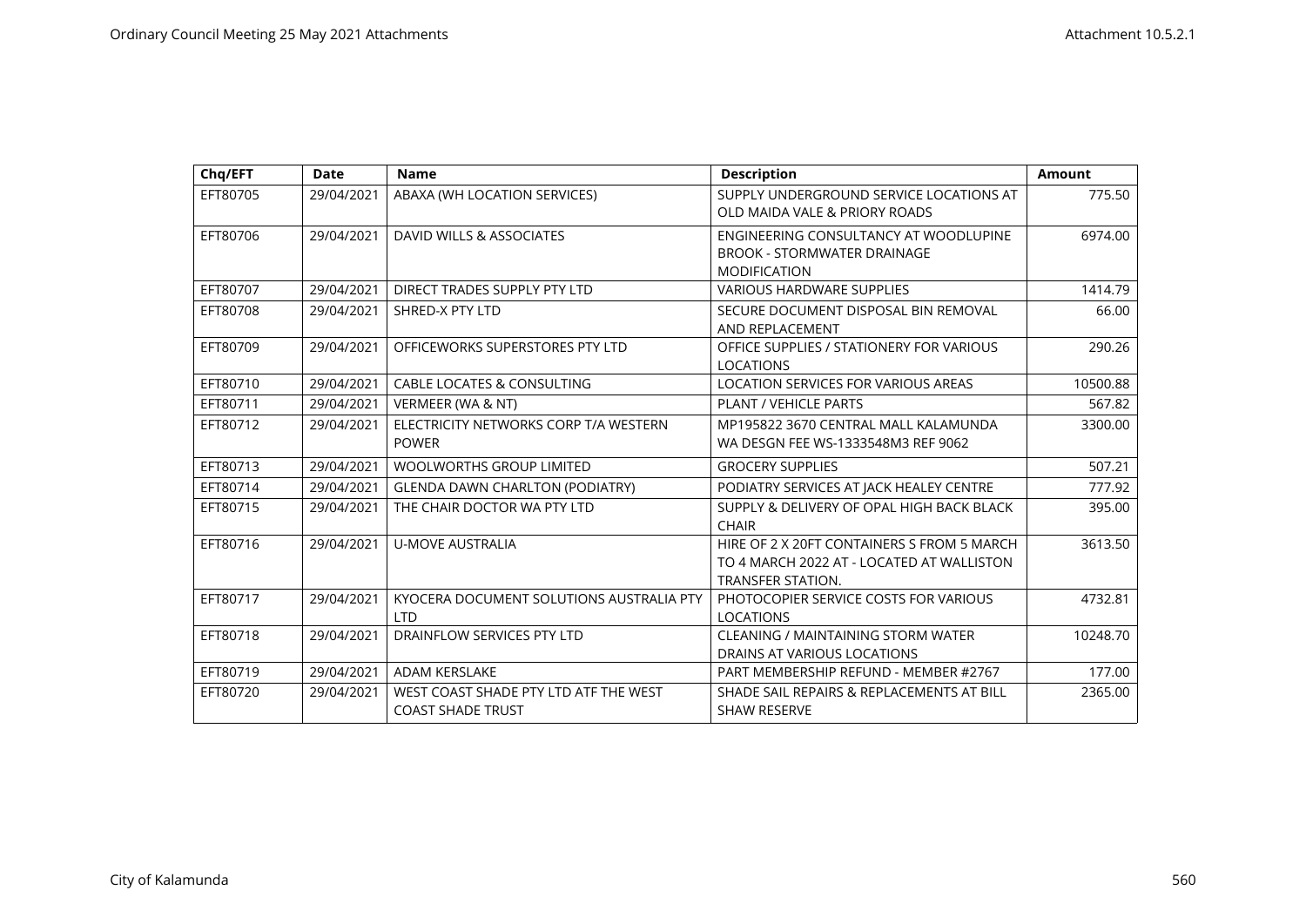| Chg/EFT  | <b>Date</b> | <b>Name</b>                                                       | <b>Description</b>                                                                                                  | <b>Amount</b> |
|----------|-------------|-------------------------------------------------------------------|---------------------------------------------------------------------------------------------------------------------|---------------|
| EFT80705 | 29/04/2021  | ABAXA (WH LOCATION SERVICES)                                      | SUPPLY UNDERGROUND SERVICE LOCATIONS AT<br>OLD MAIDA VALE & PRIORY ROADS                                            | 775.50        |
| EFT80706 | 29/04/2021  | DAVID WILLS & ASSOCIATES                                          | ENGINEERING CONSULTANCY AT WOODLUPINE<br><b>BROOK - STORMWATER DRAINAGE</b><br><b>MODIFICATION</b>                  | 6974.00       |
| EFT80707 | 29/04/2021  | DIRECT TRADES SUPPLY PTY LTD                                      | <b>VARIOUS HARDWARE SUPPLIES</b>                                                                                    | 1414.79       |
| EFT80708 | 29/04/2021  | SHRED-X PTY LTD                                                   | SECURE DOCUMENT DISPOSAL BIN REMOVAL<br>AND REPLACEMENT                                                             | 66.00         |
| EFT80709 | 29/04/2021  | OFFICEWORKS SUPERSTORES PTY LTD                                   | OFFICE SUPPLIES / STATIONERY FOR VARIOUS<br><b>LOCATIONS</b>                                                        | 290.26        |
| EFT80710 | 29/04/2021  | <b>CABLE LOCATES &amp; CONSULTING</b>                             | LOCATION SERVICES FOR VARIOUS AREAS                                                                                 | 10500.88      |
| EFT80711 | 29/04/2021  | VERMEER (WA & NT)                                                 | <b>PLANT / VEHICLE PARTS</b>                                                                                        | 567.82        |
| EFT80712 | 29/04/2021  | ELECTRICITY NETWORKS CORP T/A WESTERN<br><b>POWER</b>             | MP195822 3670 CENTRAL MALL KALAMUNDA<br>WA DESGN FEE WS-1333548M3 REF 9062                                          | 3300.00       |
| EFT80713 | 29/04/2021  | <b>WOOLWORTHS GROUP LIMITED</b>                                   | <b>GROCERY SUPPLIES</b>                                                                                             | 507.21        |
| EFT80714 | 29/04/2021  | <b>GLENDA DAWN CHARLTON (PODIATRY)</b>                            | PODIATRY SERVICES AT JACK HEALEY CENTRE                                                                             | 777.92        |
| EFT80715 | 29/04/2021  | THE CHAIR DOCTOR WA PTY LTD                                       | SUPPLY & DELIVERY OF OPAL HIGH BACK BLACK<br><b>CHAIR</b>                                                           | 395.00        |
| EFT80716 | 29/04/2021  | <b>U-MOVE AUSTRALIA</b>                                           | HIRE OF 2 X 20FT CONTAINERS S FROM 5 MARCH<br>TO 4 MARCH 2022 AT - LOCATED AT WALLISTON<br><b>TRANSFER STATION.</b> | 3613.50       |
| EFT80717 | 29/04/2021  | KYOCERA DOCUMENT SOLUTIONS AUSTRALIA PTY<br><b>LTD</b>            | PHOTOCOPIER SERVICE COSTS FOR VARIOUS<br><b>LOCATIONS</b>                                                           | 4732.81       |
| EFT80718 | 29/04/2021  | DRAINFLOW SERVICES PTY LTD                                        | <b>CLEANING / MAINTAINING STORM WATER</b><br>DRAINS AT VARIOUS LOCATIONS                                            | 10248.70      |
| EFT80719 | 29/04/2021  | <b>ADAM KERSLAKE</b>                                              | PART MEMBERSHIP REFUND - MEMBER #2767                                                                               | 177.00        |
| EFT80720 | 29/04/2021  | WEST COAST SHADE PTY LTD ATF THE WEST<br><b>COAST SHADE TRUST</b> | SHADE SAIL REPAIRS & REPLACEMENTS AT BILL<br><b>SHAW RESERVE</b>                                                    | 2365.00       |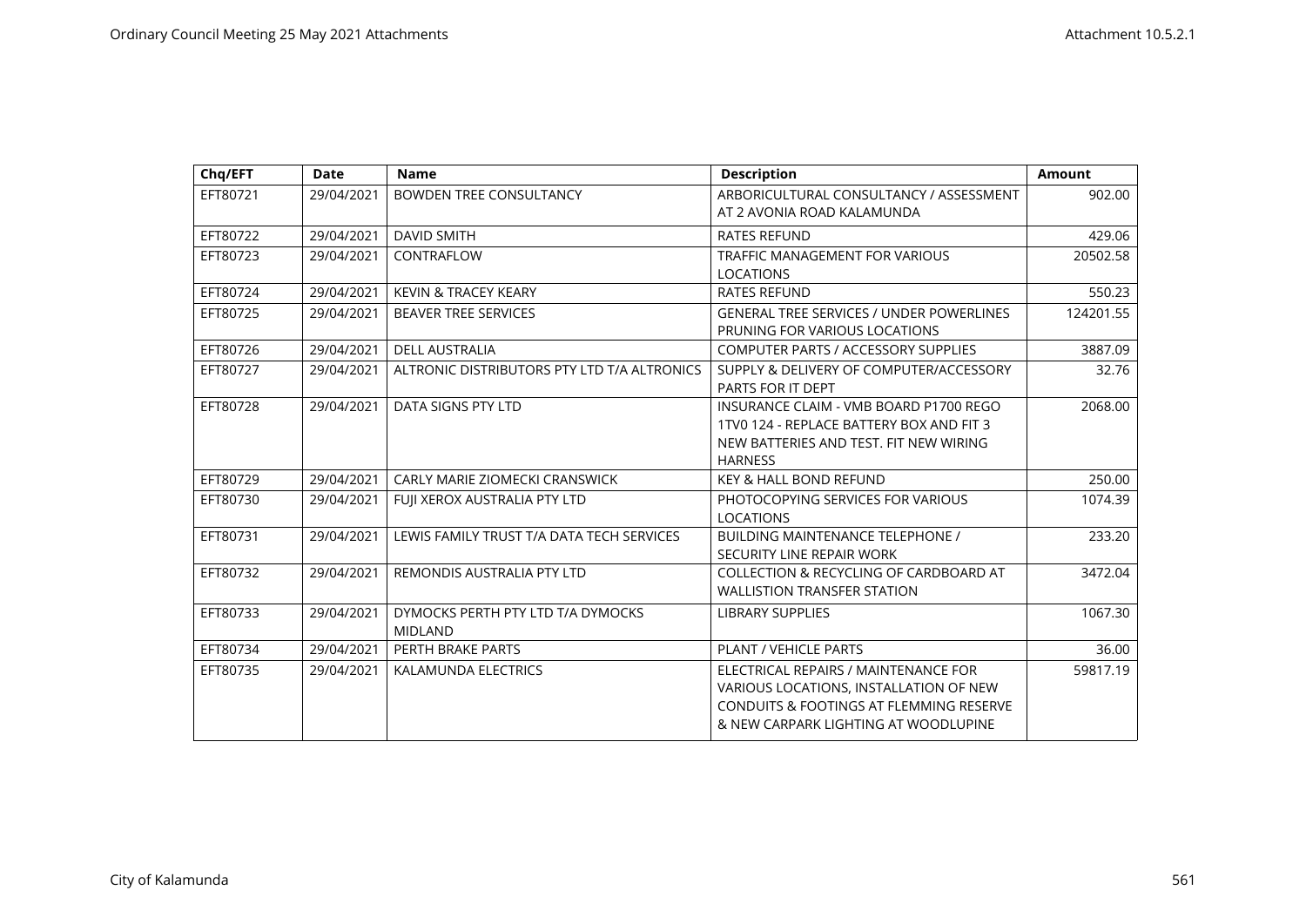| Chq/EFT  | <b>Date</b> | <b>Name</b>                                         | <b>Description</b>                                                                                                                                                           | <b>Amount</b> |
|----------|-------------|-----------------------------------------------------|------------------------------------------------------------------------------------------------------------------------------------------------------------------------------|---------------|
| EFT80721 | 29/04/2021  | <b>BOWDEN TREE CONSULTANCY</b>                      | ARBORICULTURAL CONSULTANCY / ASSESSMENT<br>AT 2 AVONIA ROAD KALAMUNDA                                                                                                        | 902.00        |
| EFT80722 | 29/04/2021  | <b>DAVID SMITH</b>                                  | <b>RATES REFUND</b>                                                                                                                                                          | 429.06        |
| EFT80723 | 29/04/2021  | CONTRAFLOW                                          | <b>TRAFFIC MANAGEMENT FOR VARIOUS</b><br><b>LOCATIONS</b>                                                                                                                    | 20502.58      |
| EFT80724 | 29/04/2021  | <b>KEVIN &amp; TRACEY KEARY</b>                     | <b>RATES REFUND</b>                                                                                                                                                          | 550.23        |
| EFT80725 | 29/04/2021  | <b>BEAVER TREE SERVICES</b>                         | <b>GENERAL TREE SERVICES / UNDER POWERLINES</b><br>PRUNING FOR VARIOUS LOCATIONS                                                                                             | 124201.55     |
| EFT80726 | 29/04/2021  | <b>DELL AUSTRALIA</b>                               | <b>COMPUTER PARTS / ACCESSORY SUPPLIES</b>                                                                                                                                   | 3887.09       |
| EFT80727 | 29/04/2021  | ALTRONIC DISTRIBUTORS PTY LTD T/A ALTRONICS         | SUPPLY & DELIVERY OF COMPUTER/ACCESSORY<br>PARTS FOR IT DEPT                                                                                                                 | 32.76         |
| EFT80728 | 29/04/2021  | DATA SIGNS PTY LTD                                  | INSURANCE CLAIM - VMB BOARD P1700 REGO<br>1TV0 124 - REPLACE BATTERY BOX AND FIT 3<br>NEW BATTERIES AND TEST. FIT NEW WIRING<br><b>HARNESS</b>                               | 2068.00       |
| EFT80729 | 29/04/2021  | <b>CARLY MARIE ZIOMECKI CRANSWICK</b>               | <b>KEY &amp; HALL BOND REFUND</b>                                                                                                                                            | 250.00        |
| EFT80730 | 29/04/2021  | FUJI XEROX AUSTRALIA PTY LTD                        | PHOTOCOPYING SERVICES FOR VARIOUS<br><b>LOCATIONS</b>                                                                                                                        | 1074.39       |
| EFT80731 | 29/04/2021  | LEWIS FAMILY TRUST T/A DATA TECH SERVICES           | <b>BUILDING MAINTENANCE TELEPHONE /</b><br>SECURITY LINE REPAIR WORK                                                                                                         | 233.20        |
| EFT80732 | 29/04/2021  | REMONDIS AUSTRALIA PTY LTD                          | COLLECTION & RECYCLING OF CARDBOARD AT<br><b>WALLISTION TRANSFER STATION</b>                                                                                                 | 3472.04       |
| EFT80733 | 29/04/2021  | DYMOCKS PERTH PTY LTD T/A DYMOCKS<br><b>MIDLAND</b> | <b>LIBRARY SUPPLIES</b>                                                                                                                                                      | 1067.30       |
| EFT80734 | 29/04/2021  | PERTH BRAKE PARTS                                   | PLANT / VEHICLE PARTS                                                                                                                                                        | 36.00         |
| EFT80735 | 29/04/2021  | KALAMUNDA ELECTRICS                                 | ELECTRICAL REPAIRS / MAINTENANCE FOR<br>VARIOUS LOCATIONS, INSTALLATION OF NEW<br><b>CONDUITS &amp; FOOTINGS AT FLEMMING RESERVE</b><br>& NEW CARPARK LIGHTING AT WOODLUPINE | 59817.19      |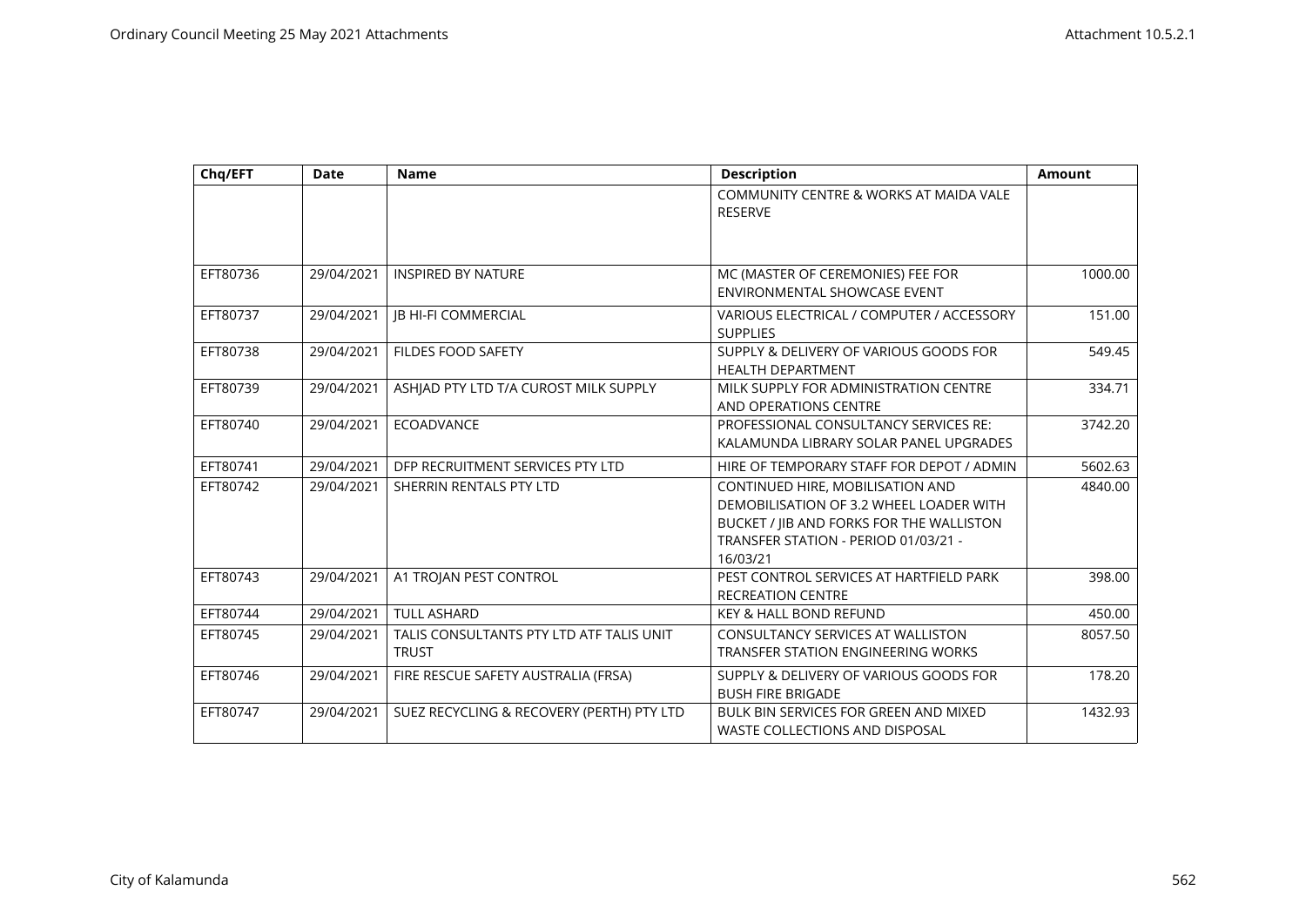| Chq/EFT  | <b>Date</b> | <b>Name</b>                                              | <b>Description</b>                                                                                                                                                          | <b>Amount</b> |
|----------|-------------|----------------------------------------------------------|-----------------------------------------------------------------------------------------------------------------------------------------------------------------------------|---------------|
|          |             |                                                          | COMMUNITY CENTRE & WORKS AT MAIDA VALE<br><b>RESERVE</b>                                                                                                                    |               |
|          |             |                                                          |                                                                                                                                                                             |               |
| EFT80736 | 29/04/2021  | <b>INSPIRED BY NATURE</b>                                | MC (MASTER OF CEREMONIES) FEE FOR<br>ENVIRONMENTAL SHOWCASE EVENT                                                                                                           | 1000.00       |
| EFT80737 | 29/04/2021  | JB HI-FI COMMERCIAL                                      | VARIOUS ELECTRICAL / COMPUTER / ACCESSORY<br><b>SUPPLIES</b>                                                                                                                | 151.00        |
| EFT80738 | 29/04/2021  | <b>FILDES FOOD SAFETY</b>                                | SUPPLY & DELIVERY OF VARIOUS GOODS FOR<br><b>HEALTH DEPARTMENT</b>                                                                                                          | 549.45        |
| EFT80739 | 29/04/2021  | ASHJAD PTY LTD T/A CUROST MILK SUPPLY                    | MILK SUPPLY FOR ADMINISTRATION CENTRE<br>AND OPERATIONS CENTRE                                                                                                              | 334.71        |
| EFT80740 | 29/04/2021  | <b>ECOADVANCE</b>                                        | PROFESSIONAL CONSULTANCY SERVICES RE:<br>KALAMUNDA LIBRARY SOLAR PANEL UPGRADES                                                                                             | 3742.20       |
| EFT80741 | 29/04/2021  | DFP RECRUITMENT SERVICES PTY LTD                         | HIRE OF TEMPORARY STAFF FOR DEPOT / ADMIN                                                                                                                                   | 5602.63       |
| EFT80742 | 29/04/2021  | SHERRIN RENTALS PTY LTD                                  | CONTINUED HIRE, MOBILISATION AND<br>DEMOBILISATION OF 3.2 WHEEL LOADER WITH<br>BUCKET / IIB AND FORKS FOR THE WALLISTON<br>TRANSFER STATION - PERIOD 01/03/21 -<br>16/03/21 | 4840.00       |
| EFT80743 | 29/04/2021  | A1 TROJAN PEST CONTROL                                   | PEST CONTROL SERVICES AT HARTFIELD PARK<br><b>RECREATION CENTRE</b>                                                                                                         | 398.00        |
| EFT80744 | 29/04/2021  | <b>TULL ASHARD</b>                                       | <b>KEY &amp; HALL BOND REFUND</b>                                                                                                                                           | 450.00        |
| EFT80745 | 29/04/2021  | TALIS CONSULTANTS PTY LTD ATF TALIS UNIT<br><b>TRUST</b> | <b>CONSULTANCY SERVICES AT WALLISTON</b><br><b>TRANSFER STATION ENGINEERING WORKS</b>                                                                                       | 8057.50       |
| EFT80746 | 29/04/2021  | FIRE RESCUE SAFETY AUSTRALIA (FRSA)                      | SUPPLY & DELIVERY OF VARIOUS GOODS FOR<br><b>BUSH FIRE BRIGADE</b>                                                                                                          | 178.20        |
| EFT80747 | 29/04/2021  | SUEZ RECYCLING & RECOVERY (PERTH) PTY LTD                | BULK BIN SERVICES FOR GREEN AND MIXED<br><b>WASTE COLLECTIONS AND DISPOSAL</b>                                                                                              | 1432.93       |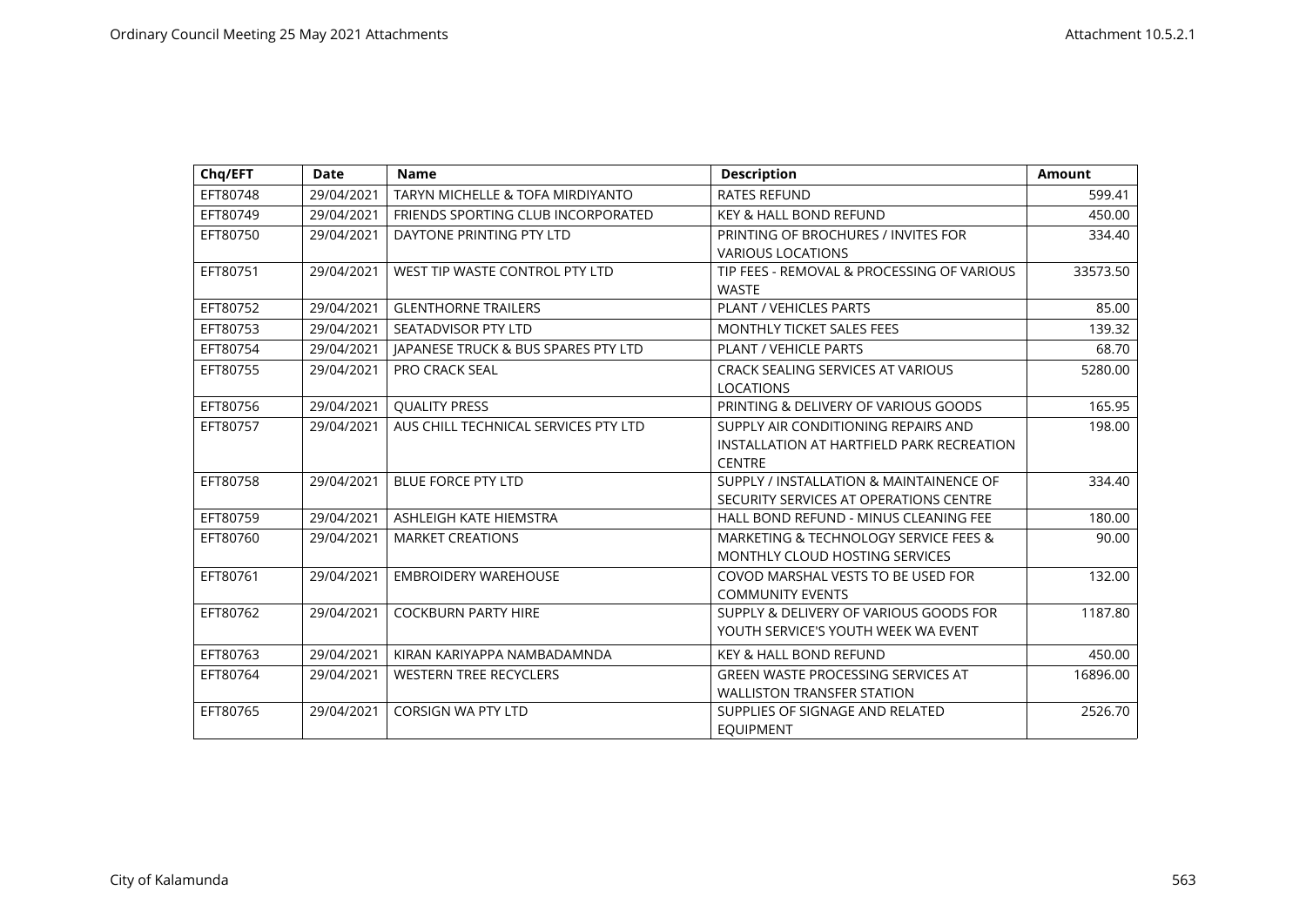| Chq/EFT  | <b>Date</b> | <b>Name</b>                                    | <b>Description</b>                                                                                | <b>Amount</b> |
|----------|-------------|------------------------------------------------|---------------------------------------------------------------------------------------------------|---------------|
| EFT80748 | 29/04/2021  | <b>TARYN MICHELLE &amp; TOFA MIRDIYANTO</b>    | <b>RATES REFUND</b>                                                                               | 599.41        |
| EFT80749 | 29/04/2021  | FRIENDS SPORTING CLUB INCORPORATED             | <b>KEY &amp; HALL BOND REFUND</b>                                                                 | 450.00        |
| EFT80750 | 29/04/2021  | DAYTONE PRINTING PTY LTD                       | PRINTING OF BROCHURES / INVITES FOR<br><b>VARIOUS LOCATIONS</b>                                   | 334.40        |
| EFT80751 | 29/04/2021  | WEST TIP WASTE CONTROL PTY LTD                 | TIP FEES - REMOVAL & PROCESSING OF VARIOUS<br><b>WASTE</b>                                        | 33573.50      |
| EFT80752 | 29/04/2021  | <b>GLENTHORNE TRAILERS</b>                     | PLANT / VEHICLES PARTS                                                                            | 85.00         |
| EFT80753 | 29/04/2021  | SEATADVISOR PTY LTD                            | <b>MONTHLY TICKET SALES FEES</b>                                                                  | 139.32        |
| EFT80754 | 29/04/2021  | <b>IAPANESE TRUCK &amp; BUS SPARES PTY LTD</b> | PLANT / VEHICLE PARTS                                                                             | 68.70         |
| EFT80755 | 29/04/2021  | <b>PRO CRACK SEAL</b>                          | CRACK SEALING SERVICES AT VARIOUS<br><b>LOCATIONS</b>                                             | 5280.00       |
| EFT80756 | 29/04/2021  | <b>QUALITY PRESS</b>                           | PRINTING & DELIVERY OF VARIOUS GOODS                                                              | 165.95        |
| EFT80757 | 29/04/2021  | AUS CHILL TECHNICAL SERVICES PTY LTD           | SUPPLY AIR CONDITIONING REPAIRS AND<br>INSTALLATION AT HARTFIELD PARK RECREATION<br><b>CENTRE</b> | 198.00        |
| EFT80758 | 29/04/2021  | <b>BLUE FORCE PTY LTD</b>                      | SUPPLY / INSTALLATION & MAINTAINENCE OF<br>SECURITY SERVICES AT OPERATIONS CENTRE                 | 334.40        |
| EFT80759 | 29/04/2021  | ASHLEIGH KATE HIEMSTRA                         | HALL BOND REFUND - MINUS CLEANING FEE                                                             | 180.00        |
| EFT80760 | 29/04/2021  | <b>MARKET CREATIONS</b>                        | MARKETING & TECHNOLOGY SERVICE FEES &<br>MONTHLY CLOUD HOSTING SERVICES                           | 90.00         |
| EFT80761 | 29/04/2021  | <b>EMBROIDERY WAREHOUSE</b>                    | COVOD MARSHAL VESTS TO BE USED FOR<br><b>COMMUNITY EVENTS</b>                                     | 132.00        |
| EFT80762 | 29/04/2021  | <b>COCKBURN PARTY HIRE</b>                     | SUPPLY & DELIVERY OF VARIOUS GOODS FOR<br>YOUTH SERVICE'S YOUTH WEEK WA EVENT                     | 1187.80       |
| EFT80763 | 29/04/2021  | KIRAN KARIYAPPA NAMBADAMNDA                    | <b>KEY &amp; HALL BOND REFUND</b>                                                                 | 450.00        |
| EFT80764 | 29/04/2021  | <b>WESTERN TREE RECYCLERS</b>                  | <b>GREEN WASTE PROCESSING SERVICES AT</b><br><b>WALLISTON TRANSFER STATION</b>                    | 16896.00      |
| EFT80765 | 29/04/2021  | <b>CORSIGN WA PTY LTD</b>                      | SUPPLIES OF SIGNAGE AND RELATED<br><b>EQUIPMENT</b>                                               | 2526.70       |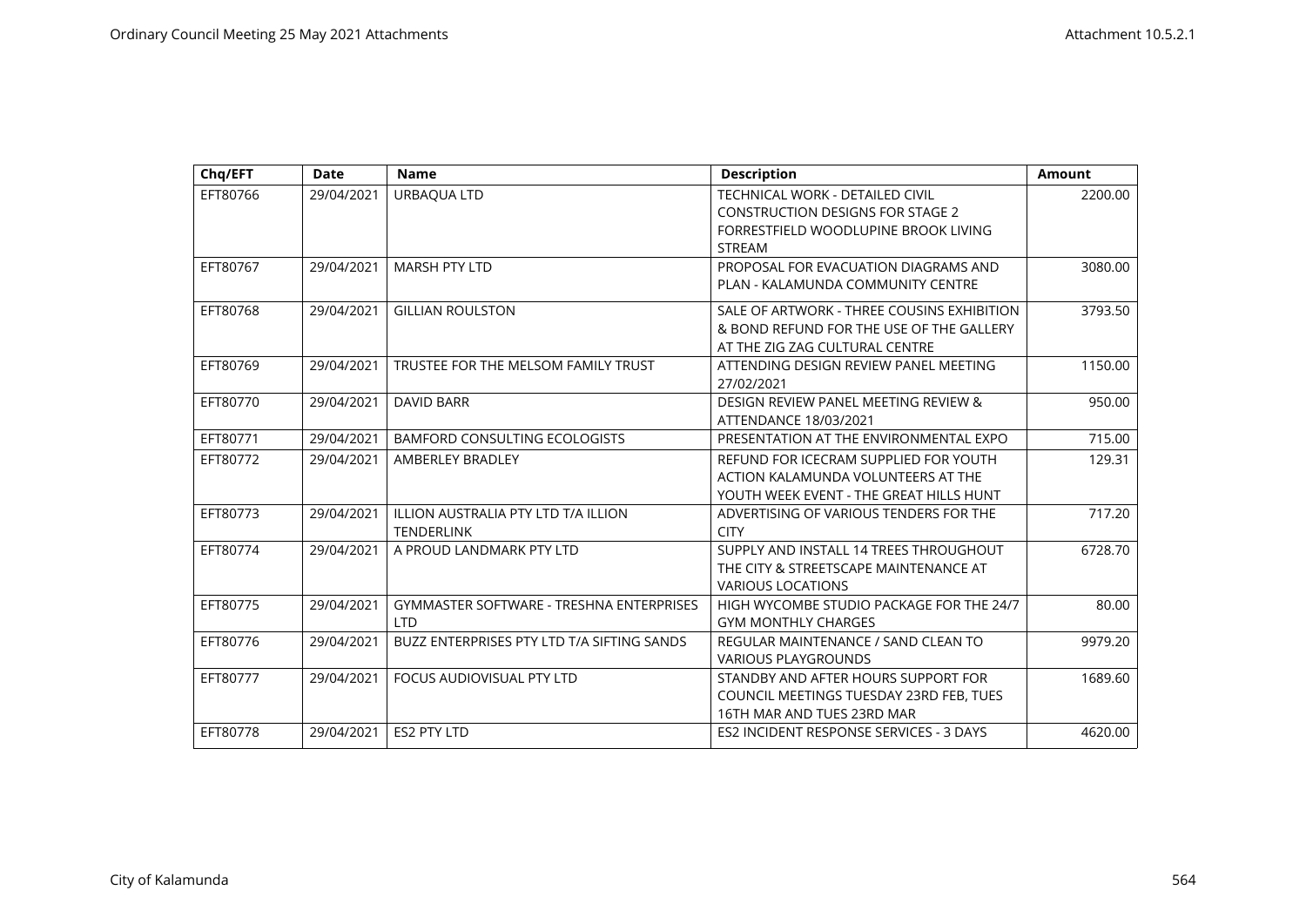| Chq/EFT  | <b>Date</b> | <b>Name</b>                                                   | <b>Description</b>                                                                                                       | Amount  |
|----------|-------------|---------------------------------------------------------------|--------------------------------------------------------------------------------------------------------------------------|---------|
| EFT80766 | 29/04/2021  | URBAQUA LTD                                                   | TECHNICAL WORK - DETAILED CIVIL<br><b>CONSTRUCTION DESIGNS FOR STAGE 2</b><br>FORRESTFIELD WOODLUPINE BROOK LIVING       | 2200.00 |
|          |             |                                                               | <b>STREAM</b>                                                                                                            |         |
| EFT80767 | 29/04/2021  | <b>MARSH PTY LTD</b>                                          | PROPOSAL FOR EVACUATION DIAGRAMS AND<br>PLAN - KALAMUNDA COMMUNITY CENTRE                                                | 3080.00 |
| EFT80768 | 29/04/2021  | <b>GILLIAN ROULSTON</b>                                       | SALE OF ARTWORK - THREE COUSINS EXHIBITION<br>& BOND REFUND FOR THE USE OF THE GALLERY<br>AT THE ZIG ZAG CULTURAL CENTRE | 3793.50 |
| EFT80769 | 29/04/2021  | TRUSTEE FOR THE MELSOM FAMILY TRUST                           | ATTENDING DESIGN REVIEW PANEL MEETING<br>27/02/2021                                                                      | 1150.00 |
| EFT80770 | 29/04/2021  | <b>DAVID BARR</b>                                             | DESIGN REVIEW PANEL MEETING REVIEW &<br>ATTENDANCE 18/03/2021                                                            | 950.00  |
| EFT80771 | 29/04/2021  | <b>BAMFORD CONSULTING ECOLOGISTS</b>                          | PRESENTATION AT THE ENVIRONMENTAL EXPO                                                                                   | 715.00  |
| EFT80772 | 29/04/2021  | AMBERLEY BRADLEY                                              | REFUND FOR ICECRAM SUPPLIED FOR YOUTH<br>ACTION KALAMUNDA VOLUNTEERS AT THE<br>YOUTH WEEK EVENT - THE GREAT HILLS HUNT   | 129.31  |
| EFT80773 | 29/04/2021  | ILLION AUSTRALIA PTY LTD T/A ILLION<br><b>TENDERLINK</b>      | ADVERTISING OF VARIOUS TENDERS FOR THE<br><b>CITY</b>                                                                    | 717.20  |
| EFT80774 | 29/04/2021  | A PROUD LANDMARK PTY LTD                                      | SUPPLY AND INSTALL 14 TREES THROUGHOUT<br>THE CITY & STREETSCAPE MAINTENANCE AT<br><b>VARIOUS LOCATIONS</b>              | 6728.70 |
| EFT80775 | 29/04/2021  | <b>GYMMASTER SOFTWARE - TRESHNA ENTERPRISES</b><br><b>LTD</b> | HIGH WYCOMBE STUDIO PACKAGE FOR THE 24/7<br><b>GYM MONTHLY CHARGES</b>                                                   | 80.00   |
| EFT80776 | 29/04/2021  | BUZZ ENTERPRISES PTY LTD T/A SIFTING SANDS                    | REGULAR MAINTENANCE / SAND CLEAN TO<br><b>VARIOUS PLAYGROUNDS</b>                                                        | 9979.20 |
| EFT80777 | 29/04/2021  | FOCUS AUDIOVISUAL PTY LTD                                     | STANDBY AND AFTER HOURS SUPPORT FOR<br>COUNCIL MEETINGS TUESDAY 23RD FEB, TUES<br>16TH MAR AND TUES 23RD MAR             | 1689.60 |
| EFT80778 | 29/04/2021  | <b>ES2 PTY LTD</b>                                            | ES2 INCIDENT RESPONSE SERVICES - 3 DAYS                                                                                  | 4620.00 |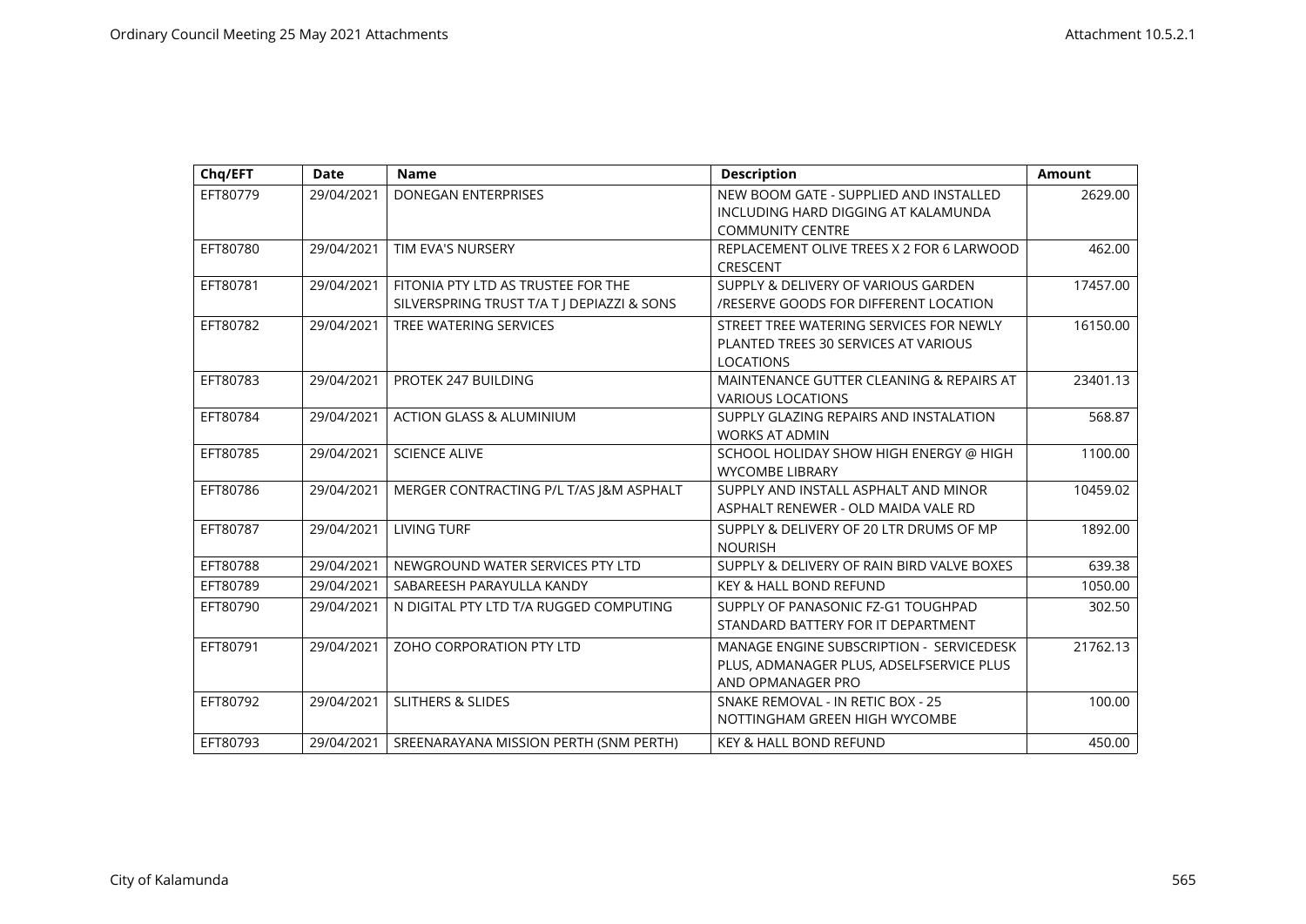| Chq/EFT  | <b>Date</b> | <b>Name</b>                                | <b>Description</b>                              | <b>Amount</b> |
|----------|-------------|--------------------------------------------|-------------------------------------------------|---------------|
| EFT80779 | 29/04/2021  | <b>DONEGAN ENTERPRISES</b>                 | NEW BOOM GATE - SUPPLIED AND INSTALLED          | 2629.00       |
|          |             |                                            | INCLUDING HARD DIGGING AT KALAMUNDA             |               |
|          |             |                                            | <b>COMMUNITY CENTRE</b>                         |               |
| EFT80780 | 29/04/2021  | TIM EVA'S NURSERY                          | REPLACEMENT OLIVE TREES X 2 FOR 6 LARWOOD       | 462.00        |
|          |             |                                            | CRESCENT                                        |               |
| EFT80781 | 29/04/2021  | FITONIA PTY LTD AS TRUSTEE FOR THE         | SUPPLY & DELIVERY OF VARIOUS GARDEN             | 17457.00      |
|          |             | SILVERSPRING TRUST T/A T   DEPIAZZI & SONS | <b>/RESERVE GOODS FOR DIFFERENT LOCATION</b>    |               |
| EFT80782 | 29/04/2021  | TREE WATERING SERVICES                     | STREET TREE WATERING SERVICES FOR NEWLY         | 16150.00      |
|          |             |                                            | PLANTED TREES 30 SERVICES AT VARIOUS            |               |
|          |             |                                            | <b>LOCATIONS</b>                                |               |
| EFT80783 | 29/04/2021  | PROTEK 247 BUILDING                        | MAINTENANCE GUTTER CLEANING & REPAIRS AT        | 23401.13      |
|          |             |                                            | <b>VARIOUS LOCATIONS</b>                        |               |
| EFT80784 | 29/04/2021  | <b>ACTION GLASS &amp; ALUMINIUM</b>        | SUPPLY GLAZING REPAIRS AND INSTALATION          | 568.87        |
|          |             |                                            | <b>WORKS AT ADMIN</b>                           |               |
| EFT80785 | 29/04/2021  | <b>SCIENCE ALIVE</b>                       | SCHOOL HOLIDAY SHOW HIGH ENERGY @ HIGH          | 1100.00       |
|          |             |                                            | <b>WYCOMBE LIBRARY</b>                          |               |
| EFT80786 | 29/04/2021  | MERGER CONTRACTING P/L T/AS J&M ASPHALT    | SUPPLY AND INSTALL ASPHALT AND MINOR            | 10459.02      |
|          |             |                                            | ASPHALT RENEWER - OLD MAIDA VALE RD             |               |
| EFT80787 | 29/04/2021  | <b>LIVING TURF</b>                         | SUPPLY & DELIVERY OF 20 LTR DRUMS OF MP         | 1892.00       |
|          |             |                                            | <b>NOURISH</b>                                  |               |
| EFT80788 | 29/04/2021  | NEWGROUND WATER SERVICES PTY LTD           | SUPPLY & DELIVERY OF RAIN BIRD VALVE BOXES      | 639.38        |
| EFT80789 | 29/04/2021  | SABAREESH PARAYULLA KANDY                  | <b>KEY &amp; HALL BOND REFUND</b>               | 1050.00       |
| EFT80790 | 29/04/2021  | N DIGITAL PTY LTD T/A RUGGED COMPUTING     | SUPPLY OF PANASONIC FZ-G1 TOUGHPAD              | 302.50        |
|          |             |                                            | STANDARD BATTERY FOR IT DEPARTMENT              |               |
| EFT80791 | 29/04/2021  | ZOHO CORPORATION PTY LTD                   | <b>MANAGE ENGINE SUBSCRIPTION - SERVICEDESK</b> | 21762.13      |
|          |             |                                            | PLUS, ADMANAGER PLUS, ADSELFSERVICE PLUS        |               |
|          |             |                                            | AND OPMANAGER PRO                               |               |
| EFT80792 | 29/04/2021  | <b>SLITHERS &amp; SLIDES</b>               | SNAKE REMOVAL - IN RETIC BOX - 25               | 100.00        |
|          |             |                                            | NOTTINGHAM GREEN HIGH WYCOMBE                   |               |
| EFT80793 | 29/04/2021  | SREENARAYANA MISSION PERTH (SNM PERTH)     | <b>KEY &amp; HALL BOND REFUND</b>               | 450.00        |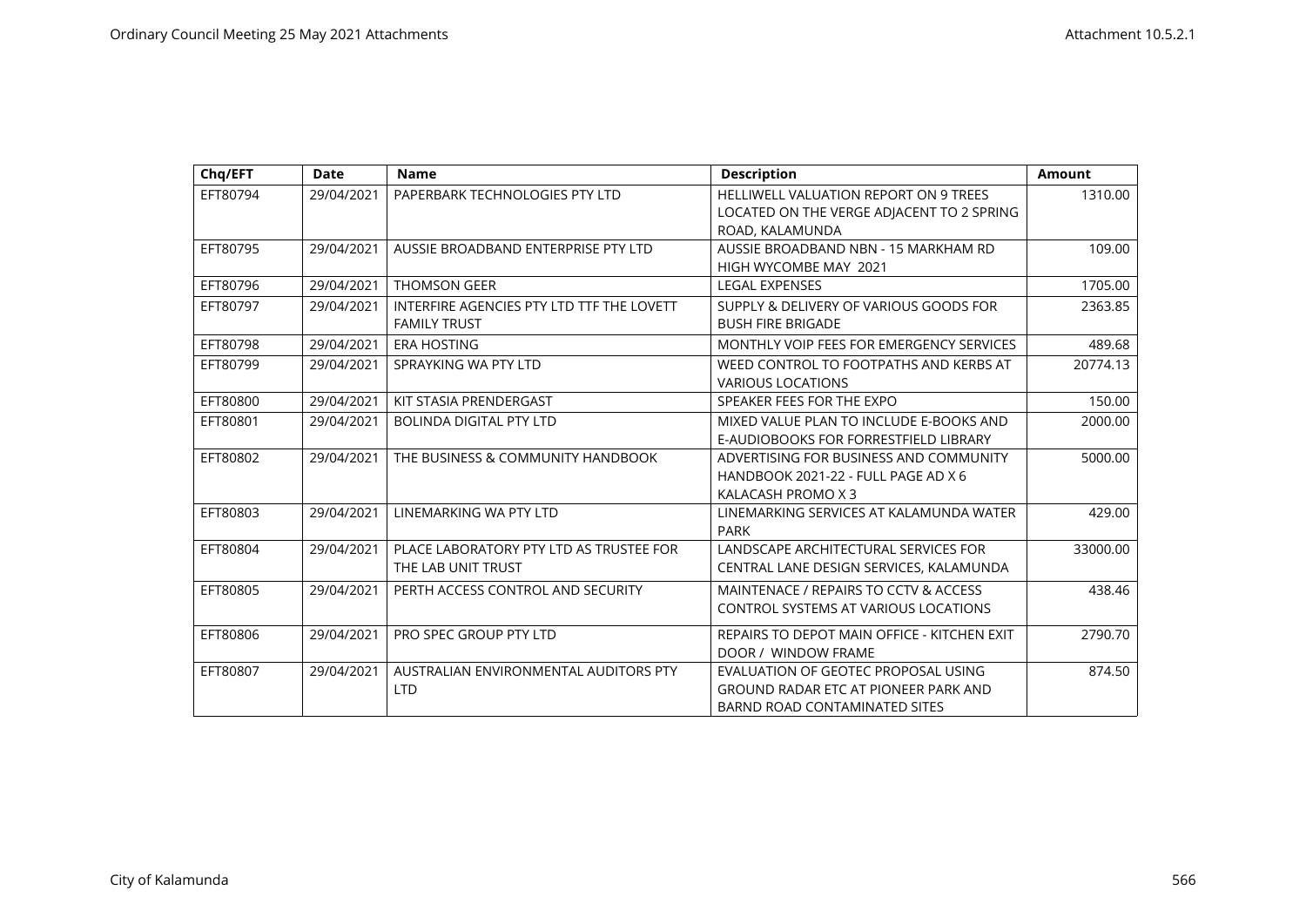| Chq/EFT  | <b>Date</b> | <b>Name</b>                                                      | <b>Description</b>                                                                                           | <b>Amount</b> |
|----------|-------------|------------------------------------------------------------------|--------------------------------------------------------------------------------------------------------------|---------------|
| EFT80794 | 29/04/2021  | PAPERBARK TECHNOLOGIES PTY LTD                                   | <b>HELLIWELL VALUATION REPORT ON 9 TREES</b><br>LOCATED ON THE VERGE ADJACENT TO 2 SPRING                    | 1310.00       |
|          |             |                                                                  | ROAD, KALAMUNDA                                                                                              |               |
| EFT80795 | 29/04/2021  | AUSSIE BROADBAND ENTERPRISE PTY LTD                              | AUSSIE BROADBAND NBN - 15 MARKHAM RD<br>HIGH WYCOMBE MAY 2021                                                | 109.00        |
| EFT80796 | 29/04/2021  | <b>THOMSON GEER</b>                                              | <b>LEGAL EXPENSES</b>                                                                                        | 1705.00       |
| EFT80797 | 29/04/2021  | INTERFIRE AGENCIES PTY LTD TTF THE LOVETT<br><b>FAMILY TRUST</b> | SUPPLY & DELIVERY OF VARIOUS GOODS FOR<br><b>BUSH FIRE BRIGADE</b>                                           | 2363.85       |
| EFT80798 | 29/04/2021  | <b>ERA HOSTING</b>                                               | MONTHLY VOIP FEES FOR EMERGENCY SERVICES                                                                     | 489.68        |
| EFT80799 | 29/04/2021  | SPRAYKING WA PTY LTD                                             | WEED CONTROL TO FOOTPATHS AND KERBS AT<br><b>VARIOUS LOCATIONS</b>                                           | 20774.13      |
| EFT80800 | 29/04/2021  | KIT STASIA PRENDERGAST                                           | SPEAKER FEES FOR THE EXPO                                                                                    | 150.00        |
| EFT80801 | 29/04/2021  | <b>BOLINDA DIGITAL PTY LTD</b>                                   | MIXED VALUE PLAN TO INCLUDE E-BOOKS AND<br>E-AUDIOBOOKS FOR FORRESTFIELD LIBRARY                             | 2000.00       |
| EFT80802 | 29/04/2021  | THE BUSINESS & COMMUNITY HANDBOOK                                | ADVERTISING FOR BUSINESS AND COMMUNITY<br>HANDBOOK 2021-22 - FULL PAGE AD X 6<br>KALACASH PROMO X 3          | 5000.00       |
| EFT80803 | 29/04/2021  | LINEMARKING WA PTY LTD                                           | LINEMARKING SERVICES AT KALAMUNDA WATER<br><b>PARK</b>                                                       | 429.00        |
| EFT80804 | 29/04/2021  | PLACE LABORATORY PTY LTD AS TRUSTEE FOR<br>THE LAB UNIT TRUST    | LANDSCAPE ARCHITECTURAL SERVICES FOR<br>CENTRAL LANE DESIGN SERVICES, KALAMUNDA                              | 33000.00      |
| EFT80805 | 29/04/2021  | PERTH ACCESS CONTROL AND SECURITY                                | MAINTENACE / REPAIRS TO CCTV & ACCESS<br><b>CONTROL SYSTEMS AT VARIOUS LOCATIONS</b>                         | 438.46        |
| EFT80806 | 29/04/2021  | PRO SPEC GROUP PTY LTD                                           | REPAIRS TO DEPOT MAIN OFFICE - KITCHEN EXIT<br>DOOR / WINDOW FRAME                                           | 2790.70       |
| EFT80807 | 29/04/2021  | AUSTRALIAN ENVIRONMENTAL AUDITORS PTY<br><b>LTD</b>              | EVALUATION OF GEOTEC PROPOSAL USING<br>GROUND RADAR ETC AT PIONEER PARK AND<br>BARND ROAD CONTAMINATED SITES | 874.50        |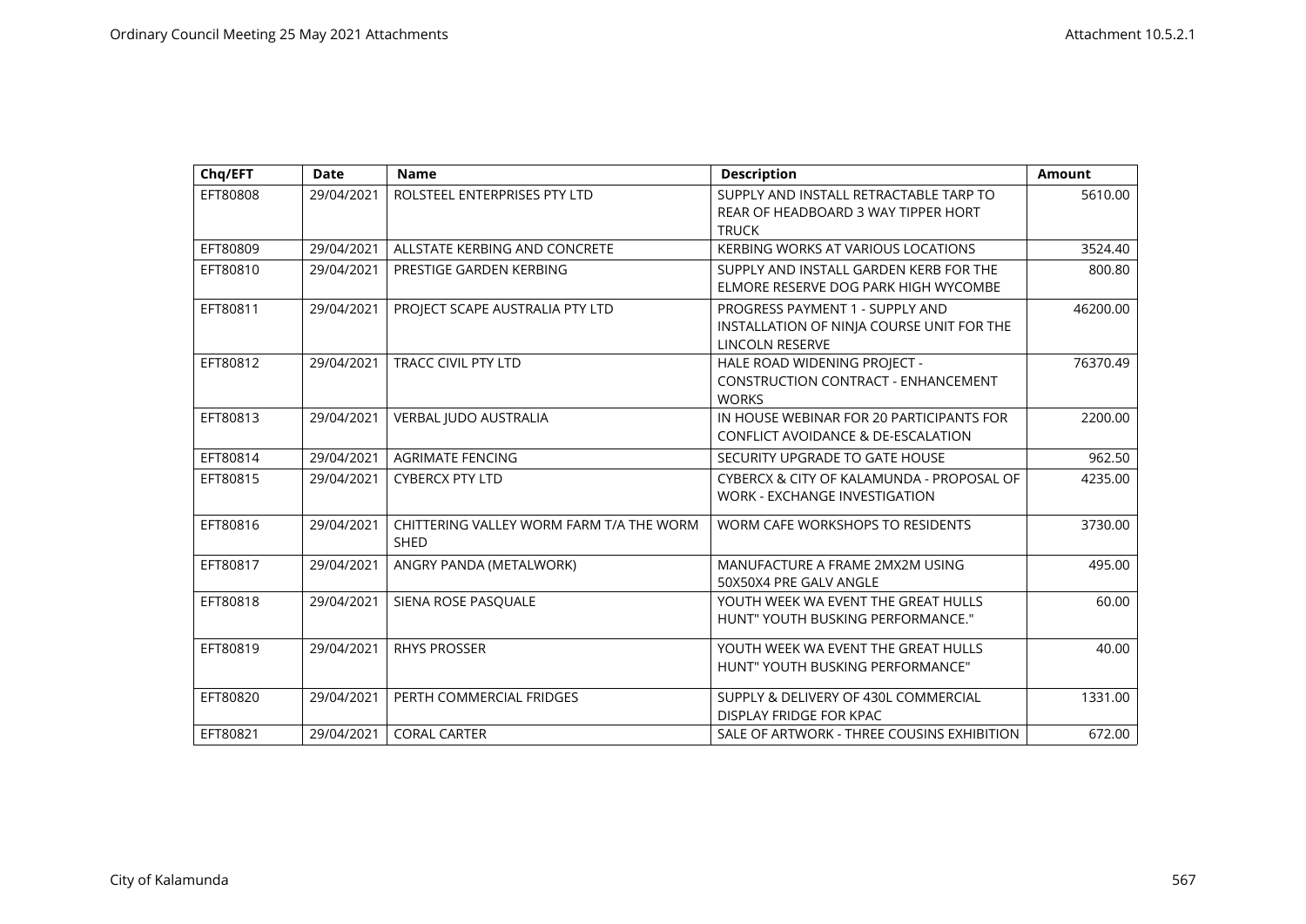| Chq/EFT  | <b>Date</b> | <b>Name</b>                                             | <b>Description</b>                                                                                     | <b>Amount</b> |
|----------|-------------|---------------------------------------------------------|--------------------------------------------------------------------------------------------------------|---------------|
| EFT80808 | 29/04/2021  | ROLSTEEL ENTERPRISES PTY LTD                            | SUPPLY AND INSTALL RETRACTABLE TARP TO<br>REAR OF HEADBOARD 3 WAY TIPPER HORT                          | 5610.00       |
|          |             |                                                         | <b>TRUCK</b>                                                                                           |               |
| EFT80809 | 29/04/2021  | ALLSTATE KERBING AND CONCRETE                           | <b>KERBING WORKS AT VARIOUS LOCATIONS</b>                                                              | 3524.40       |
| EFT80810 | 29/04/2021  | PRESTIGE GARDEN KERBING                                 | SUPPLY AND INSTALL GARDEN KERB FOR THE<br>ELMORE RESERVE DOG PARK HIGH WYCOMBE                         | 800.80        |
| EFT80811 | 29/04/2021  | PROJECT SCAPE AUSTRALIA PTY LTD                         | PROGRESS PAYMENT 1 - SUPPLY AND<br>INSTALLATION OF NINJA COURSE UNIT FOR THE<br><b>LINCOLN RESERVE</b> | 46200.00      |
| EFT80812 | 29/04/2021  | <b>TRACC CIVIL PTY LTD</b>                              | HALE ROAD WIDENING PROJECT -<br><b>CONSTRUCTION CONTRACT - ENHANCEMENT</b><br><b>WORKS</b>             | 76370.49      |
| EFT80813 | 29/04/2021  | VERBAL JUDO AUSTRALIA                                   | IN HOUSE WEBINAR FOR 20 PARTICIPANTS FOR<br>CONFLICT AVOIDANCE & DE-ESCALATION                         | 2200.00       |
| EFT80814 | 29/04/2021  | <b>AGRIMATE FENCING</b>                                 | SECURITY UPGRADE TO GATE HOUSE                                                                         | 962.50        |
| EFT80815 | 29/04/2021  | <b>CYBERCX PTY LTD</b>                                  | CYBERCX & CITY OF KALAMUNDA - PROPOSAL OF<br>WORK - EXCHANGE INVESTIGATION                             | 4235.00       |
| EFT80816 | 29/04/2021  | CHITTERING VALLEY WORM FARM T/A THE WORM<br><b>SHED</b> | WORM CAFE WORKSHOPS TO RESIDENTS                                                                       | 3730.00       |
| EFT80817 | 29/04/2021  | ANGRY PANDA (METALWORK)                                 | MANUFACTURE A FRAME 2MX2M USING<br>50X50X4 PRE GALV ANGLE                                              | 495.00        |
| EFT80818 | 29/04/2021  | SIENA ROSE PASQUALE                                     | YOUTH WEEK WA EVENT THE GREAT HULLS<br>HUNT" YOUTH BUSKING PERFORMANCE."                               | 60.00         |
| EFT80819 | 29/04/2021  | <b>RHYS PROSSER</b>                                     | YOUTH WEEK WA EVENT THE GREAT HULLS<br>HUNT" YOUTH BUSKING PERFORMANCE"                                | 40.00         |
| EFT80820 | 29/04/2021  | PERTH COMMERCIAL FRIDGES                                | SUPPLY & DELIVERY OF 430L COMMERCIAL<br>DISPLAY FRIDGE FOR KPAC                                        | 1331.00       |
| EFT80821 | 29/04/2021  | <b>CORAL CARTER</b>                                     | SALE OF ARTWORK - THREE COUSINS EXHIBITION                                                             | 672.00        |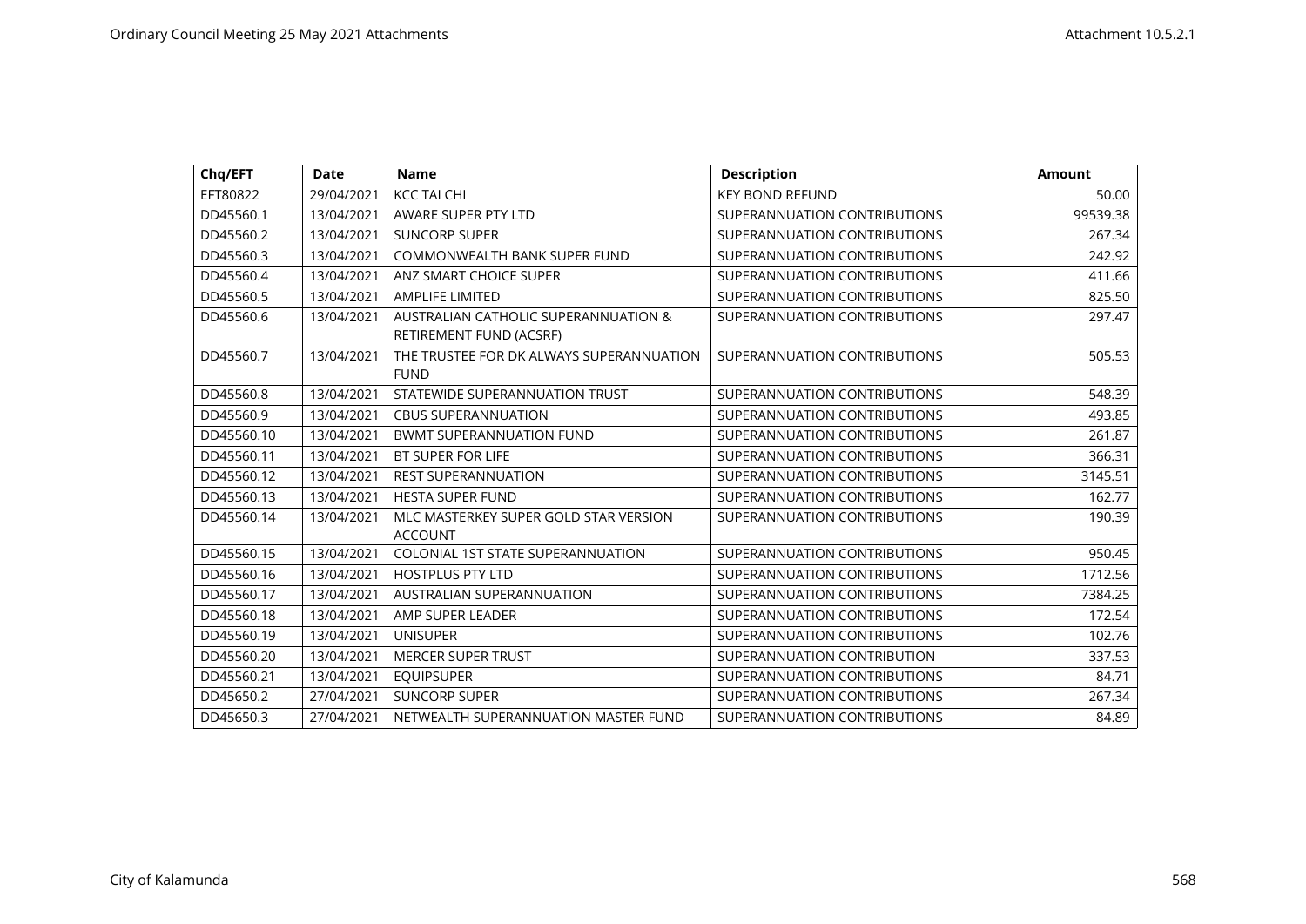| Chq/EFT    | <b>Date</b> | <b>Name</b>                                                     | <b>Description</b>           | Amount   |
|------------|-------------|-----------------------------------------------------------------|------------------------------|----------|
| EFT80822   | 29/04/2021  | <b>KCC TAI CHI</b>                                              | <b>KEY BOND REFUND</b>       | 50.00    |
| DD45560.1  | 13/04/2021  | AWARE SUPER PTY LTD                                             | SUPERANNUATION CONTRIBUTIONS | 99539.38 |
| DD45560.2  | 13/04/2021  | <b>SUNCORP SUPER</b>                                            | SUPERANNUATION CONTRIBUTIONS | 267.34   |
| DD45560.3  | 13/04/2021  | <b>COMMONWEALTH BANK SUPER FUND</b>                             | SUPERANNUATION CONTRIBUTIONS | 242.92   |
| DD45560.4  | 13/04/2021  | ANZ SMART CHOICE SUPER                                          | SUPERANNUATION CONTRIBUTIONS | 411.66   |
| DD45560.5  | 13/04/2021  | <b>AMPLIFE LIMITED</b>                                          | SUPERANNUATION CONTRIBUTIONS | 825.50   |
| DD45560.6  | 13/04/2021  | AUSTRALIAN CATHOLIC SUPERANNUATION &<br>RETIREMENT FUND (ACSRF) | SUPERANNUATION CONTRIBUTIONS | 297.47   |
| DD45560.7  | 13/04/2021  | THE TRUSTEE FOR DK ALWAYS SUPERANNUATION<br><b>FUND</b>         | SUPERANNUATION CONTRIBUTIONS | 505.53   |
| DD45560.8  | 13/04/2021  | STATEWIDE SUPERANNUATION TRUST                                  | SUPERANNUATION CONTRIBUTIONS | 548.39   |
| DD45560.9  | 13/04/2021  | <b>CBUS SUPERANNUATION</b>                                      | SUPERANNUATION CONTRIBUTIONS | 493.85   |
| DD45560.10 | 13/04/2021  | <b>BWMT SUPERANNUATION FUND</b>                                 | SUPERANNUATION CONTRIBUTIONS | 261.87   |
| DD45560.11 | 13/04/2021  | BT SUPER FOR LIFE                                               | SUPERANNUATION CONTRIBUTIONS | 366.31   |
| DD45560.12 | 13/04/2021  | <b>REST SUPERANNUATION</b>                                      | SUPERANNUATION CONTRIBUTIONS | 3145.51  |
| DD45560.13 | 13/04/2021  | <b>HESTA SUPER FUND</b>                                         | SUPERANNUATION CONTRIBUTIONS | 162.77   |
| DD45560.14 | 13/04/2021  | MLC MASTERKEY SUPER GOLD STAR VERSION<br><b>ACCOUNT</b>         | SUPERANNUATION CONTRIBUTIONS | 190.39   |
| DD45560.15 | 13/04/2021  | <b>COLONIAL 1ST STATE SUPERANNUATION</b>                        | SUPERANNUATION CONTRIBUTIONS | 950.45   |
| DD45560.16 | 13/04/2021  | <b>HOSTPLUS PTY LTD</b>                                         | SUPERANNUATION CONTRIBUTIONS | 1712.56  |
| DD45560.17 | 13/04/2021  | AUSTRALIAN SUPERANNUATION                                       | SUPERANNUATION CONTRIBUTIONS | 7384.25  |
| DD45560.18 | 13/04/2021  | AMP SUPER LEADER                                                | SUPERANNUATION CONTRIBUTIONS | 172.54   |
| DD45560.19 | 13/04/2021  | <b>UNISUPER</b>                                                 | SUPERANNUATION CONTRIBUTIONS | 102.76   |
| DD45560.20 | 13/04/2021  | <b>MERCER SUPER TRUST</b>                                       | SUPERANNUATION CONTRIBUTION  | 337.53   |
| DD45560.21 | 13/04/2021  | <b>EQUIPSUPER</b>                                               | SUPERANNUATION CONTRIBUTIONS | 84.71    |
| DD45650.2  | 27/04/2021  | <b>SUNCORP SUPER</b>                                            | SUPERANNUATION CONTRIBUTIONS | 267.34   |
| DD45650.3  | 27/04/2021  | NETWEALTH SUPERANNUATION MASTER FUND                            | SUPERANNUATION CONTRIBUTIONS | 84.89    |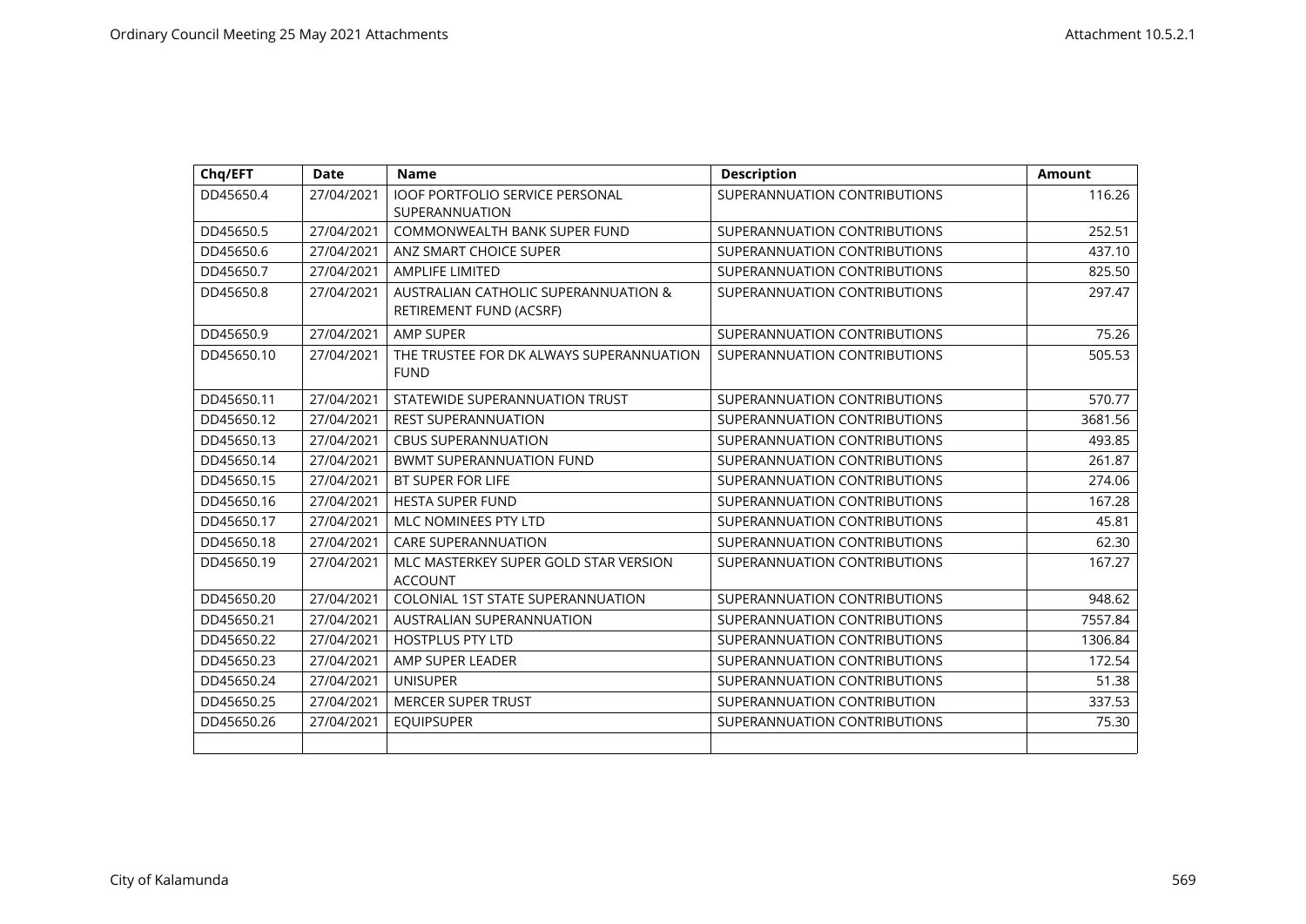| Chq/EFT    | <b>Date</b> | <b>Name</b>                                                                | <b>Description</b>           | <b>Amount</b> |
|------------|-------------|----------------------------------------------------------------------------|------------------------------|---------------|
| DD45650.4  | 27/04/2021  | IOOF PORTFOLIO SERVICE PERSONAL<br><b>SUPERANNUATION</b>                   | SUPERANNUATION CONTRIBUTIONS | 116.26        |
| DD45650.5  | 27/04/2021  | COMMONWEALTH BANK SUPER FUND                                               | SUPERANNUATION CONTRIBUTIONS | 252.51        |
| DD45650.6  | 27/04/2021  | ANZ SMART CHOICE SUPER                                                     | SUPERANNUATION CONTRIBUTIONS | 437.10        |
| DD45650.7  | 27/04/2021  | <b>AMPLIFE LIMITED</b>                                                     | SUPERANNUATION CONTRIBUTIONS | 825.50        |
| DD45650.8  | 27/04/2021  | <b>AUSTRALIAN CATHOLIC SUPERANNUATION &amp;</b><br>RETIREMENT FUND (ACSRF) | SUPERANNUATION CONTRIBUTIONS | 297.47        |
| DD45650.9  | 27/04/2021  | <b>AMP SUPER</b>                                                           | SUPERANNUATION CONTRIBUTIONS | 75.26         |
| DD45650.10 | 27/04/2021  | THE TRUSTEE FOR DK ALWAYS SUPERANNUATION<br><b>FUND</b>                    | SUPERANNUATION CONTRIBUTIONS | 505.53        |
| DD45650.11 | 27/04/2021  | STATEWIDE SUPERANNUATION TRUST                                             | SUPERANNUATION CONTRIBUTIONS | 570.77        |
| DD45650.12 | 27/04/2021  | <b>REST SUPERANNUATION</b>                                                 | SUPERANNUATION CONTRIBUTIONS | 3681.56       |
| DD45650.13 | 27/04/2021  | <b>CBUS SUPERANNUATION</b>                                                 | SUPERANNUATION CONTRIBUTIONS | 493.85        |
| DD45650.14 | 27/04/2021  | <b>BWMT SUPERANNUATION FUND</b>                                            | SUPERANNUATION CONTRIBUTIONS | 261.87        |
| DD45650.15 | 27/04/2021  | <b>BT SUPER FOR LIFE</b>                                                   | SUPERANNUATION CONTRIBUTIONS | 274.06        |
| DD45650.16 | 27/04/2021  | <b>HESTA SUPER FUND</b>                                                    | SUPERANNUATION CONTRIBUTIONS | 167.28        |
| DD45650.17 | 27/04/2021  | MLC NOMINEES PTY LTD                                                       | SUPERANNUATION CONTRIBUTIONS | 45.81         |
| DD45650.18 | 27/04/2021  | <b>CARE SUPERANNUATION</b>                                                 | SUPERANNUATION CONTRIBUTIONS | 62.30         |
| DD45650.19 | 27/04/2021  | MLC MASTERKEY SUPER GOLD STAR VERSION<br><b>ACCOUNT</b>                    | SUPERANNUATION CONTRIBUTIONS | 167.27        |
| DD45650.20 | 27/04/2021  | COLONIAL 1ST STATE SUPERANNUATION                                          | SUPERANNUATION CONTRIBUTIONS | 948.62        |
| DD45650.21 | 27/04/2021  | AUSTRALIAN SUPERANNUATION                                                  | SUPERANNUATION CONTRIBUTIONS | 7557.84       |
| DD45650.22 | 27/04/2021  | <b>HOSTPLUS PTY LTD</b>                                                    | SUPERANNUATION CONTRIBUTIONS | 1306.84       |
| DD45650.23 | 27/04/2021  | AMP SUPER LEADER                                                           | SUPERANNUATION CONTRIBUTIONS | 172.54        |
| DD45650.24 | 27/04/2021  | <b>UNISUPER</b>                                                            | SUPERANNUATION CONTRIBUTIONS | 51.38         |
| DD45650.25 | 27/04/2021  | <b>MERCER SUPER TRUST</b>                                                  | SUPERANNUATION CONTRIBUTION  | 337.53        |
| DD45650.26 | 27/04/2021  | <b>EQUIPSUPER</b>                                                          | SUPERANNUATION CONTRIBUTIONS | 75.30         |
|            |             |                                                                            |                              |               |